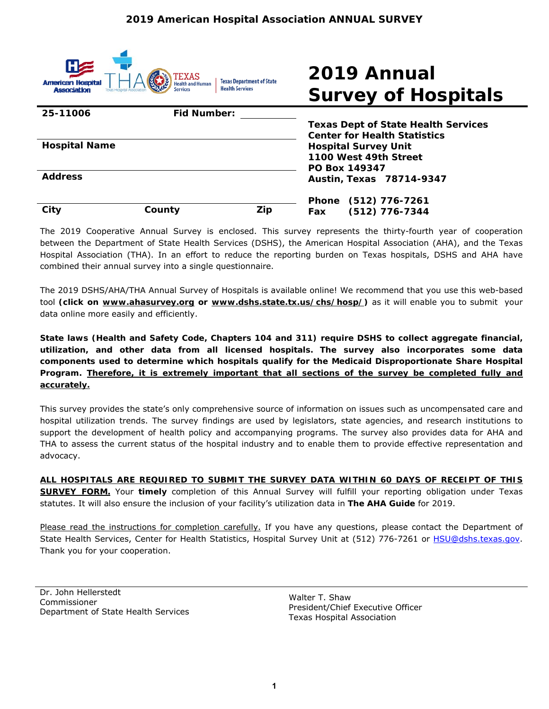| 6Z<br><b>American Hospital</b><br><b>Association</b> | TEXAS<br><b>Texas Department of State</b><br><b>Health Services</b><br>iervices |     |              | 2019 Annual<br><b>Survey of Hospitals</b>  |
|------------------------------------------------------|---------------------------------------------------------------------------------|-----|--------------|--------------------------------------------|
| 25-11006                                             | <b>Fid Number:</b>                                                              |     |              |                                            |
|                                                      |                                                                                 |     |              | <b>Texas Dept of State Health Services</b> |
|                                                      |                                                                                 |     |              | <b>Center for Health Statistics</b>        |
| <b>Hospital Name</b>                                 |                                                                                 |     |              | <b>Hospital Survey Unit</b>                |
|                                                      |                                                                                 |     |              | 1100 West 49th Street                      |
|                                                      |                                                                                 |     |              | PO Box 149347                              |
| <b>Address</b>                                       |                                                                                 |     |              | Austin, Texas 78714-9347                   |
|                                                      |                                                                                 |     | <b>Phone</b> | $(512)$ 776-7261                           |
| City                                                 | County                                                                          | Zip | Fax          | $(512)$ 776-7344                           |

The 2019 Cooperative Annual Survey is enclosed. This survey represents the thirty-fourth year of cooperation between the Department of State Health Services (DSHS), the American Hospital Association (AHA), and the Texas Hospital Association (THA). In an effort to reduce the reporting burden on Texas hospitals, DSHS and AHA have combined their annual survey into a single questionnaire.

The 2019 DSHS/AHA/THA Annual Survey of Hospitals is available online! We recommend that you use this web-based tool **(click on www.ahasurvey.org or www.dshs.state.tx.us/chs/hosp/)** as it will enable you to submit your data online more easily and efficiently.

**State laws (Health and Safety Code, Chapters 104 and 311) require DSHS to collect aggregate financial, utilization, and other data from all licensed hospitals. The survey also incorporates some data components used to determine which hospitals qualify for the Medicaid Disproportionate Share Hospital Program. Therefore, it is extremely important that all sections of the survey be completed fully and accurately.** 

This survey provides the state's only comprehensive source of information on issues such as uncompensated care and hospital utilization trends. The survey findings are used by legislators, state agencies, and research institutions to support the development of health policy and accompanying programs. The survey also provides data for AHA and THA to assess the current status of the hospital industry and to enable them to provide effective representation and advocacy.

**ALL HOSPITALS ARE REQUIRED TO SUBMIT THE SURVEY DATA WITHIN 60 DAYS OF RECEIPT OF THIS SURVEY FORM.** Your **timely** completion of this Annual Survey will fulfill your reporting obligation under Texas statutes. It will also ensure the inclusion of your facility's utilization data in **The AHA Guide** for 2019.

Please read the instructions for completion carefully. If you have any questions, please contact the Department of State Health Services, Center for Health Statistics, Hospital Survey Unit at (512) 776-7261 or HSU@dshs.texas.gov. Thank you for your cooperation.

Dr. John Hellerstedt Commissioner Department of State Health Services

Walter T. Shaw President/Chief Executive Officer Texas Hospital Association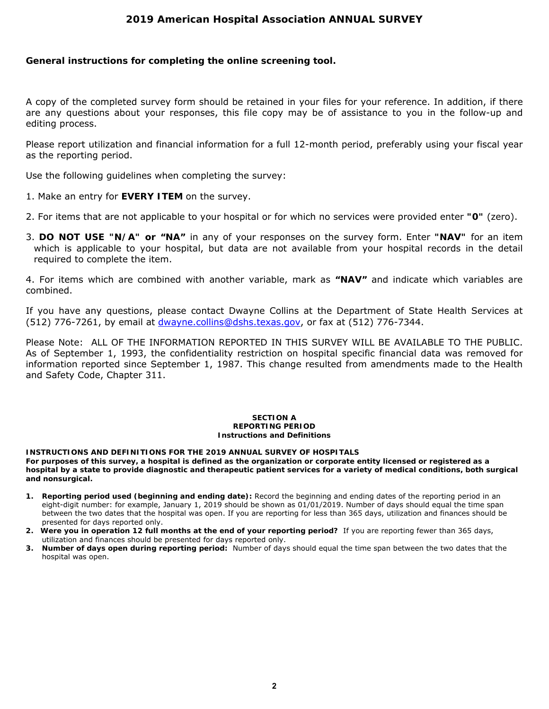### **General instructions for completing the online screening tool.**

A copy of the completed survey form should be retained in your files for your reference. In addition, if there are any questions about your responses, this file copy may be of assistance to you in the follow-up and editing process.

Please report utilization and financial information for a full 12-month period, preferably using your fiscal year as the reporting period.

Use the following guidelines when completing the survey:

- 1. Make an entry for **EVERY ITEM** on the survey.
- 2. For items that are not applicable to your hospital or for which no services were provided enter **"0"** (zero).
- 3. **DO NOT USE "N/A" or "NA"** in any of your responses on the survey form. Enter **"NAV"** for an item which is applicable to your hospital, but data are not available from your hospital records in the detail required to complete the item.

4. For items which are combined with another variable, mark as **"NAV"** and indicate which variables are combined.

If you have any questions, please contact Dwayne Collins at the Department of State Health Services at (512) 776-7261, by email at dwayne.collins@dshs.texas.gov, or fax at (512) 776-7344.

Please Note: ALL OF THE INFORMATION REPORTED IN THIS SURVEY WILL BE AVAILABLE TO THE PUBLIC. As of September 1, 1993, the confidentiality restriction on hospital specific financial data was removed for information reported since September 1, 1987. This change resulted from amendments made to the Health and Safety Code, Chapter 311.

#### **SECTION A REPORTING PERIOD Instructions and Definitions**

**INSTRUCTIONS AND DEFINITIONS FOR THE 2019 ANNUAL SURVEY OF HOSPITALS For purposes of this survey, a hospital is defined as the organization or corporate entity licensed or registered as a hospital by a state to provide diagnostic and therapeutic patient services for a variety of medical conditions, both surgical and nonsurgical.** 

- **1. Reporting period used (beginning and ending date):** Record the beginning and ending dates of the reporting period in an eight-digit number: for example, January 1, 2019 should be shown as 01/01/2019. Number of days should equal the time span between the two dates that the hospital was open. If you are reporting for less than 365 days, utilization and finances should be presented for days reported only.
- **2. Were you in operation 12 full months at the end of your reporting period?** If you are reporting fewer than 365 days, utilization and finances should be presented for days reported only.
- **3. Number of days open during reporting period:** Number of days should equal the time span between the two dates that the hospital was open.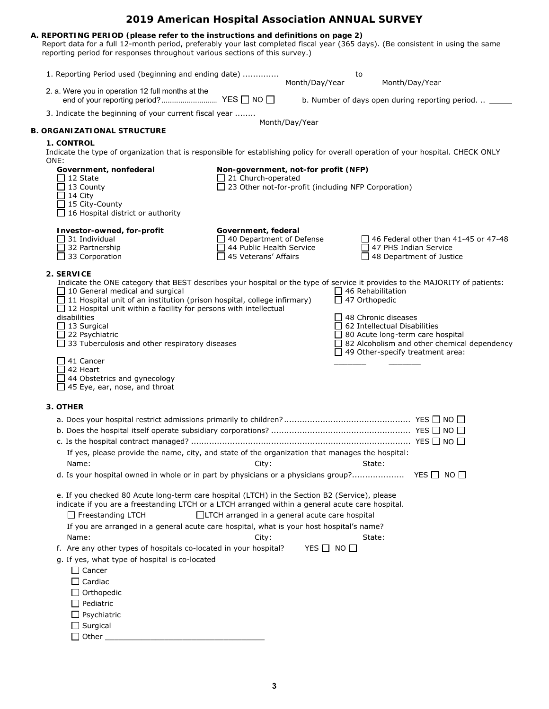#### **A. REPORTING PERIOD (please refer to the instructions and definitions on page 2)**

Report data for a full 12-month period, preferably your last completed fiscal year (365 days). (Be consistent in using the same reporting period for responses throughout various sections of this survey.)

| 1. Reporting Period used (beginning and ending date)                                                                                                                  | Month/Day/Year                                                                          | to                   | Month/Day/Year                                             |                                                                                               |  |
|-----------------------------------------------------------------------------------------------------------------------------------------------------------------------|-----------------------------------------------------------------------------------------|----------------------|------------------------------------------------------------|-----------------------------------------------------------------------------------------------|--|
| 2. a. Were you in operation 12 full months at the                                                                                                                     |                                                                                         |                      |                                                            | b. Number of days open during reporting period.  ____                                         |  |
| 3. Indicate the beginning of your current fiscal year                                                                                                                 |                                                                                         |                      |                                                            |                                                                                               |  |
| B. ORGANIZATIONAL STRUCTURE                                                                                                                                           | Month/Day/Year                                                                          |                      |                                                            |                                                                                               |  |
| 1. CONTROL                                                                                                                                                            |                                                                                         |                      |                                                            |                                                                                               |  |
| Indicate the type of organization that is responsible for establishing policy for overall operation of your hospital. CHECK ONLY<br>ONE:                              |                                                                                         |                      |                                                            |                                                                                               |  |
| Government, nonfederal                                                                                                                                                | Non-government, not-for profit (NFP)                                                    |                      |                                                            |                                                                                               |  |
| $\Box$ 12 State<br>$\Box$ 13 County                                                                                                                                   | $\Box$ 21 Church-operated<br>$\Box$ 23 Other not-for-profit (including NFP Corporation) |                      |                                                            |                                                                                               |  |
| $\Box$ 14 City                                                                                                                                                        |                                                                                         |                      |                                                            |                                                                                               |  |
| □ 15 City-County<br>$\Box$ 16 Hospital district or authority                                                                                                          |                                                                                         |                      |                                                            |                                                                                               |  |
| Investor-owned, for-profit                                                                                                                                            | Government, federal                                                                     |                      |                                                            |                                                                                               |  |
| $\Box$ 31 Individual                                                                                                                                                  | $\Box$ 40 Department of Defense                                                         |                      |                                                            | $\Box$ 46 Federal other than 41-45 or 47-48                                                   |  |
| $\Box$ 32 Partnership<br>$\Box$ 33 Corporation                                                                                                                        | $\Box$ 44 Public Health Service<br>$\Box$ 45 Veterans' Affairs                          |                      | $\Box$ 47 PHS Indian Service                               | $\Box$ 48 Department of Justice                                                               |  |
|                                                                                                                                                                       |                                                                                         |                      |                                                            |                                                                                               |  |
| 2. SERVICE                                                                                                                                                            |                                                                                         |                      |                                                            |                                                                                               |  |
| Indicate the ONE category that BEST describes your hospital or the type of service it provides to the MAJORITY of patients:<br>$\Box$ 10 General medical and surgical |                                                                                         |                      | $\Box$ 46 Rehabilitation                                   |                                                                                               |  |
| $\Box$ 11 Hospital unit of an institution (prison hospital, college infirmary)                                                                                        |                                                                                         | $\Box$ 47 Orthopedic |                                                            |                                                                                               |  |
| $\Box$ 12 Hospital unit within a facility for persons with intellectual                                                                                               |                                                                                         |                      |                                                            |                                                                                               |  |
| disabilities<br>$\Box$ 13 Surgical                                                                                                                                    |                                                                                         |                      | 48 Chronic diseases<br>$\Box$ 62 Intellectual Disabilities |                                                                                               |  |
| $\Box$ 22 Psychiatric                                                                                                                                                 |                                                                                         |                      |                                                            | $\Box$ 80 Acute long-term care hospital                                                       |  |
| $\Box$ 33 Tuberculosis and other respiratory diseases                                                                                                                 |                                                                                         |                      |                                                            | $\Box$ 82 Alcoholism and other chemical dependency<br>$\Box$ 49 Other-specify treatment area: |  |
| $\Box$ 41 Cancer                                                                                                                                                      |                                                                                         |                      |                                                            |                                                                                               |  |
| $\Box$ 42 Heart                                                                                                                                                       |                                                                                         |                      |                                                            |                                                                                               |  |
| $\Box$ 44 Obstetrics and gynecology<br>$\Box$ 45 Eye, ear, nose, and throat                                                                                           |                                                                                         |                      |                                                            |                                                                                               |  |
|                                                                                                                                                                       |                                                                                         |                      |                                                            |                                                                                               |  |
| 3. OTHER                                                                                                                                                              |                                                                                         |                      |                                                            |                                                                                               |  |
|                                                                                                                                                                       |                                                                                         |                      |                                                            |                                                                                               |  |
|                                                                                                                                                                       |                                                                                         |                      |                                                            |                                                                                               |  |
|                                                                                                                                                                       |                                                                                         |                      |                                                            |                                                                                               |  |
| If yes, please provide the name, city, and state of the organization that manages the hospital:                                                                       | City: State:                                                                            |                      |                                                            |                                                                                               |  |
| Name:                                                                                                                                                                 |                                                                                         |                      |                                                            |                                                                                               |  |
|                                                                                                                                                                       |                                                                                         |                      |                                                            |                                                                                               |  |
| e. If you checked 80 Acute long-term care hospital (LTCH) in the Section B2 (Service), please                                                                         |                                                                                         |                      |                                                            |                                                                                               |  |
| indicate if you are a freestanding LTCH or a LTCH arranged within a general acute care hospital.<br>$\Box$ Freestanding LTCH                                          | □LTCH arranged in a general acute care hospital                                         |                      |                                                            |                                                                                               |  |
| If you are arranged in a general acute care hospital, what is your host hospital's name?                                                                              |                                                                                         |                      |                                                            |                                                                                               |  |
| Name:                                                                                                                                                                 | City:                                                                                   |                      | State:                                                     |                                                                                               |  |
| f. Are any other types of hospitals co-located in your hospital?                                                                                                      |                                                                                         | YES $\Box$ NO $\Box$ |                                                            |                                                                                               |  |
| g. If yes, what type of hospital is co-located                                                                                                                        |                                                                                         |                      |                                                            |                                                                                               |  |
| $\Box$ Cancer                                                                                                                                                         |                                                                                         |                      |                                                            |                                                                                               |  |
| $\Box$ Cardiac                                                                                                                                                        |                                                                                         |                      |                                                            |                                                                                               |  |
| $\Box$ Orthopedic                                                                                                                                                     |                                                                                         |                      |                                                            |                                                                                               |  |
| $\Box$ Pediatric                                                                                                                                                      |                                                                                         |                      |                                                            |                                                                                               |  |
| $\Box$ Psychiatric                                                                                                                                                    |                                                                                         |                      |                                                            |                                                                                               |  |
| $\Box$ Surgical                                                                                                                                                       |                                                                                         |                      |                                                            |                                                                                               |  |
| $\Box$ Other                                                                                                                                                          |                                                                                         |                      |                                                            |                                                                                               |  |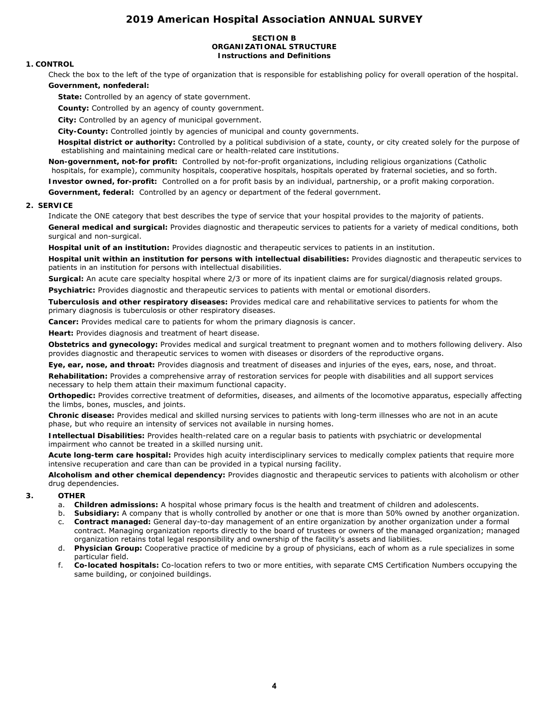#### **SECTION B ORGANIZATIONAL STRUCTURE Instructions and Definitions**

#### **1. CONTROL**

Check the box to the left of the type of organization that is responsible for establishing policy for overall operation of the hospital. **Government, nonfederal:** 

**State:** Controlled by an agency of state government.

**County:** Controlled by an agency of county government.

**City:** Controlled by an agency of municipal government.

**City-County:** Controlled jointly by agencies of municipal and county governments.

**Hospital district or authority:** Controlled by a political subdivision of a state, county, or city created solely for the purpose of establishing and maintaining medical care or health-related care institutions.

**Non-government, not-for profit:** Controlled by not-for-profit organizations, including religious organizations (Catholic hospitals, for example), community hospitals, cooperative hospitals, hospitals operated by fraternal societies, and so forth. **Investor owned, for-profit:** Controlled on a for profit basis by an individual, partnership, or a profit making corporation. **Government, federal:** Controlled by an agency or department of the federal government.

#### **2. SERVICE**

Indicate the ONE category that best describes the type of service that your hospital provides to the majority of patients. **General medical and surgical:** Provides diagnostic and therapeutic services to patients for a variety of medical conditions, both surgical and non-surgical.

**Hospital unit of an institution:** Provides diagnostic and therapeutic services to patients in an institution.

**Hospital unit within an institution for persons with intellectual disabilities:** Provides diagnostic and therapeutic services to patients in an institution for persons with intellectual disabilities.

**Surgical:** An acute care specialty hospital where 2/3 or more of its inpatient claims are for surgical/diagnosis related groups. **Psychiatric:** Provides diagnostic and therapeutic services to patients with mental or emotional disorders.

**Tuberculosis and other respiratory diseases:** Provides medical care and rehabilitative services to patients for whom the primary diagnosis is tuberculosis or other respiratory diseases.

**Cancer:** Provides medical care to patients for whom the primary diagnosis is cancer.

**Heart:** Provides diagnosis and treatment of heart disease.

**Obstetrics and gynecology:** Provides medical and surgical treatment to pregnant women and to mothers following delivery. Also provides diagnostic and therapeutic services to women with diseases or disorders of the reproductive organs.

**Eye, ear, nose, and throat:** Provides diagnosis and treatment of diseases and injuries of the eyes, ears, nose, and throat.

**Rehabilitation:** Provides a comprehensive array of restoration services for people with disabilities and all support services necessary to help them attain their maximum functional capacity.

**Orthopedic:** Provides corrective treatment of deformities, diseases, and ailments of the locomotive apparatus, especially affecting the limbs, bones, muscles, and joints.

**Chronic disease:** Provides medical and skilled nursing services to patients with long-term illnesses who are not in an acute phase, but who require an intensity of services not available in nursing homes.

**Intellectual Disabilities:** Provides health-related care on a regular basis to patients with psychiatric or developmental impairment who cannot be treated in a skilled nursing unit.

**Acute long-term care hospital:** Provides high acuity interdisciplinary services to medically complex patients that require more intensive recuperation and care than can be provided in a typical nursing facility.

**Alcoholism and other chemical dependency:** Provides diagnostic and therapeutic services to patients with alcoholism or other drug dependencies.

#### **3. OTHER**

- a. **Children admissions:** A hospital whose primary focus is the health and treatment of children and adolescents.
- b. **Subsidiary:** A company that is wholly controlled by another or one that is more than 50% owned by another organization. c. **Contract managed:** General day-to-day management of an entire organization by another organization under a formal contract. Managing organization reports directly to the board of trustees or owners of the managed organization; managed organization retains total legal responsibility and ownership of the facility's assets and liabilities.
- d. **Physician Group:** Cooperative practice of medicine by a group of physicians, each of whom as a rule specializes in some particular field.
- f. **Co-located hospitals:** Co-location refers to two or more entities, with separate CMS Certification Numbers occupying the same building, or conjoined buildings.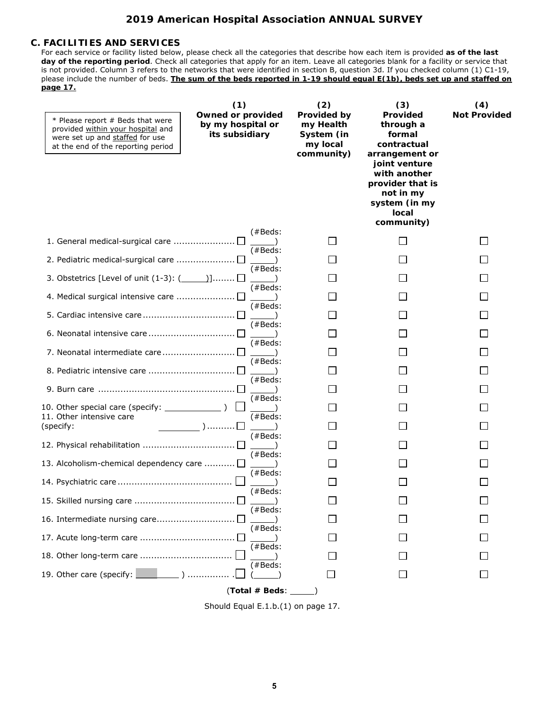#### **C. FACILITIES AND SERVICES**

For each service or facility listed below, please check all the categories that describe how each item is provided **as of the last day of the reporting period**. Check all categories that apply for an item. Leave all categories blank for a facility or service that is not provided. Column 3 refers to the networks that were identified in section B, question 3d. If you checked column (1) C1-19, please include the number of beds. **The sum of the beds reported in 1-19 should equal E(1b), beds set up and staffed on page 17.** 

| * Please report # Beds that were<br>provided within your hospital and<br>were set up and staffed for use<br>at the end of the reporting period | (1)<br>Owned or provided<br>by my hospital or<br>its subsidiary                         | (2)<br>Provided by<br>my Health<br>System (in<br>my local<br>community) | (3)<br>Provided<br>through a<br>formal<br>contractual<br>arrangement or<br>joint venture<br>with another<br>provider that is<br>not in my<br>system (in my<br>local<br>community) | (4)<br><b>Not Provided</b> |
|------------------------------------------------------------------------------------------------------------------------------------------------|-----------------------------------------------------------------------------------------|-------------------------------------------------------------------------|-----------------------------------------------------------------------------------------------------------------------------------------------------------------------------------|----------------------------|
|                                                                                                                                                | (#Beds:                                                                                 | ΙI                                                                      |                                                                                                                                                                                   |                            |
|                                                                                                                                                | #Beds:                                                                                  |                                                                         |                                                                                                                                                                                   |                            |
| 3. Obstetrics [Level of unit (1-3): (1997)                                                                                                     | (#Beds:                                                                                 |                                                                         |                                                                                                                                                                                   |                            |
|                                                                                                                                                | (#Beds:                                                                                 |                                                                         |                                                                                                                                                                                   |                            |
|                                                                                                                                                | (#Beds:                                                                                 |                                                                         |                                                                                                                                                                                   |                            |
|                                                                                                                                                | (#Beds:                                                                                 |                                                                         |                                                                                                                                                                                   |                            |
|                                                                                                                                                | (#Beds:                                                                                 |                                                                         |                                                                                                                                                                                   |                            |
|                                                                                                                                                | (#Beds:                                                                                 |                                                                         |                                                                                                                                                                                   |                            |
|                                                                                                                                                | (#Beds:                                                                                 |                                                                         |                                                                                                                                                                                   |                            |
| 10. Other special care (specify: ________________)                                                                                             | (#Beds:                                                                                 |                                                                         |                                                                                                                                                                                   |                            |
| 11. Other intensive care<br>(specify:                                                                                                          | (#Beds:<br>$\begin{array}{c} \begin{array}{c} \begin{array}{c} \end{array} \end{array}$ |                                                                         |                                                                                                                                                                                   |                            |
|                                                                                                                                                | #Beds:                                                                                  |                                                                         |                                                                                                                                                                                   |                            |
| 13. Alcoholism-chemical dependency care                                                                                                        | (#Beds:                                                                                 |                                                                         |                                                                                                                                                                                   |                            |
|                                                                                                                                                | (#Beds:                                                                                 |                                                                         |                                                                                                                                                                                   |                            |
|                                                                                                                                                | (#Beds:                                                                                 |                                                                         |                                                                                                                                                                                   |                            |
|                                                                                                                                                | (#Beds:                                                                                 |                                                                         |                                                                                                                                                                                   |                            |
|                                                                                                                                                | (#Beds:                                                                                 |                                                                         |                                                                                                                                                                                   |                            |
|                                                                                                                                                | (#Beds:                                                                                 |                                                                         |                                                                                                                                                                                   |                            |
|                                                                                                                                                | (#Beds:                                                                                 |                                                                         |                                                                                                                                                                                   |                            |
|                                                                                                                                                |                                                                                         |                                                                         |                                                                                                                                                                                   |                            |

(**Total # Beds**: )

Should Equal E.1.b.(1) on page 17.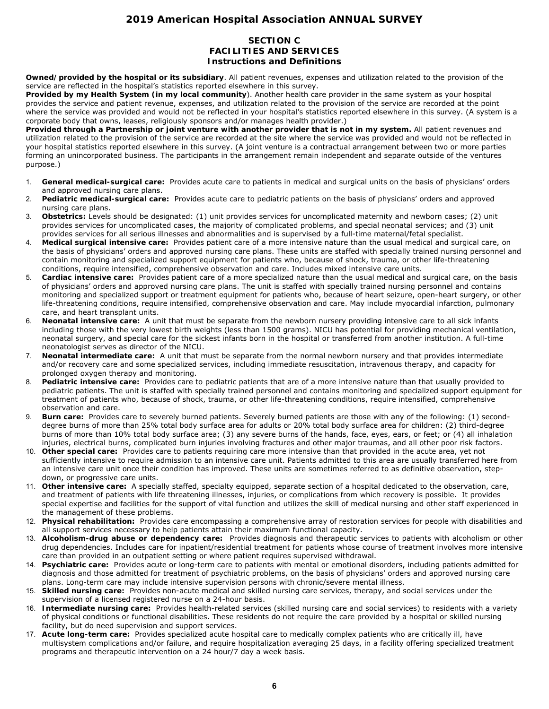### **SECTION C FACILITIES AND SERVICES Instructions and Definitions**

**Owned/provided by the hospital or its subsidiary**. All patient revenues, expenses and utilization related to the provision of the service are reflected in the hospital's statistics reported elsewhere in this survey.

**Provided by my Health System (in my local community**). Another health care provider in the same system as your hospital provides the service and patient revenue, expenses, and utilization related to the provision of the service are recorded at the point where the service was provided and would not be reflected in your hospital's statistics reported elsewhere in this survey. (A system is a corporate body that owns, leases, religiously sponsors and/or manages health provider.)

**Provided through a Partnership or joint venture with another provider that is not in my system.** All patient revenues and utilization related to the provision of the service are recorded at the site where the service was provided and would not be reflected in your hospital statistics reported elsewhere in this survey. (A joint venture is a contractual arrangement between two or more parties forming an unincorporated business. The participants in the arrangement remain independent and separate outside of the ventures purpose.)

- 1. **General medical-surgical care:** Provides acute care to patients in medical and surgical units on the basis of physicians' orders and approved nursing care plans.
- 2. **Pediatric medical-surgical care:** Provides acute care to pediatric patients on the basis of physicians' orders and approved nursing care plans.
- 3. **Obstetrics:** Levels should be designated: (1) unit provides services for uncomplicated maternity and newborn cases; (2) unit provides services for uncomplicated cases, the majority of complicated problems, and special neonatal services; and (3) unit provides services for all serious illnesses and abnormalities and is supervised by a full-time maternal/fetal specialist.
- 4. **Medical surgical intensive care:** Provides patient care of a more intensive nature than the usual medical and surgical care, on the basis of physicians' orders and approved nursing care plans. These units are staffed with specially trained nursing personnel and contain monitoring and specialized support equipment for patients who, because of shock, trauma, or other life-threatening conditions, require intensified, comprehensive observation and care. Includes mixed intensive care units.
- 5. **Cardiac intensive care:** Provides patient care of a more specialized nature than the usual medical and surgical care, on the basis of physicians' orders and approved nursing care plans. The unit is staffed with specially trained nursing personnel and contains monitoring and specialized support or treatment equipment for patients who, because of heart seizure, open-heart surgery, or other life-threatening conditions, require intensified, comprehensive observation and care. May include myocardial infarction, pulmonary care, and heart transplant units.
- 6. **Neonatal intensive care:** A unit that must be separate from the newborn nursery providing intensive care to all sick infants including those with the very lowest birth weights (less than 1500 grams). NICU has potential for providing mechanical ventilation, neonatal surgery, and special care for the sickest infants born in the hospital or transferred from another institution. A full-time neonatologist serves as director of the NICU.
- 7. **Neonatal intermediate care:** A unit that must be separate from the normal newborn nursery and that provides intermediate and/or recovery care and some specialized services, including immediate resuscitation, intravenous therapy, and capacity for prolonged oxygen therapy and monitoring.
- 8. **Pediatric intensive care:** Provides care to pediatric patients that are of a more intensive nature than that usually provided to pediatric patients. The unit is staffed with specially trained personnel and contains monitoring and specialized support equipment for treatment of patients who, because of shock, trauma, or other life-threatening conditions, require intensified, comprehensive observation and care.
- 9. **Burn care:** Provides care to severely burned patients. Severely burned patients are those with any of the following: (1) seconddegree burns of more than 25% total body surface area for adults or 20% total body surface area for children: (2) third-degree burns of more than 10% total body surface area; (3) any severe burns of the hands, face, eyes, ears, or feet; or (4) all inhalation injuries, electrical burns, complicated burn injuries involving fractures and other major traumas, and all other poor risk factors.
- 10. **Other special care:** Provides care to patients requiring care more intensive than that provided in the acute area, yet not sufficiently intensive to require admission to an intensive care unit. Patients admitted to this area are usually transferred here from an intensive care unit once their condition has improved. These units are sometimes referred to as definitive observation, stepdown, or progressive care units.
- 11. **Other intensive care:** A specially staffed, specialty equipped, separate section of a hospital dedicated to the observation, care, and treatment of patients with life threatening illnesses, injuries, or complications from which recovery is possible. It provides special expertise and facilities for the support of vital function and utilizes the skill of medical nursing and other staff experienced in the management of these problems.
- 12. **Physical rehabilitation:** Provides care encompassing a comprehensive array of restoration services for people with disabilities and all support services necessary to help patients attain their maximum functional capacity.
- 13. **Alcoholism-drug abuse or dependency care:** Provides diagnosis and therapeutic services to patients with alcoholism or other drug dependencies. Includes care for inpatient/residential treatment for patients whose course of treatment involves more intensive care than provided in an outpatient setting or where patient requires supervised withdrawal.
- 14. **Psychiatric care:** Provides acute or long-term care to patients with mental or emotional disorders, including patients admitted for diagnosis and those admitted for treatment of psychiatric problems, on the basis of physicians' orders and approved nursing care plans. Long-term care may include intensive supervision persons with chronic/severe mental illness.
- 15. **Skilled nursing care:** Provides non-acute medical and skilled nursing care services, therapy, and social services under the supervision of a licensed registered nurse on a 24-hour basis.
- 16. **Intermediate nursing care:** Provides health-related services (skilled nursing care and social services) to residents with a variety of physical conditions or functional disabilities. These residents do not require the care provided by a hospital or skilled nursing facility, but do need supervision and support services.
- 17. **Acute long-term care:** Provides specialized acute hospital care to medically complex patients who are critically ill, have multisystem complications and/or failure, and require hospitalization averaging 25 days, in a facility offering specialized treatment programs and therapeutic intervention on a 24 hour/7 day a week basis.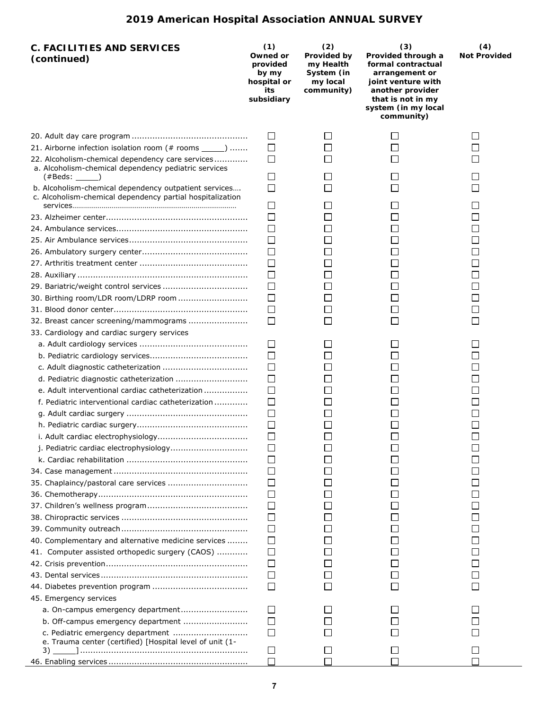| <b>C. FACILITIES AND SERVICES</b><br>(continued)                                                                   | (1)<br>Owned or<br>provided<br>by my<br>hospital or<br>its<br>subsidiary | (2)<br>Provided by<br>my Health<br>System (in<br>my local<br>community) | (3)<br>Provided through a<br>formal contractual<br>arrangement or<br>joint venture with<br>another provider<br>that is not in my<br>system (in my local<br>community) | (4)<br><b>Not Provided</b> |
|--------------------------------------------------------------------------------------------------------------------|--------------------------------------------------------------------------|-------------------------------------------------------------------------|-----------------------------------------------------------------------------------------------------------------------------------------------------------------------|----------------------------|
|                                                                                                                    | $\mathsf{L}$                                                             |                                                                         |                                                                                                                                                                       | ⊔                          |
| 21. Airborne infection isolation room (# rooms ______)                                                             | $\Box$                                                                   |                                                                         |                                                                                                                                                                       | $\Box$                     |
| 22. Alcoholism-chemical dependency care services                                                                   | П                                                                        |                                                                         |                                                                                                                                                                       | $\Box$                     |
| a. Alcoholism-chemical dependency pediatric services                                                               | $\mathsf{L}$                                                             |                                                                         |                                                                                                                                                                       | $\mathbf{L}$               |
| b. Alcoholism-chemical dependency outpatient services<br>c. Alcoholism-chemical dependency partial hospitalization | П<br>$\Box$                                                              |                                                                         |                                                                                                                                                                       | $\Box$<br>□                |
|                                                                                                                    | $\Box$                                                                   |                                                                         |                                                                                                                                                                       | $\Box$                     |
|                                                                                                                    | □                                                                        |                                                                         |                                                                                                                                                                       | □                          |
|                                                                                                                    | П                                                                        |                                                                         |                                                                                                                                                                       | □                          |
|                                                                                                                    | $\Box$                                                                   |                                                                         |                                                                                                                                                                       | □                          |
|                                                                                                                    | $\Box$                                                                   |                                                                         |                                                                                                                                                                       | □                          |
|                                                                                                                    | $\Box$                                                                   |                                                                         |                                                                                                                                                                       | $\Box$                     |
|                                                                                                                    | $\Box$                                                                   |                                                                         |                                                                                                                                                                       | $\Box$                     |
| 30. Birthing room/LDR room/LDRP room                                                                               | $\Box$                                                                   |                                                                         |                                                                                                                                                                       | $\Box$                     |
|                                                                                                                    | $\Box$                                                                   |                                                                         |                                                                                                                                                                       | $\Box$                     |
|                                                                                                                    | П                                                                        |                                                                         |                                                                                                                                                                       | $\Box$                     |
| 33. Cardiology and cardiac surgery services                                                                        |                                                                          |                                                                         |                                                                                                                                                                       |                            |
|                                                                                                                    | $\Box$                                                                   |                                                                         |                                                                                                                                                                       | ⊔                          |
|                                                                                                                    | П                                                                        |                                                                         |                                                                                                                                                                       | $\Box$                     |
|                                                                                                                    | $\Box$                                                                   |                                                                         |                                                                                                                                                                       | □                          |
|                                                                                                                    | □                                                                        |                                                                         |                                                                                                                                                                       | $\Box$                     |
| e. Adult interventional cardiac catheterization                                                                    | $\Box$                                                                   |                                                                         |                                                                                                                                                                       | $\Box$                     |
| f. Pediatric interventional cardiac catheterization                                                                | $\Box$                                                                   |                                                                         |                                                                                                                                                                       | $\Box$                     |
|                                                                                                                    | $\Box$                                                                   |                                                                         |                                                                                                                                                                       | $\Box$                     |
|                                                                                                                    | $\Box$                                                                   |                                                                         |                                                                                                                                                                       | $\Box$                     |
|                                                                                                                    | $\Box$                                                                   |                                                                         | П                                                                                                                                                                     | $\Box$                     |
|                                                                                                                    | ΙI                                                                       |                                                                         |                                                                                                                                                                       |                            |
|                                                                                                                    |                                                                          |                                                                         |                                                                                                                                                                       |                            |
|                                                                                                                    | П                                                                        |                                                                         |                                                                                                                                                                       |                            |
|                                                                                                                    | П                                                                        |                                                                         |                                                                                                                                                                       | $\mathcal{L}$              |
|                                                                                                                    | $\Box$                                                                   |                                                                         |                                                                                                                                                                       | $\Box$                     |
|                                                                                                                    | □                                                                        |                                                                         |                                                                                                                                                                       | ⊔                          |
|                                                                                                                    | $\Box$                                                                   |                                                                         |                                                                                                                                                                       | $\sqcup$                   |
|                                                                                                                    | $\Box$                                                                   |                                                                         |                                                                                                                                                                       | $\Box$                     |
| 40. Complementary and alternative medicine services                                                                | П                                                                        |                                                                         |                                                                                                                                                                       | $\Box$                     |
| 41. Computer assisted orthopedic surgery (CAOS)                                                                    | □                                                                        |                                                                         |                                                                                                                                                                       | П                          |
|                                                                                                                    | $\mathsf{L}$                                                             |                                                                         |                                                                                                                                                                       | $\sqcup$                   |
|                                                                                                                    | П                                                                        |                                                                         |                                                                                                                                                                       | $\Box$                     |
|                                                                                                                    | $\Box$                                                                   |                                                                         |                                                                                                                                                                       | $\Box$                     |
| 45. Emergency services                                                                                             |                                                                          |                                                                         |                                                                                                                                                                       |                            |
| a. On-campus emergency department                                                                                  | $\mathsf{L}$                                                             |                                                                         |                                                                                                                                                                       |                            |
|                                                                                                                    | ΙI                                                                       |                                                                         |                                                                                                                                                                       |                            |
| e. Trauma center (certified) [Hospital level of unit (1-                                                           | П                                                                        |                                                                         |                                                                                                                                                                       |                            |
| 3)                                                                                                                 | $\mathsf{L}$                                                             |                                                                         |                                                                                                                                                                       | $\mathsf{L}$               |
|                                                                                                                    |                                                                          |                                                                         |                                                                                                                                                                       |                            |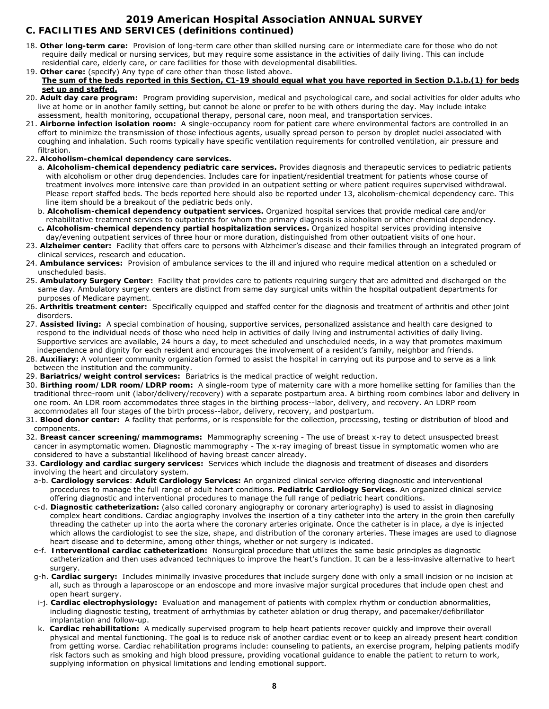# **2019 American Hospital Association ANNUAL SURVEY C. FACILITIES AND SERVICES (definitions continued)**

- 18. **Other long-term care:** Provision of long-term care other than skilled nursing care or intermediate care for those who do not require daily medical or nursing services, but may require some assistance in the activities of daily living. This can include residential care, elderly care, or care facilities for those with developmental disabilities.
- 19. **Other care:** (specify) Any type of care other than those listed above.
- **The sum of the beds reported in this Section, C1-19 should equal what you have reported in Section D.1.b.(1) for beds set up and staffed.**
- 20. **Adult day care program:** Program providing supervision, medical and psychological care, and social activities for older adults who live at home or in another family setting, but cannot be alone or prefer to be with others during the day. May include intake assessment, health monitoring, occupational therapy, personal care, noon meal, and transportation services.
- 21. **Airborne infection isolation room:** A single-occupancy room for patient care where environmental factors are controlled in an effort to minimize the transmission of those infectious agents, usually spread person to person by droplet nuclei associated with coughing and inhalation. Such rooms typically have specific ventilation requirements for controlled ventilation, air pressure and filtration.
- 22**. Alcoholism-chemical dependency care services.** 
	- a. **Alcoholism-chemical dependency pediatric care services.** Provides diagnosis and therapeutic services to pediatric patients with alcoholism or other drug dependencies. Includes care for inpatient/residential treatment for patients whose course of treatment involves more intensive care than provided in an outpatient setting or where patient requires supervised withdrawal. Please report staffed beds. The beds reported here should also be reported under 13, alcoholism-chemical dependency care. This line item should be a breakout of the pediatric beds only.
	- b. **Alcoholism-chemical dependency outpatient services.** Organized hospital services that provide medical care and/or rehabilitative treatment services to outpatients for whom the primary diagnosis is alcoholism or other chemical dependency.
	- c**. Alcoholism-chemical dependency partial hospitalization services.** Organized hospital services providing intensive
- day/evening outpatient services of three hour or more duration, distinguished from other outpatient visits of one hour. 23. **Alzheimer center:** Facility that offers care to persons with Alzheimer's disease and their families through an integrated program of clinical services, research and education.
- 24. **Ambulance services:** Provision of ambulance services to the ill and injured who require medical attention on a scheduled or unscheduled basis.
- 25. **Ambulatory Surgery Center:** Facility that provides care to patients requiring surgery that are admitted and discharged on the same day. Ambulatory surgery centers are distinct from same day surgical units within the hospital outpatient departments for purposes of Medicare payment.
- 26. **Arthritis treatment center:** Specifically equipped and staffed center for the diagnosis and treatment of arthritis and other joint disorders.
- 27. **Assisted living:** A special combination of housing, supportive services, personalized assistance and health care designed to respond to the individual needs of those who need help in activities of daily living and instrumental activities of daily living. Supportive services are available, 24 hours a day, to meet scheduled and unscheduled needs, in a way that promotes maximum independence and dignity for each resident and encourages the involvement of a resident's family, neighbor and friends.
- 28. **Auxiliary:** A volunteer community organization formed to assist the hospital in carrying out its purpose and to serve as a link between the institution and the community.
- 29. **Bariatrics/weight control services:** Bariatrics is the medical practice of weight reduction.
- 30. **Birthing room/LDR room/LDRP room:** A single-room type of maternity care with a more homelike setting for families than the traditional three-room unit (labor/delivery/recovery) with a separate postpartum area. A birthing room combines labor and delivery in one room. An LDR room accommodates three stages in the birthing process--labor, delivery, and recovery. An LDRP room accommodates all four stages of the birth process--labor, delivery, recovery, and postpartum.
- 31. **Blood donor center:** A facility that performs, or is responsible for the collection, processing, testing or distribution of blood and components.
- 32. **Breast cancer screening/mammograms:** Mammography screening The use of breast x-ray to detect unsuspected breast cancer in asymptomatic women. Diagnostic mammography - The x-ray imaging of breast tissue in symptomatic women who are considered to have a substantial likelihood of having breast cancer already.
- 33. **Cardiology and cardiac surgery services:** Services which include the diagnosis and treatment of diseases and disorders involving the heart and circulatory system.
	- a-b. **Cardiology services**: **Adult Cardiology Services:** An organized clinical service offering diagnostic and interventional procedures to manage the full range of adult heart conditions. **Pediatric Cardiology Services**. An organized clinical service offering diagnostic and interventional procedures to manage the full range of pediatric heart conditions.
	- c-d. **Diagnostic catheterization:** (also called coronary angiography or coronary arteriography) is used to assist in diagnosing complex heart conditions. Cardiac angiography involves the insertion of a tiny catheter into the artery in the groin then carefully threading the catheter up into the aorta where the coronary arteries originate. Once the catheter is in place, a dye is injected which allows the cardiologist to see the size, shape, and distribution of the coronary arteries. These images are used to diagnose heart disease and to determine, among other things, whether or not surgery is indicated.
	- e-f. **Interventional cardiac catheterization:** Nonsurgical procedure that utilizes the same basic principles as diagnostic catheterization and then uses advanced techniques to improve the heart's function. It can be a less-invasive alternative to heart surgery.
	- g-h. **Cardiac surgery:** Includes minimally invasive procedures that include surgery done with only a small incision or no incision at all, such as through a laparoscope or an endoscope and more invasive major surgical procedures that include open chest and open heart surgery.
	- i-j. **Cardiac electrophysiology:** Evaluation and management of patients with complex rhythm or conduction abnormalities, including diagnostic testing, treatment of arrhythmias by catheter ablation or drug therapy, and pacemaker/defibrillator implantation and follow-up.
	- k. **Cardiac rehabilitation:** A medically supervised program to help heart patients recover quickly and improve their overall physical and mental functioning. The goal is to reduce risk of another cardiac event or to keep an already present heart condition from getting worse. Cardiac rehabilitation programs include: counseling to patients, an exercise program, helping patients modify risk factors such as smoking and high blood pressure, providing vocational guidance to enable the patient to return to work, supplying information on physical limitations and lending emotional support.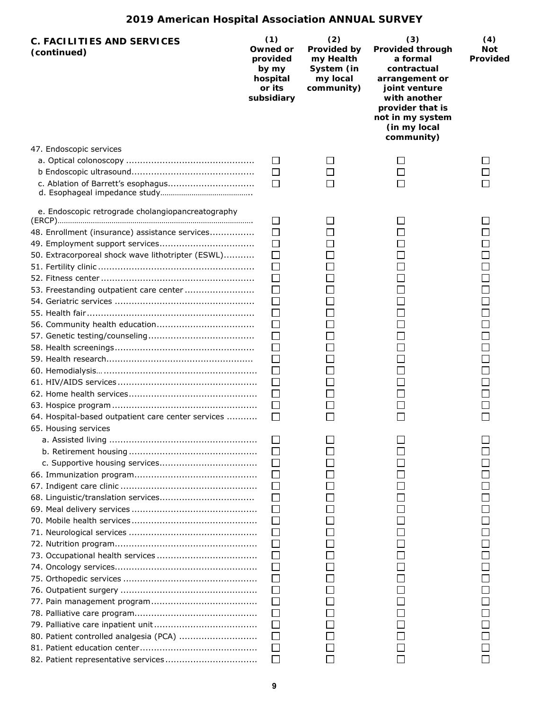| <b>C. FACILITIES AND SERVICES</b><br>(continued)                                                        | (1)<br>Owned or<br>provided<br>by my<br>hospital<br>or its<br>subsidiary                               | (2)<br>Provided by<br>my Health<br>System (in<br>my local<br>community) | (3)<br><b>Provided through</b><br>a formal<br>contractual<br>arrangement or<br>joint venture<br>with another<br>provider that is<br>not in my system<br>(in my local<br>community) | (4)<br><b>Not</b><br>Provided |
|---------------------------------------------------------------------------------------------------------|--------------------------------------------------------------------------------------------------------|-------------------------------------------------------------------------|------------------------------------------------------------------------------------------------------------------------------------------------------------------------------------|-------------------------------|
| 47. Endoscopic services                                                                                 | ⊔<br>$\Box$<br>$\Box$                                                                                  | ப<br>U<br>$\mathsf{L}$                                                  | ⊔<br>П<br>П                                                                                                                                                                        | ப<br>$\mathsf{L}$<br>ΙI       |
| e. Endoscopic retrograde cholangiopancreatography<br>48. Enrollment (insurance) assistance services     | ⊔<br>$\Box$                                                                                            | $\mathsf{L}$                                                            | П<br>H                                                                                                                                                                             | $\mathsf{L}$                  |
| 50. Extracorporeal shock wave lithotripter (ESWL)<br>64. Hospital-based outpatient care center services | ΙI<br>П<br>$\Box$<br>$\Box$<br>$\Box$<br>$\Box$<br>П<br>$\Box$<br>□<br>$\Box$<br>$\Box$<br>⊔<br>$\Box$ |                                                                         | $\Box$<br>$\Box$<br>$\Box$<br>$\Box$<br>$\Box$<br>$\Box$<br>$\Box$<br>$\Box$<br>$\Box$<br>$\Box$<br>$\Box$                                                                         |                               |
| 65. Housing services<br>80. Patient controlled analgesia (PCA)                                          | $\perp$<br>$\Box$<br>$\Box$<br>$\Box$<br>$\Box$<br>ΙI<br>П                                             |                                                                         |                                                                                                                                                                                    |                               |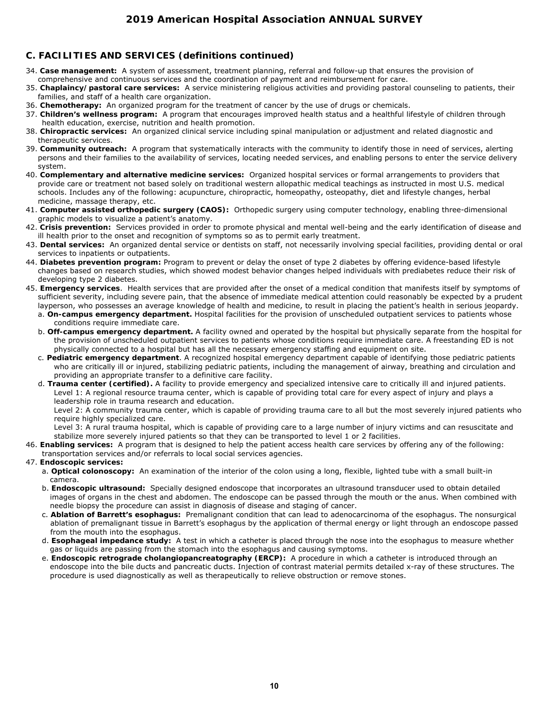# **C. FACILITIES AND SERVICES (definitions continued)**

- 34. **Case management:** A system of assessment, treatment planning, referral and follow-up that ensures the provision of comprehensive and continuous services and the coordination of payment and reimbursement for care.
- 35. **Chaplaincy/pastoral care services:** A service ministering religious activities and providing pastoral counseling to patients, their families, and staff of a health care organization.
- 36. **Chemotherapy:** An organized program for the treatment of cancer by the use of drugs or chemicals.
- 37. **Children's wellness program:** A program that encourages improved health status and a healthful lifestyle of children through health education, exercise, nutrition and health promotion.
- 38. **Chiropractic services:** An organized clinical service including spinal manipulation or adjustment and related diagnostic and therapeutic services.
- 39. **Community outreach:** A program that systematically interacts with the community to identify those in need of services, alerting persons and their families to the availability of services, locating needed services, and enabling persons to enter the service delivery system.
- 40. **Complementary and alternative medicine services:** Organized hospital services or formal arrangements to providers that provide care or treatment not based solely on traditional western allopathic medical teachings as instructed in most U.S. medical schools. Includes any of the following: acupuncture, chiropractic, homeopathy, osteopathy, diet and lifestyle changes, herbal medicine, massage therapy, etc.
- 41. **Computer assisted orthopedic surgery (CAOS):** Orthopedic surgery using computer technology, enabling three-dimensional graphic models to visualize a patient's anatomy.
- 42. **Crisis prevention:** Services provided in order to promote physical and mental well-being and the early identification of disease and ill health prior to the onset and recognition of symptoms so as to permit early treatment.
- 43. **Dental services:** An organized dental service or dentists on staff, not necessarily involving special facilities, providing dental or oral services to inpatients or outpatients.
- 44. **Diabetes prevention program:** Program to prevent or delay the onset of type 2 diabetes by offering evidence-based lifestyle changes based on research studies, which showed modest behavior changes helped individuals with prediabetes reduce their risk of developing type 2 diabetes.
- 45. **Emergency services**. Health services that are provided after the onset of a medical condition that manifests itself by symptoms of sufficient severity, including severe pain, that the absence of immediate medical attention could reasonably be expected by a prudent layperson, who possesses an average knowledge of health and medicine, to result in placing the patient's health in serious jeopardy.
	- a. **On-campus emergency department.** Hospital facilities for the provision of unscheduled outpatient services to patients whose conditions require immediate care.
	- b. **Off-campus emergency department.** A facility owned and operated by the hospital but physically separate from the hospital for the provision of unscheduled outpatient services to patients whose conditions require immediate care. A freestanding ED is not physically connected to a hospital but has all the necessary emergency staffing and equipment on site.
	- c. **Pediatric emergency department**. A recognized hospital emergency department capable of identifying those pediatric patients who are critically ill or injured, stabilizing pediatric patients, including the management of airway, breathing and circulation and providing an appropriate transfer to a definitive care facility.
	- d. **Trauma center (certified).** A facility to provide emergency and specialized intensive care to critically ill and injured patients. Level 1: A regional resource trauma center, which is capable of providing total care for every aspect of injury and plays a leadership role in trauma research and education.

Level 2: A community trauma center, which is capable of providing trauma care to all but the most severely injured patients who require highly specialized care.

Level 3: A rural trauma hospital, which is capable of providing care to a large number of injury victims and can resuscitate and stabilize more severely injured patients so that they can be transported to level 1 or 2 facilities.

46. **Enabling services:** A program that is designed to help the patient access health care services by offering any of the following: transportation services and/or referrals to local social services agencies.

- 47. **Endoscopic services:** 
	- a. **Optical colonoscopy:** An examination of the interior of the colon using a long, flexible, lighted tube with a small built-in camera.
	- b. **Endoscopic ultrasound:** Specially designed endoscope that incorporates an ultrasound transducer used to obtain detailed images of organs in the chest and abdomen. The endoscope can be passed through the mouth or the anus. When combined with needle biopsy the procedure can assist in diagnosis of disease and staging of cancer.
	- c. **Ablation of Barrett's esophagus:** Premalignant condition that can lead to adenocarcinoma of the esophagus. The nonsurgical ablation of premalignant tissue in Barrett's esophagus by the application of thermal energy or light through an endoscope passed from the mouth into the esophagus.
	- d. **Esophageal impedance study:** A test in which a catheter is placed through the nose into the esophagus to measure whether gas or liquids are passing from the stomach into the esophagus and causing symptoms.
	- e. **Endoscopic retrograde cholangiopancreatography (ERCP):** A procedure in which a catheter is introduced through an endoscope into the bile ducts and pancreatic ducts. Injection of contrast material permits detailed x-ray of these structures. The procedure is used diagnostically as well as therapeutically to relieve obstruction or remove stones.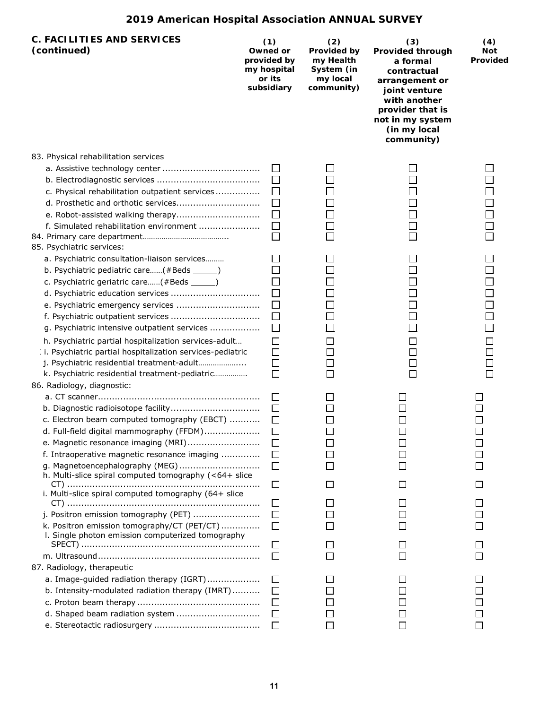| <b>C. FACILITIES AND SERVICES</b><br>(continued)                                                                                                                                                                                                                                                                                                                                                                                                                                                                                            | (1)<br>Owned or<br>provided by<br>my hospital<br>or its<br>subsidiary                 | (2)<br>Provided by<br>my Health<br>System (in<br>my local<br>community) | (3)<br><b>Provided through</b><br>a formal<br>contractual<br>arrangement or<br>joint venture<br>with another<br>provider that is<br>not in my system<br>(in my local<br>community) | (4)<br>Not<br>Provided             |
|---------------------------------------------------------------------------------------------------------------------------------------------------------------------------------------------------------------------------------------------------------------------------------------------------------------------------------------------------------------------------------------------------------------------------------------------------------------------------------------------------------------------------------------------|---------------------------------------------------------------------------------------|-------------------------------------------------------------------------|------------------------------------------------------------------------------------------------------------------------------------------------------------------------------------|------------------------------------|
| 83. Physical rehabilitation services<br>c. Physical rehabilitation outpatient services<br>f. Simulated rehabilitation environment                                                                                                                                                                                                                                                                                                                                                                                                           | $\mathbf{I}$                                                                          |                                                                         |                                                                                                                                                                                    | $\Box$                             |
| 85. Psychiatric services:<br>a. Psychiatric consultation-liaison services<br>b. Psychiatric pediatric care (#Beds _____)<br>c. Psychiatric geriatric care(#Beds _____)<br>e. Psychiatric emergency services<br>g. Psychiatric intensive outpatient services<br>h. Psychiatric partial hospitalization services-adult<br>I i. Psychiatric partial hospitalization services-pediatric<br>j. Psychiatric residential treatment-adult<br>k. Psychiatric residential treatment-pediatric                                                         | $\Box$<br>$\Box$<br>П<br>$\Box$<br>$\Box$<br>$\Box$<br>П                              | $\Box$<br>$\Box$<br>$\Box$<br>П                                         | $\Box$<br>$\Box$<br>$\Box$<br>□<br>П                                                                                                                                               | 0000<br>$\Box$<br>$\Box$<br>$\Box$ |
| 86. Radiology, diagnostic:<br>c. Electron beam computed tomography (EBCT)<br>d. Full-field digital mammography (FFDM)<br>e. Magnetic resonance imaging (MRI)<br>f. Intraoperative magnetic resonance imaging<br>g. Magnetoencephalography (MEG)<br>h. Multi-slice spiral computed tomography (<64+ slice<br>i. Multi-slice spiral computed tomography (64+ slice<br>j. Positron emission tomography (PET)<br>k. Positron emission tomography/CT (PET/CT)<br>I. Single photon emission computerized tomography<br>87. Radiology, therapeutic | ப<br>$\perp$<br>ப<br>□<br>ப<br>ப<br>$\mathsf{L}$<br>$\perp$<br>$\mathsf{L}$<br>$\Box$ | □                                                                       | $\overline{\phantom{a}}$<br>$\overline{\phantom{a}}$<br>ப                                                                                                                          | $\Box$<br>$\Box$                   |
| a. Image-guided radiation therapy (IGRT)<br>b. Intensity-modulated radiation therapy (IMRT)<br>d. Shaped beam radiation system                                                                                                                                                                                                                                                                                                                                                                                                              | $\mathsf{L}$<br>$\Box$<br>$\Box$<br>П                                                 |                                                                         |                                                                                                                                                                                    |                                    |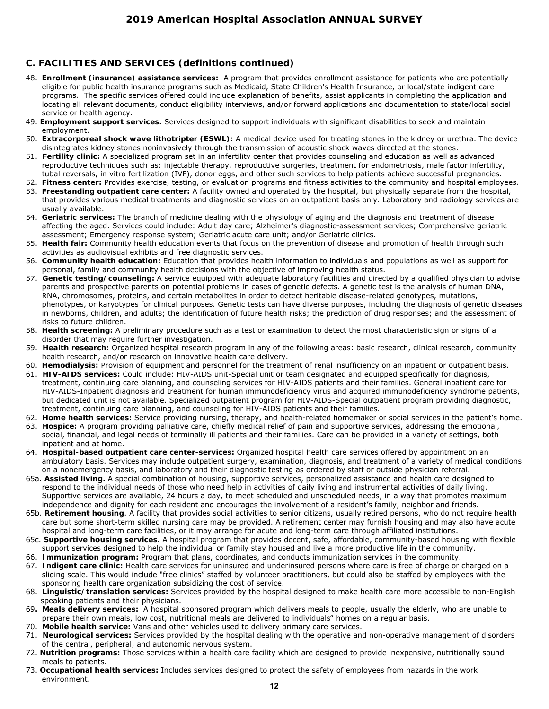# **C. FACILITIES AND SERVICES (definitions continued)**

- 48. **Enrollment (insurance) assistance services:** A program that provides enrollment assistance for patients who are potentially eligible for public health insurance programs such as Medicaid, State Children's Health Insurance, or local/state indigent care programs. The specific services offered could include explanation of benefits, assist applicants in completing the application and locating all relevant documents, conduct eligibility interviews, and/or forward applications and documentation to state/local social service or health agency.
- 49. **Employment support services.** Services designed to support individuals with significant disabilities to seek and maintain employment.
- 50. **Extracorporeal shock wave lithotripter (ESWL):** A medical device used for treating stones in the kidney or urethra. The device disintegrates kidney stones noninvasively through the transmission of acoustic shock waves directed at the stones.
- 51. **Fertility clinic:** A specialized program set in an infertility center that provides counseling and education as well as advanced reproductive techniques such as: injectable therapy, reproductive surgeries, treatment for endometriosis, male factor infertility, tubal reversals, in vitro fertilization (IVF), donor eggs, and other such services to help patients achieve successful pregnancies.
- 52. **Fitness center:** Provides exercise, testing, or evaluation programs and fitness activities to the community and hospital employees.
- 53. **Freestanding outpatient care center:** A facility owned and operated by the hospital, but physically separate from the hospital, that provides various medical treatments and diagnostic services on an outpatient basis only. Laboratory and radiology services are usually available.
- 54. **Geriatric services:** The branch of medicine dealing with the physiology of aging and the diagnosis and treatment of disease affecting the aged. Services could include: Adult day care; Alzheimer's diagnostic-assessment services; Comprehensive geriatric assessment; Emergency response system; Geriatric acute care unit; and/or Geriatric clinics.
- 55. **Health fair:** Community health education events that focus on the prevention of disease and promotion of health through such activities as audiovisual exhibits and free diagnostic services.
- 56. **Community health education:** Education that provides health information to individuals and populations as well as support for personal, family and community health decisions with the objective of improving health status.
- 57. **Genetic testing/counseling:** A service equipped with adequate laboratory facilities and directed by a qualified physician to advise parents and prospective parents on potential problems in cases of genetic defects. A genetic test is the analysis of human DNA, RNA, chromosomes, proteins, and certain metabolites in order to detect heritable disease-related genotypes, mutations, phenotypes, or karyotypes for clinical purposes. Genetic tests can have diverse purposes, including the diagnosis of genetic diseases in newborns, children, and adults; the identification of future health risks; the prediction of drug responses; and the assessment of risks to future children.
- 58. **Health screening:** A preliminary procedure such as a test or examination to detect the most characteristic sign or signs of a disorder that may require further investigation.
- 59. **Health research:** Organized hospital research program in any of the following areas: basic research, clinical research, community health research, and/or research on innovative health care delivery.
- 60. **Hemodialysis:** Provision of equipment and personnel for the treatment of renal insufficiency on an inpatient or outpatient basis. 61. **HIV-AIDS services:** Could include: HIV-AIDS unit-Special unit or team designated and equipped specifically for diagnosis, treatment, continuing care planning, and counseling services for HIV-AIDS patients and their families. General inpatient care for HIV-AIDS-Inpatient diagnosis and treatment for human immunodeficiency virus and acquired immunodeficiency syndrome patients, but dedicated unit is not available. Specialized outpatient program for HIV-AIDS-Special outpatient program providing diagnostic, treatment, continuing care planning, and counseling for HIV-AIDS patients and their families.
- 62. **Home health services:** Service providing nursing, therapy, and health-related homemaker or social services in the patient's home.
- 63. **Hospice:** A program providing palliative care, chiefly medical relief of pain and supportive services, addressing the emotional, social, financial, and legal needs of terminally ill patients and their families. Care can be provided in a variety of settings, both inpatient and at home.
- 64. **Hospital-based outpatient care center-services:** Organized hospital health care services offered by appointment on an ambulatory basis. Services may include outpatient surgery, examination, diagnosis, and treatment of a variety of medical conditions on a nonemergency basis, and laboratory and their diagnostic testing as ordered by staff or outside physician referral.
- 65a. **Assisted living.** A special combination of housing, supportive services, personalized assistance and health care designed to respond to the individual needs of those who need help in activities of daily living and instrumental activities of daily living. Supportive services are available, 24 hours a day, to meet scheduled and unscheduled needs, in a way that promotes maximum independence and dignity for each resident and encourages the involvement of a resident's family, neighbor and friends.
- 65b. **Retirement housing**. A facility that provides social activities to senior citizens, usually retired persons, who do not require health care but some short-term skilled nursing care may be provided. A retirement center may furnish housing and may also have acute hospital and long-term care facilities, or it may arrange for acute and long-term care through affiliated institutions.
- 65c. **Supportive housing services.** A hospital program that provides decent, safe, affordable, community-based housing with flexible support services designed to help the individual or family stay housed and live a more productive life in the community. 66. **Immunization program:** Program that plans, coordinates, and conducts immunization services in the community.
- 67. **Indigent care clinic:** Health care services for uninsured and underinsured persons where care is free of charge or charged on a sliding scale. This would include "free clinics" staffed by volunteer practitioners, but could also be staffed by employees with the sponsoring health care organization subsidizing the cost of service.
- 68. **Linguistic/translation services:** Services provided by the hospital designed to make health care more accessible to non-English speaking patients and their physicians.
- 69**. Meals delivery services:** A hospital sponsored program which delivers meals to people, usually the elderly, who are unable to prepare their own meals, low cost, nutritional meals are delivered to individuals" homes on a regular basis.
- 70. **Mobile health service:** Vans and other vehicles used to delivery primary care services.
- 71. **Neurological services:** Services provided by the hospital dealing with the operative and non-operative management of disorders of the central, peripheral, and autonomic nervous system.
- 72. **Nutrition programs:** Those services within a health care facility which are designed to provide inexpensive, nutritionally sound meals to patients.
- 73. **Occupational health services:** Includes services designed to protect the safety of employees from hazards in the work environment.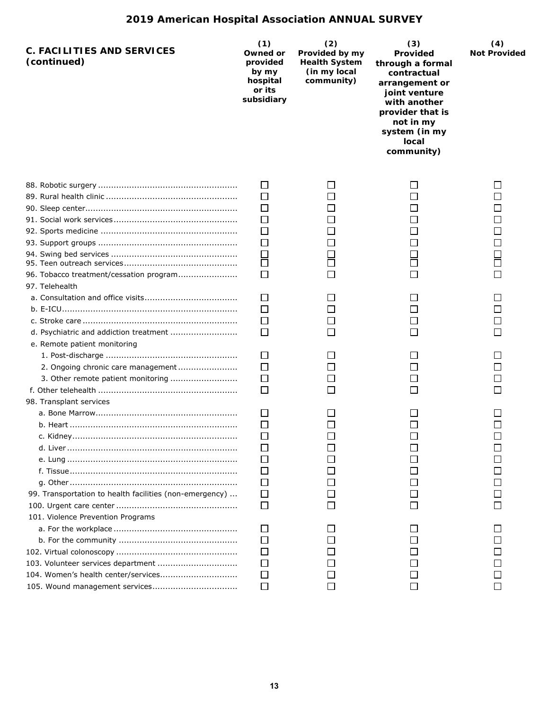| <b>C. FACILITIES AND SERVICES</b><br>(continued)                        | (1)<br>Owned or<br>provided<br>by my<br>hospital<br>or its<br>subsidiary | (2)<br>Provided by my<br><b>Health System</b><br>(in my local<br>community) | (3)<br><b>Provided</b><br>through a formal<br>contractual<br>arrangement or<br>joint venture<br>with another<br>provider that is<br>not in my<br>system (in my<br>local<br>community) | (4)<br><b>Not Provided</b> |
|-------------------------------------------------------------------------|--------------------------------------------------------------------------|-----------------------------------------------------------------------------|---------------------------------------------------------------------------------------------------------------------------------------------------------------------------------------|----------------------------|
| 97. Telehealth                                                          | ப<br>П<br>$\Box$<br>$\Box$<br>$\Box$<br>□<br>$\Box$<br>Ō<br>$\Box$       |                                                                             | ΙI                                                                                                                                                                                    |                            |
| d. Psychiatric and addiction treatment<br>e. Remote patient monitoring  | $\mathbf{L}$<br>$\Box$<br>$\Box$<br>$\Box$                               |                                                                             |                                                                                                                                                                                       |                            |
| 98. Transplant services                                                 | $\Box$<br>$\Box$<br>$\Box$<br>$\Box$                                     |                                                                             |                                                                                                                                                                                       |                            |
| 99. Transportation to health facilities (non-emergency)                 | $\Box$<br>$\Box$<br>┍<br>$\Box$<br>$\Box$<br>$\Box$<br>$\Box$<br>П       |                                                                             |                                                                                                                                                                                       |                            |
| 101. Violence Prevention Programs<br>103. Volunteer services department | $\mathbf{L}$<br>$\Box$<br>$\Box$<br>$\Box$<br>ப                          |                                                                             |                                                                                                                                                                                       |                            |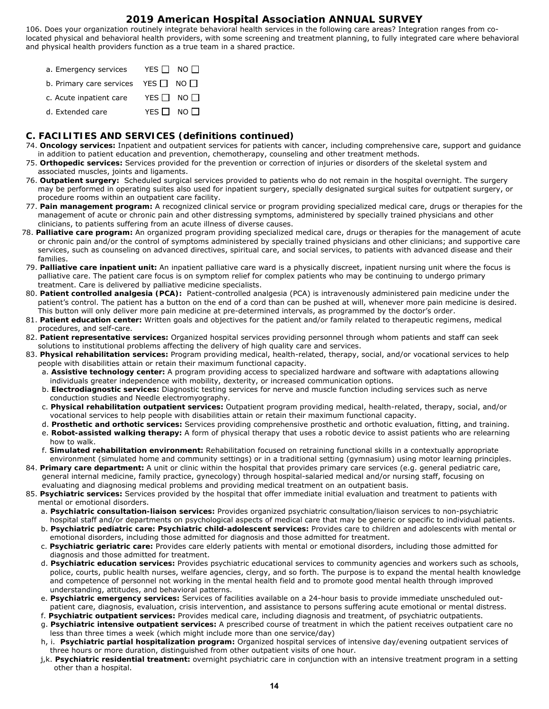106. Does your organization routinely integrate behavioral health services in the following care areas? Integration ranges from colocated physical and behavioral health providers, with some screening and treatment planning, to fully integrated care where behavioral and physical health providers function as a true team in a shared practice.

| a. Emergency services                       | YES $\Box$ NO $\Box$ |  |
|---------------------------------------------|----------------------|--|
| b. Primary care services $YES \Box NO \Box$ |                      |  |
| c. Acute inpatient care                     | YES $\Box$ NO $\Box$ |  |
| d. Extended care                            | YES $\Box$ NO $\Box$ |  |
|                                             |                      |  |

### **C. FACILITIES AND SERVICES (definitions continued)**

- 74. **Oncology services:** Inpatient and outpatient services for patients with cancer, including comprehensive care, support and guidance in addition to patient education and prevention, chemotherapy, counseling and other treatment methods.
- 75. **Orthopedic services:** Services provided for the prevention or correction of injuries or disorders of the skeletal system and associated muscles, joints and ligaments.
- 76. **Outpatient surgery:** Scheduled surgical services provided to patients who do not remain in the hospital overnight. The surgery may be performed in operating suites also used for inpatient surgery, specially designated surgical suites for outpatient surgery, or procedure rooms within an outpatient care facility.
- 77. **Pain management program:** A recognized clinical service or program providing specialized medical care, drugs or therapies for the management of acute or chronic pain and other distressing symptoms, administered by specially trained physicians and other clinicians, to patients suffering from an acute illness of diverse causes.
- 78. **Palliative care program:** An organized program providing specialized medical care, drugs or therapies for the management of acute or chronic pain and/or the control of symptoms administered by specially trained physicians and other clinicians; and supportive care services, such as counseling on advanced directives, spiritual care, and social services, to patients with advanced disease and their families.
- 79. **Palliative care inpatient unit:** An inpatient palliative care ward is a physically discreet, inpatient nursing unit where the focus is palliative care. The patient care focus is on symptom relief for complex patients who may be continuing to undergo primary treatment. Care is delivered by palliative medicine specialists.
- 80. **Patient controlled analgesia (PCA):** Patient-controlled analgesia (PCA) is intravenously administered pain medicine under the patient's control. The patient has a button on the end of a cord than can be pushed at will, whenever more pain medicine is desired. This button will only deliver more pain medicine at pre-determined intervals, as programmed by the doctor's order.
- 81. **Patient education center:** Written goals and objectives for the patient and/or family related to therapeutic regimens, medical procedures, and self-care.
- 82. **Patient representative services:** Organized hospital services providing personnel through whom patients and staff can seek solutions to institutional problems affecting the delivery of high quality care and services.
- 83. **Physical rehabilitation services:** Program providing medical, health-related, therapy, social, and/or vocational services to help people with disabilities attain or retain their maximum functional capacity.
	- a. **Assistive technology center:** A program providing access to specialized hardware and software with adaptations allowing individuals greater independence with mobility, dexterity, or increased communication options.
	- b. **Electrodiagnostic services:** Diagnostic testing services for nerve and muscle function including services such as nerve conduction studies and Needle electromyography.
	- c. **Physical rehabilitation outpatient services:** Outpatient program providing medical, health-related, therapy, social, and/or vocational services to help people with disabilities attain or retain their maximum functional capacity.
	- d. **Prosthetic and orthotic services:** Services providing comprehensive prosthetic and orthotic evaluation, fitting, and training. e. **Robot-assisted walking therapy:** A form of physical therapy that uses a robotic device to assist patients who are relearning how to walk.
	- f. **Simulated rehabilitation environment:** Rehabilitation focused on retraining functional skills in a contextually appropriate environment (simulated home and community settings) or in a traditional setting (gymnasium) using motor learning principles.
- 84. **Primary care department:** A unit or clinic within the hospital that provides primary care services (e.g. general pediatric care, general internal medicine, family practice, gynecology) through hospital-salaried medical and/or nursing staff, focusing on evaluating and diagnosing medical problems and providing medical treatment on an outpatient basis.
- 85. **Psychiatric services:** Services provided by the hospital that offer immediate initial evaluation and treatment to patients with mental or emotional disorders.
	- a. **Psychiatric consultation-liaison services:** Provides organized psychiatric consultation/liaison services to non-psychiatric hospital staff and/or departments on psychological aspects of medical care that may be generic or specific to individual patients.
	- b. **Psychiatric pediatric care: Psychiatric child-adolescent services:** Provides care to children and adolescents with mental or emotional disorders, including those admitted for diagnosis and those admitted for treatment.
	- c. **Psychiatric geriatric care:** Provides care elderly patients with mental or emotional disorders, including those admitted for diagnosis and those admitted for treatment.
	- d. **Psychiatric education services:** Provides psychiatric educational services to community agencies and workers such as schools, police, courts, public health nurses, welfare agencies, clergy, and so forth. The purpose is to expand the mental health knowledge and competence of personnel not working in the mental health field and to promote good mental health through improved understanding, attitudes, and behavioral patterns.
	- e. **Psychiatric emergency services:** Services of facilities available on a 24-hour basis to provide immediate unscheduled outpatient care, diagnosis, evaluation, crisis intervention, and assistance to persons suffering acute emotional or mental distress.
	- f. **Psychiatric outpatient services:** Provides medical care, including diagnosis and treatment, of psychiatric outpatients.
	- g. **Psychiatric intensive outpatient services:** A prescribed course of treatment in which the patient receives outpatient care no less than three times a week (which might include more than one service/day)
	- h, i. **Psychiatric partial hospitalization program:** Organized hospital services of intensive day/evening outpatient services of three hours or more duration, distinguished from other outpatient visits of one hour.
	- j,k. **Psychiatric residential treatment:** overnight psychiatric care in conjunction with an intensive treatment program in a setting other than a hospital.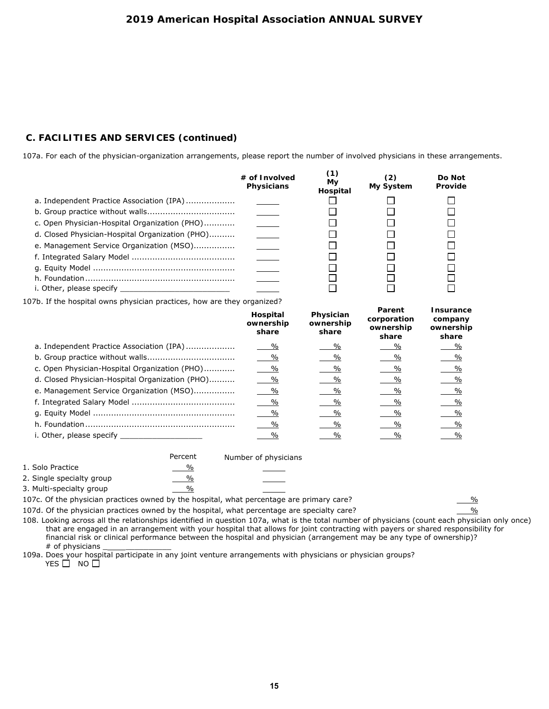# **C. FACILITIES AND SERVICES (continued)**

107a. For each of the physician-organization arrangements, please report the number of involved physicians in these arrangements.

|                                                                                                                | # of Involved<br><b>Physicians</b> | (1)<br>My<br>Hospital | (2)<br>My System | Do Not<br>Provide |
|----------------------------------------------------------------------------------------------------------------|------------------------------------|-----------------------|------------------|-------------------|
| a. Independent Practice Association (IPA)                                                                      |                                    |                       |                  |                   |
|                                                                                                                |                                    |                       |                  |                   |
| c. Open Physician-Hospital Organization (PHO)                                                                  |                                    |                       |                  |                   |
| d. Closed Physician-Hospital Organization (PHO)                                                                |                                    |                       |                  |                   |
| e. Management Service Organization (MSO)                                                                       |                                    |                       |                  |                   |
|                                                                                                                |                                    |                       |                  |                   |
|                                                                                                                |                                    |                       |                  |                   |
|                                                                                                                |                                    |                       |                  |                   |
| i. Other, please specify and the state of the state of the state of the state of the state of the state of the |                                    |                       |                  |                   |
| 107b. If the hospital owns physician practices, how are they organized?                                        |                                    |                       | Parent           | Insurance         |

|                                                 | Hospital<br>ownership<br>share | Physician<br>ownership<br>share | .<br>corporation<br>ownership<br>share | 111341 GHO<br>company<br>ownership<br>share |
|-------------------------------------------------|--------------------------------|---------------------------------|----------------------------------------|---------------------------------------------|
| a. Independent Practice Association (IPA)       | $\%$                           | $\%$                            | $\%$                                   | $\%$                                        |
|                                                 | $\frac{0}{0}$                  | $\frac{0}{0}$                   | $\%$                                   | $\%$                                        |
| c. Open Physician-Hospital Organization (PHO)   | $\%$                           | $\%$                            | $\%$                                   | $\%$                                        |
| d. Closed Physician-Hospital Organization (PHO) | $\%$                           | $\%$                            | $\%$                                   | $\%$                                        |
| e. Management Service Organization (MSO)        | $\%$                           | $\frac{1}{2}$                   | $\frac{1}{2}$                          | $\%$                                        |
|                                                 | $\frac{1}{2}$                  | $\frac{1}{2}$                   | $\%$                                   | $\%$                                        |
|                                                 | $\frac{0}{0}$                  | $\frac{0}{0}$                   | $\%$                                   | %                                           |
|                                                 | $\frac{0}{0}$                  | $\frac{0}{0}$                   | $\%$                                   | %                                           |
|                                                 | $\%$                           | $\%$                            | $\%$                                   | $\%$                                        |

|                           | Percent       | Number of physicians |
|---------------------------|---------------|----------------------|
| 1. Solo Practice          | %             |                      |
| 2. Single specialty group | %             |                      |
| 3. Multi-specialty group  | $\frac{0}{0}$ |                      |

107c. Of the physician practices owned by the hospital, what percentage are primary care?  $\frac{96}{100}$ 

107d. Of the physician practices owned by the hospital, what percentage are specialty care?  $\%$ 108. Looking across all the relationships identified in question 107a, what is the total number of physicians (count each physician only once) that are engaged in an arrangement with your hospital that allows for joint contracting with payers or shared responsibility for financial risk or clinical performance between the hospital and physician (arrangement may be any type of ownership)?

# of physicians 109a. Does your hospital participate in any joint venture arrangements with physicians or physician groups?

YES  $\Box$  NO  $\Box$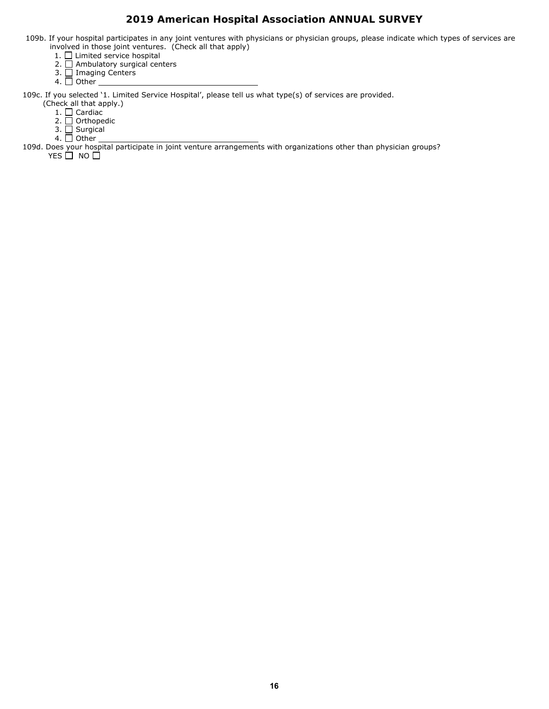- 109b. If your hospital participates in any joint ventures with physicians or physician groups, please indicate which types of services are involved in those joint ventures. (Check all that apply)
	- 1.  $\Box$  Limited service hospital
	- 2. Ambulatory surgical centers
	- 3. Imaging Centers
	- 4.  $\Box$  Other

109c. If you selected '1. Limited Service Hospital', please tell us what type(s) of services are provided.

- (Check all that apply.)
	- 1. Cardiac
	- 2. Orthopedic
	- 3. □ Surgical
	- 4.  $\Box$  Other  $\Box$

109d. Does your hospital participate in joint venture arrangements with organizations other than physician groups?  $YES$  NO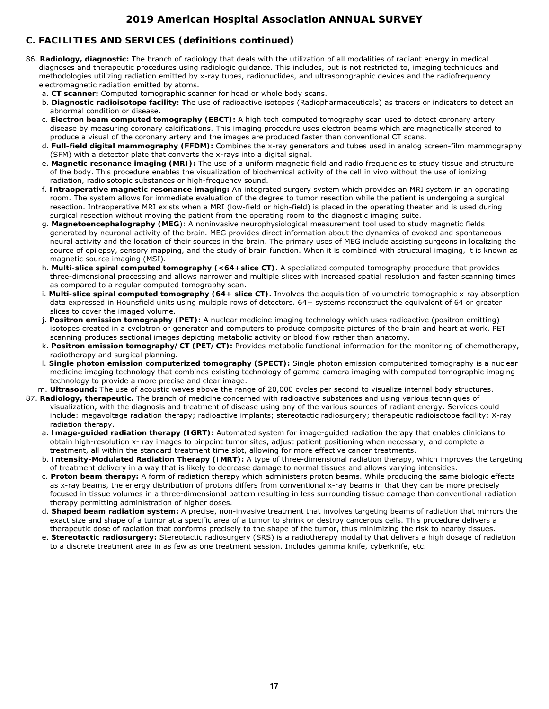# **C. FACILITIES AND SERVICES (definitions continued)**

- 86. **Radiology, diagnostic:** The branch of radiology that deals with the utilization of all modalities of radiant energy in medical diagnoses and therapeutic procedures using radiologic guidance. This includes, but is not restricted to, imaging techniques and methodologies utilizing radiation emitted by x-ray tubes, radionuclides, and ultrasonographic devices and the radiofrequency electromagnetic radiation emitted by atoms.
	- a. **CT scanner:** Computed tomographic scanner for head or whole body scans.
	- b. **Diagnostic radioisotope facility: T**he use of radioactive isotopes (Radiopharmaceuticals) as tracers or indicators to detect an abnormal condition or disease.
	- c. **Electron beam computed tomography (EBCT):** A high tech computed tomography scan used to detect coronary artery disease by measuring coronary calcifications. This imaging procedure uses electron beams which are magnetically steered to produce a visual of the coronary artery and the images are produced faster than conventional CT scans.
	- d. **Full-field digital mammography (FFDM):** Combines the x-ray generators and tubes used in analog screen-film mammography (SFM) with a detector plate that converts the x-rays into a digital signal.
	- e. **Magnetic resonance imaging (MRI):** The use of a uniform magnetic field and radio frequencies to study tissue and structure of the body. This procedure enables the visualization of biochemical activity of the cell in vivo without the use of ionizing radiation, radioisotopic substances or high-frequency sound.
	- f. **Intraoperative magnetic resonance imaging:** An integrated surgery system which provides an MRI system in an operating room. The system allows for immediate evaluation of the degree to tumor resection while the patient is undergoing a surgical resection. Intraoperative MRI exists when a MRI (low-field or high-field) is placed in the operating theater and is used during surgical resection without moving the patient from the operating room to the diagnostic imaging suite.
	- g. **Magnetoencephalography (MEG**): A noninvasive neurophysiological measurement tool used to study magnetic fields generated by neuronal activity of the brain. MEG provides direct information about the dynamics of evoked and spontaneous neural activity and the location of their sources in the brain. The primary uses of MEG include assisting surgeons in localizing the source of epilepsy, sensory mapping, and the study of brain function. When it is combined with structural imaging, it is known as *magnetic source imaging* (MSI).
	- h. **Multi-slice spiral computed tomography (<64+slice CT).** A specialized computed tomography procedure that provides three-dimensional processing and allows narrower and multiple slices with increased spatial resolution and faster scanning times as compared to a regular computed tomography scan.
	- i. **Multi-slice spiral computed tomography (64+ slice CT).** Involves the acquisition of volumetric tomographic x-ray absorption data expressed in Hounsfield units using multiple rows of detectors. 64+ systems reconstruct the equivalent of 64 or greater slices to cover the imaged volume.
	- j. **Positron emission tomography (PET):** A nuclear medicine imaging technology which uses radioactive (positron emitting) isotopes created in a cyclotron or generator and computers to produce composite pictures of the brain and heart at work. PET scanning produces sectional images depicting metabolic activity or blood flow rather than anatomy.
	- k. **Positron emission tomography/CT (PET/CT):** Provides metabolic functional information for the monitoring of chemotherapy, radiotherapy and surgical planning.
	- l. **Single photon emission computerized tomography (SPECT):** Single photon emission computerized tomography is a nuclear medicine imaging technology that combines existing technology of gamma camera imaging with computed tomographic imaging technology to provide a more precise and clear image.
- m. **Ultrasound:** The use of acoustic waves above the range of 20,000 cycles per second to visualize internal body structures.
- 87. **Radiology, therapeutic.** The branch of medicine concerned with radioactive substances and using various techniques of visualization, with the diagnosis and treatment of disease using any of the various sources of radiant energy. Services could include: megavoltage radiation therapy; radioactive implants; stereotactic radiosurgery; therapeutic radioisotope facility; X-ray radiation therapy.
	- a. **Image-guided radiation therapy (IGRT):** Automated system for image-guided radiation therapy that enables clinicians to obtain high-resolution x- ray images to pinpoint tumor sites, adjust patient positioning when necessary, and complete a treatment, all within the standard treatment time slot, allowing for more effective cancer treatments.
	- b. **Intensity-Modulated Radiation Therapy (IMRT):** A type of three-dimensional radiation therapy, which improves the targeting of treatment delivery in a way that is likely to decrease damage to normal tissues and allows varying intensities.
	- c. **Proton beam therapy:** A form of radiation therapy which administers proton beams. While producing the same biologic effects as x-ray beams, the energy distribution of protons differs from conventional x-ray beams in that they can be more precisely focused in tissue volumes in a three-dimensional pattern resulting in less surrounding tissue damage than conventional radiation therapy permitting administration of higher doses.
	- d. **Shaped beam radiation system:** A precise, non-invasive treatment that involves targeting beams of radiation that mirrors the exact size and shape of a tumor at a specific area of a tumor to shrink or destroy cancerous cells. This procedure delivers a therapeutic dose of radiation that conforms precisely to the shape of the tumor, thus minimizing the risk to nearby tissues.
	- e. **Stereotactic radiosurgery:** Stereotactic radiosurgery (SRS) is a radiotherapy modality that delivers a high dosage of radiation to a discrete treatment area in as few as one treatment session. Includes gamma knife, cyberknife, etc.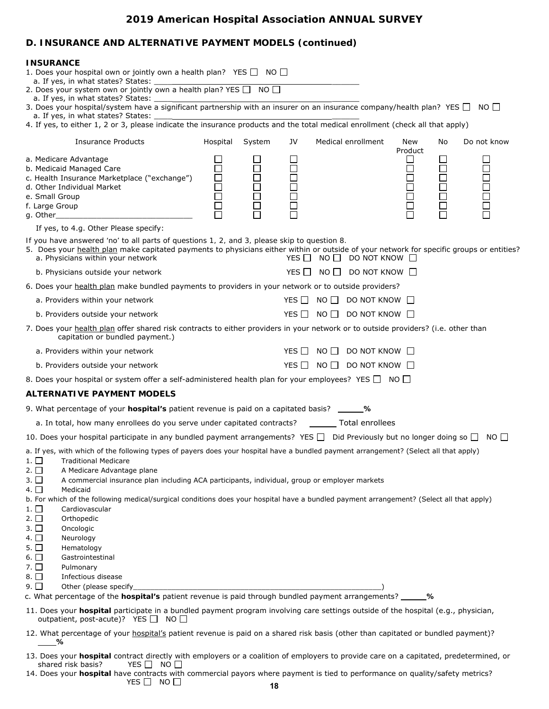## **D. INSURANCE AND ALTERNATIVE PAYMENT MODELS (continued)**

| <b>INSURANCE</b><br>1. Does your hospital own or jointly own a health plan? YES $\Box$ NO $\Box$<br>a. If yes, in what states? States:<br>2. Does your system own or jointly own a health plan? YES $\Box$ NO $\Box$<br>a. If yes, in what states? States:                                                                                                                |          |                            |                       |             |                                         |                            |                                                                                          |             |
|---------------------------------------------------------------------------------------------------------------------------------------------------------------------------------------------------------------------------------------------------------------------------------------------------------------------------------------------------------------------------|----------|----------------------------|-----------------------|-------------|-----------------------------------------|----------------------------|------------------------------------------------------------------------------------------|-------------|
| 3. Does your hospital/system have a significant partnership with an insurer on an insurance company/health plan? YES $\Box$ NO $\Box$                                                                                                                                                                                                                                     |          |                            |                       |             |                                         |                            |                                                                                          |             |
| a. If yes, in what states? States:                                                                                                                                                                                                                                                                                                                                        |          |                            |                       |             |                                         |                            |                                                                                          |             |
| 4. If yes, to either 1, 2 or 3, please indicate the insurance products and the total medical enrollment (check all that apply)                                                                                                                                                                                                                                            |          |                            |                       |             |                                         |                            |                                                                                          |             |
| Insurance Products                                                                                                                                                                                                                                                                                                                                                        | Hospital | System                     | JV                    |             | Medical enrollment                      | New<br>Product             | No                                                                                       | Do not know |
| a. Medicare Advantage<br>b. Medicaid Managed Care<br>c. Health Insurance Marketplace ("exchange")<br>d. Other Individual Market<br>e. Small Group<br>f. Large Group<br>g. Other and the state of the state of the state of the state of the state of the state of the state of the sta                                                                                    |          | $\Box$<br>0<br>0<br>0<br>ō | $\Box$<br>8888<br>889 |             |                                         | $\Box$<br>$\Box$<br>$\Box$ | $\mathcal{L}_{\mathcal{A}}$<br>$\Box$<br>$\Box$<br>$\overline{\Box}$<br>$\Box$<br>$\Box$ | 10000       |
| If yes, to 4.g. Other Please specify:                                                                                                                                                                                                                                                                                                                                     |          |                            |                       |             |                                         |                            |                                                                                          |             |
| If you have answered 'no' to all parts of questions 1, 2, and 3, please skip to question 8.<br>5. Does your health plan make capitated payments to physicians either within or outside of your network for specific groups or entities?<br>a. Physicians within your network                                                                                              |          |                            |                       |             | YES $\Box$ NO $\Box$ DO NOT KNOW $\Box$ |                            |                                                                                          |             |
| b. Physicians outside your network                                                                                                                                                                                                                                                                                                                                        |          |                            |                       |             | YES $\Box$ NO $\Box$ DO NOT KNOW $\Box$ |                            |                                                                                          |             |
| 6. Does your health plan make bundled payments to providers in your network or to outside providers?                                                                                                                                                                                                                                                                      |          |                            |                       |             |                                         |                            |                                                                                          |             |
| a. Providers within your network                                                                                                                                                                                                                                                                                                                                          |          |                            |                       |             | YES $\Box$ NO $\Box$ DO NOT KNOW $\Box$ |                            |                                                                                          |             |
| b. Providers outside your network                                                                                                                                                                                                                                                                                                                                         |          |                            |                       |             | YES $\Box$ NO $\Box$ DO NOT KNOW $\Box$ |                            |                                                                                          |             |
| 7. Does your health plan offer shared risk contracts to either providers in your network or to outside providers? (i.e. other than<br>capitation or bundled payment.)                                                                                                                                                                                                     |          |                            |                       |             |                                         |                            |                                                                                          |             |
| a. Providers within your network                                                                                                                                                                                                                                                                                                                                          |          |                            | YES I I               | NO LI       | DO NOT KNOW $\Box$                      |                            |                                                                                          |             |
| b. Providers outside your network                                                                                                                                                                                                                                                                                                                                         |          |                            | YES $\Box$            | $NO$ $\Box$ | DO NOT KNOW $\Box$                      |                            |                                                                                          |             |
| 8. Does your hospital or system offer a self-administered health plan for your employees? YES $\Box$ NO $\Box$                                                                                                                                                                                                                                                            |          |                            |                       |             |                                         |                            |                                                                                          |             |
| <b>ALTERNATIVE PAYMENT MODELS</b>                                                                                                                                                                                                                                                                                                                                         |          |                            |                       |             |                                         |                            |                                                                                          |             |
| 9. What percentage of your <b>hospital's</b> patient revenue is paid on a capitated basis? _______%                                                                                                                                                                                                                                                                       |          |                            |                       |             |                                         |                            |                                                                                          |             |
| a. In total, how many enrollees do you serve under capitated contracts? ________ Total enrollees                                                                                                                                                                                                                                                                          |          |                            |                       |             |                                         |                            |                                                                                          |             |
| 10. Does your hospital participate in any bundled payment arrangements? YES $\Box$ Did Previously but no longer doing so $\Box$ NO $\Box$                                                                                                                                                                                                                                 |          |                            |                       |             |                                         |                            |                                                                                          |             |
| a. If yes, with which of the following types of payers does your hospital have a bundled payment arrangement? (Select all that apply)<br>$1. \Box$<br><b>Traditional Medicare</b><br>$2. \square$<br>A Medicare Advantage plane<br>$3. \Box$<br>A commercial insurance plan including ACA participants, individual, group or employer markets<br>4. $\square$<br>Medicaid |          |                            |                       |             |                                         |                            |                                                                                          |             |
| b. For which of the following medical/surgical conditions does your hospital have a bundled payment arrangement? (Select all that apply)<br>$1. \Box$<br>Cardiovascular<br>$2. \square$<br>Orthopedic<br>$3. \Box$<br>Oncologic<br>4. $\square$<br>Neurology<br>$5. \square$<br>Hematology<br>6. $\square$<br>Gastrointestinal                                            |          |                            |                       |             |                                         |                            |                                                                                          |             |
| 7. □<br>Pulmonary                                                                                                                                                                                                                                                                                                                                                         |          |                            |                       |             |                                         |                            |                                                                                          |             |
| 8.<br>Infectious disease                                                                                                                                                                                                                                                                                                                                                  |          |                            |                       |             |                                         |                            |                                                                                          |             |
| $9. \Box$<br>Other (please specify                                                                                                                                                                                                                                                                                                                                        |          |                            |                       |             |                                         |                            |                                                                                          |             |

c. What percentage of the **hospital's** patient revenue is paid through bundled payment arrangements? \_\_\_\_\_\_%

- 11. Does your **hospital** participate in a bundled payment program involving care settings outside of the hospital (e.g., physician, outpatient, post-acute)? YES  $\Box$  NO  $\Box$
- 12. What percentage of your hospital's patient revenue is paid on a shared risk basis (other than capitated or bundled payment)? **%**
- 13. Does your **hospital** contract directly with employers or a coalition of employers to provide care on a capitated, predetermined, or shared risk basis? YES  $\Box$  NO  $\Box$
- **18** 14. Does your **hospital** have contracts with commercial payors where payment is tied to performance on quality/safety metrics?  $YES$  NO  $\Box$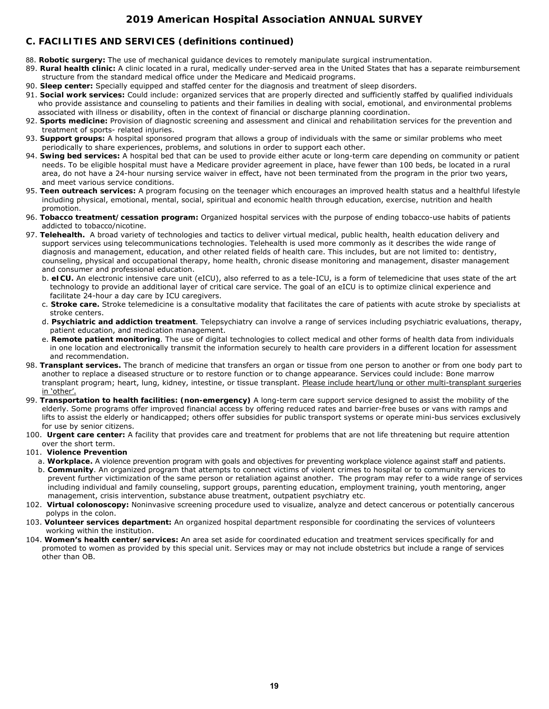# **C. FACILITIES AND SERVICES (definitions continued)**

- 88. **Robotic surgery:** The use of mechanical guidance devices to remotely manipulate surgical instrumentation.
- 89. **Rural health clinic:** A clinic located in a rural, medically under-served area in the United States that has a separate reimbursement structure from the standard medical office under the Medicare and Medicaid programs.
- 90. **Sleep center:** Specially equipped and staffed center for the diagnosis and treatment of sleep disorders.
- 91. **Social work services:** Could include: organized services that are properly directed and sufficiently staffed by qualified individuals who provide assistance and counseling to patients and their families in dealing with social, emotional, and environmental problems associated with illness or disability, often in the context of financial or discharge planning coordination.
- 92. **Sports medicine:** Provision of diagnostic screening and assessment and clinical and rehabilitation services for the prevention and treatment of sports- related injuries.
- 93. **Support groups:** A hospital sponsored program that allows a group of individuals with the same or similar problems who meet periodically to share experiences, problems, and solutions in order to support each other.
- 94. **Swing bed services:** A hospital bed that can be used to provide either acute or long-term care depending on community or patient needs. To be eligible hospital must have a Medicare provider agreement in place, have fewer than 100 beds, be located in a rural area, do not have a 24-hour nursing service waiver in effect, have not been terminated from the program in the prior two years, and meet various service conditions.
- 95. **Teen outreach services:** A program focusing on the teenager which encourages an improved health status and a healthful lifestyle including physical, emotional, mental, social, spiritual and economic health through education, exercise, nutrition and health promotion.
- 96. **Tobacco treatment/cessation program:** Organized hospital services with the purpose of ending tobacco-use habits of patients addicted to tobacco/nicotine.
- 97. **Telehealth.** A broad variety of technologies and tactics to deliver virtual medical, public health, health education delivery and support services using telecommunications technologies. Telehealth is used more commonly as it describes the wide range of diagnosis and management, education, and other related fields of health care. This includes, but are not limited to: dentistry, counseling, physical and occupational therapy, home health, chronic disease monitoring and management, disaster management and consumer and professional education.
	- b. **eICU.** An electronic intensive care unit (eICU), also referred to as a tele-ICU, is a form of telemedicine that uses state of the art technology to provide an additional layer of critical care service. The goal of an eICU is to optimize clinical experience and facilitate 24-hour a day care by ICU caregivers.
	- c. **Stroke care.** Stroke telemedicine is a consultative modality that facilitates the care of patients with acute stroke by specialists at stroke centers.
	- d. **Psychiatric and addiction treatment**. Telepsychiatry can involve a range of services including psychiatric evaluations, therapy, patient education, and medication management.
	- e. **Remote patient monitoring**. The use of digital technologies to collect medical and other forms of health data from individuals in one location and electronically transmit the information securely to health care providers in a different location for assessment and recommendation.
- 98. **Transplant services.** The branch of medicine that transfers an organ or tissue from one person to another or from one body part to another to replace a diseased structure or to restore function or to change appearance. Services could include: Bone marrow transplant program; heart, lung, kidney, intestine, or tissue transplant. Please include heart/lung or other multi-transplant surgeries in 'other'.
- 99. **Transportation to health facilities: (non-emergency)** A long-term care support service designed to assist the mobility of the elderly. Some programs offer improved financial access by offering reduced rates and barrier-free buses or vans with ramps and lifts to assist the elderly or handicapped; others offer subsidies for public transport systems or operate mini-bus services exclusively for use by senior citizens.
- 100. **Urgent care center:** A facility that provides care and treatment for problems that are not life threatening but require attention over the short term.
- 101. **Violence Prevention**
	- a. **Workplace.** A violence prevention program with goals and objectives for preventing workplace violence against staff and patients.
	- b. **Community**. An organized program that attempts to connect victims of violent crimes to hospital or to community services to prevent further victimization of the same person or retaliation against another. The program may refer to a wide range of services including individual and family counseling, support groups, parenting education, employment training, youth mentoring, anger management, crisis intervention, substance abuse treatment, outpatient psychiatry etc.
- 102. **Virtual colonoscopy:** Noninvasive screening procedure used to visualize, analyze and detect cancerous or potentially cancerous polyps in the colon.
- 103. **Volunteer services department:** An organized hospital department responsible for coordinating the services of volunteers working within the institution.
- 104. **Women's health center/services:** An area set aside for coordinated education and treatment services specifically for and promoted to women as provided by this special unit. Services may or may not include obstetrics but include a range of services other than OB.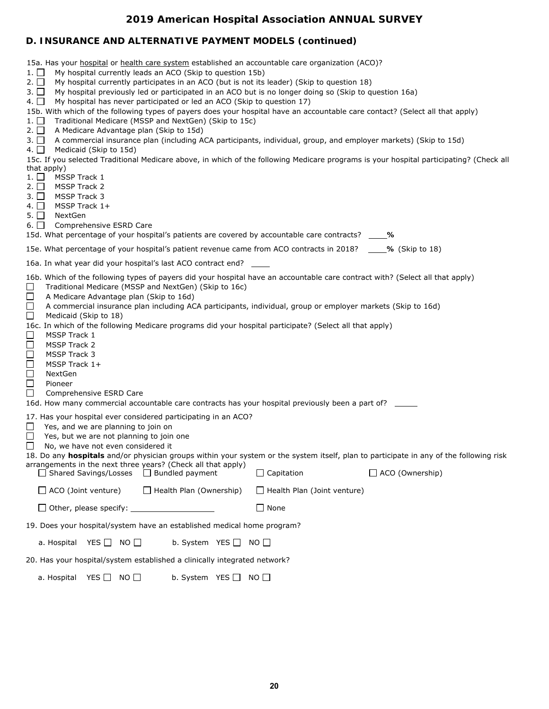# **D. INSURANCE AND ALTERNATIVE PAYMENT MODELS (continued)**

15a. Has your hospital or health care system established an accountable care organization (ACO)?

- 1.  $\Box$  My hospital currently leads an ACO (Skip to question 15b)
- 2.  $\Box$  My hospital currently participates in an ACO (but is not its leader) (Skip to question 18)
- 3.  $\Box$  My hospital previously led or participated in an ACO but is no longer doing so (Skip to question 16a)
- 4. My hospital has never participated or led an ACO (Skip to question 17)

15b. With which of the following types of payers does your hospital have an accountable care contact? (Select all that apply)

- 1. Traditional Medicare (MSSP and NextGen) (Skip to 15c)
- 2.  $\Box$  A Medicare Advantage plan (Skip to 15d)
- 3. A commercial insurance plan (including ACA participants, individual, group, and employer markets) (Skip to 15d)
- 4. Medicaid (Skip to 15d)

15c. If you selected Traditional Medicare above, in which of the following Medicare programs is your hospital participating? (Check all that apply)

- 1. O MSSP Track 1
- $2. \Box$  MSSP Track 2
- $3. \Box$  MSSP Track 3
- 4.  $\Box$  MSSP Track 1+
- 5. NextGen
- 6. Comprehensive ESRD Care

|  |  |  |  |  |  |  |  |  | 15d. What percentage of your hospital's patients are covered by accountable care contracts? |  | % |
|--|--|--|--|--|--|--|--|--|---------------------------------------------------------------------------------------------|--|---|
|--|--|--|--|--|--|--|--|--|---------------------------------------------------------------------------------------------|--|---|

15e. What percentage of your hospital's patient revenue came from ACO contracts in 2018? \_\_\_\_% (Skip to 18)

16a. In what year did your hospital's last ACO contract end?

|  |  |  |  |  |  |  | 16b. Which of the following types of payers did your hospital have an accountable care contract with? (Select all that apply) |  |
|--|--|--|--|--|--|--|-------------------------------------------------------------------------------------------------------------------------------|--|
|--|--|--|--|--|--|--|-------------------------------------------------------------------------------------------------------------------------------|--|

- $\Box$  Traditional Medicare (MSSP and NextGen) (Skip to 16c)
- A Medicare Advantage plan (Skip to 16d)
- A commercial insurance plan including ACA participants, individual, group or employer markets (Skip to 16d)
- $\Box$  Medicaid (Skip to 18)
- 16c. In which of the following Medicare programs did your hospital participate? (Select all that apply)
- $\Box$  MSSP Track 1
- $\Box$  MSSP Track 2<br> $\Box$  MSSP Track 3
- MSSP Track 3
- $\Box$  MSSP Track 1+
- □ NextGen
- $\square$  Pioneer
- Comprehensive ESRD Care

16d. How many commercial accountable care contracts has your hospital previously been a part of? \_\_\_\_\_\_\_\_\_\_\_\_\_

- 17. Has your hospital ever considered participating in an ACO?
- $\Box$  Yes, and we are planning to join on
- $\Box$  Yes, but we are not planning to join one
- $\Box$  No, we have not even considered it

| 18. Do any <b>hospitals</b> and/or physician groups within your system or the system itself, plan to participate in any of the following risk |  |                   |                        |  |
|-----------------------------------------------------------------------------------------------------------------------------------------------|--|-------------------|------------------------|--|
| arrangements in the next three years? (Check all that apply)                                                                                  |  |                   |                        |  |
| $\Box$ Shared Savings/Losses $\Box$ Bundled payment                                                                                           |  | $\Box$ Capitation | $\Box$ ACO (Ownership) |  |

| T ACO (Joint venture) | $\Box$ Health Plan (Ownership) | $\Box$ Health Plan (Joint venture) |
|-----------------------|--------------------------------|------------------------------------|

 $\Box$  Other, please specify:  $\Box$ 

19. Does your hospital/system have an established medical home program?

a. Hospital YES  $\Box$  NO  $\Box$  b. System YES  $\Box$  NO  $\Box$ 

- 20. Has your hospital/system established a clinically integrated network?
	- a. Hospital YES  $\Box$  NO  $\Box$  b. System YES  $\Box$  NO  $\Box$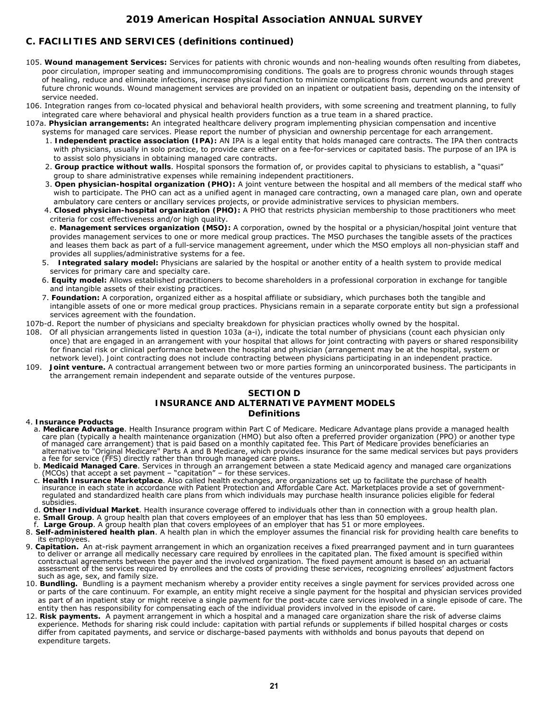# **C. FACILITIES AND SERVICES (definitions continued)**

- 105. **Wound management Services:** Services for patients with chronic wounds and non-healing wounds often resulting from diabetes, poor circulation, improper seating and immunocompromising conditions. The goals are to progress chronic wounds through stages of healing, reduce and eliminate infections, increase physical function to minimize complications from current wounds and prevent future chronic wounds. Wound management services are provided on an inpatient or outpatient basis, depending on the intensity of service needed.
- 106. Integration ranges from co-located physical and behavioral health providers, with some screening and treatment planning, to fully integrated care where behavioral and physical health providers function as a true team in a shared practice.
- 107a. **Physician arrangements:** An integrated healthcare delivery program implementing physician compensation and incentive systems for managed care services. Please report the number of physician and ownership percentage for each arrangement.
	- 1. **Independent practice association (IPA):** AN IPA is a legal entity that holds managed care contracts. The IPA then contracts with physicians, usually in solo practice, to provide care either on a fee-for-services or capitated basis. The purpose of an IPA is to assist solo physicians in obtaining managed care contracts.
	- 2. **Group practice without walls**. Hospital sponsors the formation of, or provides capital to physicians to establish, a "quasi" group to share administrative expenses while remaining independent practitioners.
	- 3. **Open physician-hospital organization (PHO):** A joint venture between the hospital and all members of the medical staff who wish to participate. The PHO can act as a unified agent in managed care contracting, own a managed care plan, own and operate ambulatory care centers or ancillary services projects, or provide administrative services to physician members.
	- 4. **Closed physician-hospital organization (PHO):** A PHO that restricts physician membership to those practitioners who meet criteria for cost effectiveness and/or high quality.

e. **Management services organization (MSO):** A corporation, owned by the hospital or a physician/hospital joint venture that provides management services to one or more medical group practices. The MSO purchases the tangible assets of the practices and leases them back as part of a full-service management agreement, under which the MSO employs all non-physician staff and provides all supplies/administrative systems for a fee.

- 5. **Integrated salary model:** Physicians are salaried by the hospital or another entity of a health system to provide medical services for primary care and specialty care.
- 6. **Equity model:** Allows established practitioners to become shareholders in a professional corporation in exchange for tangible and intangible assets of their existing practices.
- 7. **Foundation:** A corporation, organized either as a hospital affiliate or subsidiary, which purchases both the tangible and intangible assets of one or more medical group practices. Physicians remain in a separate corporate entity but sign a professional services agreement with the foundation.
- 107b-d. Report the number of physicians and specialty breakdown for physician practices wholly owned by the hospital.
- 108.Of all physician arrangements listed in question 103a (a-i), indicate the total number of physicians (count each physician only once) that are engaged in an arrangement with your hospital that allows for joint contracting with payers or shared responsibility for financial risk or clinical performance between the hospital and physician (arrangement may be at the hospital, system or network level). *Joint contracting* does not include contracting between physicians participating in an independent practice.
- 109. **Joint venture.** A contractual arrangement between two or more parties forming an unincorporated business. The participants in the arrangement remain independent and separate outside of the ventures purpose.

#### **SECTION D INSURANCE AND ALTERNATIVE PAYMENT MODELS Definitions**

#### 4. **Insurance Products**

- a. **Medicare Advantage**. Health Insurance program within Part C of Medicare. Medicare Advantage plans provide a managed health care plan (typically a health maintenance organization (HMO) but also often a preferred provider organization (PPO) or another type of managed care arrangement) that is paid based on a monthly capitated fee. This Part of Medicare provides beneficiaries an alternative to "Original Medicare" Parts A and B Medicare, which provides insurance for the same medical services but pays providers a fee for service (FFS) directly rather than through managed care plans.
- b. **Medicaid Managed Care**. Services in through an arrangement between a state Medicaid agency and managed care organizations (MCOs) that accept a set payment – "capitation" – for these services.
- c. **Health Insurance Marketplace**. Also called health exchanges, are organizations set up to facilitate the purchase of health insurance in each state in accordance with Patient Protection and Affordable Care Act. Marketplaces provide a set of governmentregulated and standardized health care plans from which individuals may purchase health insurance policies eligible for federal subsidies.
- d. **Other Individual Market**. Health insurance coverage offered to individuals other than in connection with a group health plan. e. **Small Group**. A group health plan that covers employees of an employer that has less than 50 employees.
- **Large Group.** A group health plan that covers employees of an employer that has 51 or more employees.
- 8. **Self-administered health plan**. A health plan in which the employer assumes the financial risk for providing health care benefits to its employees.
- 9. **Capitation.** An at-risk payment arrangement in which an organization receives a fixed prearranged payment and in turn guarantees to deliver or arrange all medically necessary care required by enrollees in the capitated plan. The fixed amount is specified within contractual agreements between the payer and the involved organization. The fixed payment amount is based on an actuarial assessment of the services required by enrollees and the costs of providing these services, recognizing enrollees' adjustment factors such as age, sex, and family size.
- 10. **Bundling.** Bundling is a payment mechanism whereby a provider entity receives a single payment for services provided across one or parts of the care continuum. For example, an entity might receive a single payment for the hospital and physician services provided as part of an inpatient stay or might receive a single payment for the post-acute care services involved in a single episode of care. The entity then has responsibility for compensating each of the individual providers involved in the episode of care.
- 12. **Risk payments.** A payment arrangement in which a hospital and a managed care organization share the risk of adverse claims experience. Methods for sharing risk could include: capitation with partial refunds or supplements if billed hospital charges or costs differ from capitated payments, and service or discharge-based payments with withholds and bonus payouts that depend on expenditure targets.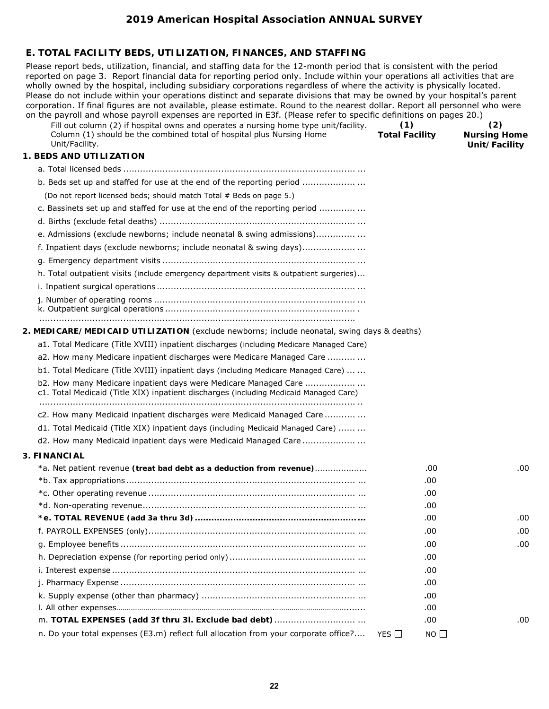## **E. TOTAL FACILITY BEDS, UTILIZATION, FINANCES, AND STAFFING**

Please report beds, utilization, financial, and staffing data for the 12-month period that is consistent with the period reported on page 3. Report financial data for reporting period only. Include within your operations all activities that are wholly owned by the hospital, including subsidiary corporations regardless of where the activity is physically located. Please do not include within your operations distinct and separate divisions that may be owned by your hospital's parent corporation. If final figures are not available, please estimate. Round to the nearest dollar. Report all personnel who were

| on the payroll and whose payroll expenses are reported in E3f. (Please refer to specific definitions on pages 20.)<br>Fill out column (2) if hospital owns and operates a nursing home type unit/facility. | (1)<br>(2)                |                                      |  |
|------------------------------------------------------------------------------------------------------------------------------------------------------------------------------------------------------------|---------------------------|--------------------------------------|--|
| Column (1) should be the combined total of hospital plus Nursing Home<br>Unit/Facility.                                                                                                                    | <b>Total Facility</b>     | <b>Nursing Home</b><br>Unit/Facility |  |
| 1. BEDS AND UTILIZATION                                                                                                                                                                                    |                           |                                      |  |
|                                                                                                                                                                                                            |                           |                                      |  |
| b. Beds set up and staffed for use at the end of the reporting period                                                                                                                                      |                           |                                      |  |
| (Do not report licensed beds; should match Total # Beds on page 5.)                                                                                                                                        |                           |                                      |  |
| c. Bassinets set up and staffed for use at the end of the reporting period                                                                                                                                 |                           |                                      |  |
|                                                                                                                                                                                                            |                           |                                      |  |
| e. Admissions (exclude newborns; include neonatal & swing admissions)                                                                                                                                      |                           |                                      |  |
| f. Inpatient days (exclude newborns; include neonatal & swing days)                                                                                                                                        |                           |                                      |  |
|                                                                                                                                                                                                            |                           |                                      |  |
| h. Total outpatient visits (include emergency department visits & outpatient surgeries)                                                                                                                    |                           |                                      |  |
|                                                                                                                                                                                                            |                           |                                      |  |
|                                                                                                                                                                                                            |                           |                                      |  |
|                                                                                                                                                                                                            |                           |                                      |  |
|                                                                                                                                                                                                            |                           |                                      |  |
| 2. MEDICARE/MEDICAID UTILIZATION (exclude newborns; include neonatal, swing days & deaths)                                                                                                                 |                           |                                      |  |
| a1. Total Medicare (Title XVIII) inpatient discharges (including Medicare Managed Care)                                                                                                                    |                           |                                      |  |
| a2. How many Medicare inpatient discharges were Medicare Managed Care                                                                                                                                      |                           |                                      |  |
| b1. Total Medicare (Title XVIII) inpatient days (including Medicare Managed Care)                                                                                                                          |                           |                                      |  |
| b2. How many Medicare inpatient days were Medicare Managed Care<br>c1. Total Medicaid (Title XIX) inpatient discharges (including Medicaid Managed Care)                                                   |                           |                                      |  |
| c2. How many Medicaid inpatient discharges were Medicaid Managed Care                                                                                                                                      |                           |                                      |  |
| d1. Total Medicaid (Title XIX) inpatient days (including Medicaid Managed Care)                                                                                                                            |                           |                                      |  |
| d2. How many Medicaid inpatient days were Medicaid Managed Care                                                                                                                                            |                           |                                      |  |
| 3. FINANCIAL                                                                                                                                                                                               |                           |                                      |  |
| *a. Net patient revenue (treat bad debt as a deduction from revenue)                                                                                                                                       | .00                       | .00                                  |  |
|                                                                                                                                                                                                            | .00                       |                                      |  |
|                                                                                                                                                                                                            | .00                       |                                      |  |
|                                                                                                                                                                                                            | .00                       |                                      |  |
|                                                                                                                                                                                                            | .00                       | .00                                  |  |
|                                                                                                                                                                                                            | .00                       | .00                                  |  |
|                                                                                                                                                                                                            | .00                       | .00                                  |  |
|                                                                                                                                                                                                            | .00                       |                                      |  |
|                                                                                                                                                                                                            | .00                       |                                      |  |
|                                                                                                                                                                                                            | .00                       |                                      |  |
|                                                                                                                                                                                                            | .00                       |                                      |  |
|                                                                                                                                                                                                            | .00                       |                                      |  |
|                                                                                                                                                                                                            | .00                       | .00                                  |  |
| n. Do your total expenses (E3.m) reflect full allocation from your corporate office?                                                                                                                       | YES $\Box$<br>$NO$ $\Box$ |                                      |  |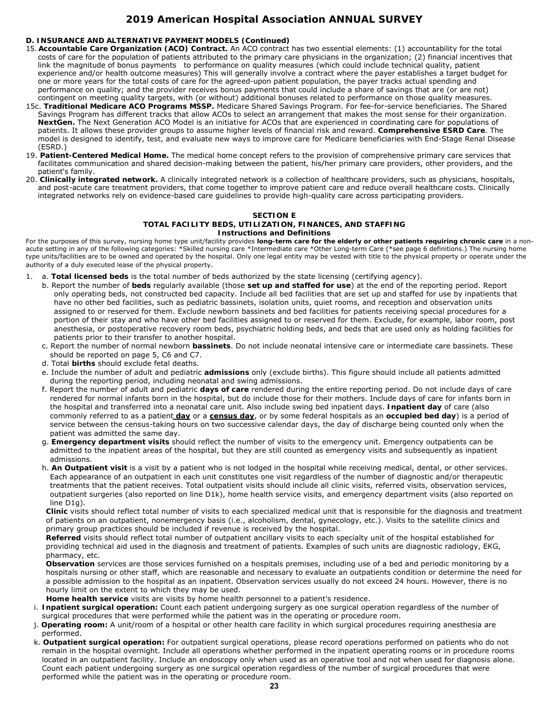#### **D. INSURANCE AND ALTERNATIVE PAYMENT MODELS (Continued)**

- 15. **Accountable Care Organization (ACO) Contract.** An ACO contract has two essential elements: (1) accountability for the total costs of care for the population of patients attributed to the primary care physicians in the organization; (2) financial incentives that link the magnitude of bonus payments to performance on quality measures (which could include technical quality, patient experience and/or health outcome measures) This will generally involve a contract where the payer establishes a target budget for one or more years for the total costs of care for the agreed-upon patient population, the payer tracks actual spending and performance on quality; and the provider receives bonus payments that could include a share of savings that are (or are not) contingent on meeting quality targets, with (or without) additional bonuses related to performance on those quality measures.
- 15c. **Traditional Medicare ACO Programs MSSP.** Medicare Shared Savings Program. For fee-for-service beneficiaries. The Shared Savings Program has different tracks that allow ACOs to select an arrangement that makes the most sense for their organization. **NextGen.** The Next Generation ACO Model is an initiative for ACOs that are experienced in coordinating care for populations of patients. It allows these provider groups to assume higher levels of financial risk and reward. **Comprehensive ESRD Care**. The model is designed to identify, test, and evaluate new ways to improve care for Medicare beneficiaries with End-Stage Renal Disease (ESRD.)
- 19. **Patient-Centered Medical Home.** The medical home concept refers to the provision of comprehensive primary care services that facilitates communication and shared decision-making between the patient, his/her primary care providers, other providers, and the patient's family.
- 20. **Clinically integrated network.** A clinically integrated network is a collection of healthcare providers, such as physicians, hospitals, and post-acute care treatment providers, that come together to improve patient care and reduce overall healthcare costs. Clinically integrated networks rely on evidence-based care guidelines to provide high-quality care across participating providers.

#### **SECTION E**

#### **TOTAL FACILITY BEDS, UTILIZATION, FINANCES, AND STAFFING Instructions and Definitions**

For the purposes of this survey, nursing home type unit/facility provides **long-term care for the elderly or other patients requiring chronic care** in a nonacute setting in any of the following categories: \*Skilled nursing care \*Intermediate care \*Other Long-term Care (\*see page 6 definitions.) The nursing home type units/facilities are to be owned and operated by the hospital. Only one legal entity may be vested with title to the physical property or operate under the authority of a duly executed lease of the physical property.

- a. **Total licensed beds** is the total number of beds authorized by the state licensing (certifying agency).
	- b. Report the number of **beds** regularly available (those **set up and staffed for use**) at the end of the reporting period. Report only operating beds, not constructed bed capacity. Include all bed facilities that are set up and staffed for use by inpatients that have no other bed facilities, such as pediatric bassinets, isolation units, quiet rooms, and reception and observation units assigned to or reserved for them. Exclude newborn bassinets and bed facilities for patients receiving special procedures for a portion of their stay and who have other bed facilities assigned to or reserved for them. Exclude, for example, labor room, post anesthesia, or postoperative recovery room beds, psychiatric holding beds, and beds that are used only as holding facilities for patients prior to their transfer to another hospital.
	- c. Report the number of normal newborn **bassinets**. Do not include neonatal intensive care or intermediate care bassinets. These should be reported on page 5, C6 and C7.
	- d. Total **births** should exclude fetal deaths.
	- e. Include the number of adult and pediatric **admissions** only (exclude births). This figure should include all patients admitted during the reporting period, including neonatal and swing admissions.
	- f. Report the number of adult and pediatric **days of care** rendered during the entire reporting period. Do not include days of care rendered for normal infants born in the hospital, but do include those for their mothers. Include days of care for infants born in the hospital and transferred into a neonatal care unit. Also include swing bed inpatient days. **Inpatient day** of care (also commonly referred to as a patient **day** or a **census day**, or by some federal hospitals as an **occupied bed day**) is a period of service between the census-taking hours on two successive calendar days, the day of discharge being counted only when the patient was admitted the same day.
	- g. **Emergency department visits** should reflect the number of visits to the emergency unit. Emergency outpatients can be admitted to the inpatient areas of the hospital, but they are still counted as emergency visits and subsequently as inpatient admissions.
	- h. **An Outpatient visit** is a visit by a patient who is not lodged in the hospital while receiving medical, dental, or other services. Each appearance of an outpatient in each unit constitutes one visit regardless of the number of diagnostic and/or therapeutic treatments that the patient receives. Total outpatient visits should include all clinic visits, referred visits, observation services, outpatient surgeries (also reported on line D1k), home health service visits, and emergency department visits (also reported on line D1g).

 **Clinic** visits should reflect total number of visits to each specialized medical unit that is responsible for the diagnosis and treatment of patients on an outpatient, nonemergency basis (i.e., alcoholism, dental, gynecology, etc.). Visits to the satellite clinics and primary group practices should be included if revenue is received by the hospital.

**Referred** visits should reflect total number of outpatient ancillary visits to each specialty unit of the hospital established for providing technical aid used in the diagnosis and treatment of patients. Examples of such units are diagnostic radiology, EKG, pharmacy, etc.

**Observation** services are those services furnished on a hospitals premises, including use of a bed and periodic monitoring by a hospitals nursing or other staff, which are reasonable and necessary to evaluate an outpatients condition or determine the need for a possible admission to the hospital as an inpatient. Observation services usually do not exceed 24 hours. However, there is no hourly limit on the extent to which they may be used.

 **Home health service** visits are visits by home health personnel to a patient's residence.

- i. **Inpatient surgical operation:** Count each patient undergoing surgery as one surgical operation regardless of the number of surgical procedures that were performed while the patient was in the operating or procedure room.
- j. **Operating room:** A unit/room of a hospital or other health care facility in which surgical procedures requiring anesthesia are performed.
- k. **Outpatient surgical operation:** For outpatient surgical operations, please record operations performed on patients who do not remain in the hospital overnight. Include all operations whether performed in the inpatient operating rooms or in procedure rooms located in an outpatient facility. Include an endoscopy only when used as an operative tool and not when used for diagnosis alone. Count each patient undergoing surgery as one surgical operation regardless of the number of surgical procedures that were performed while the patient was in the operating or procedure room.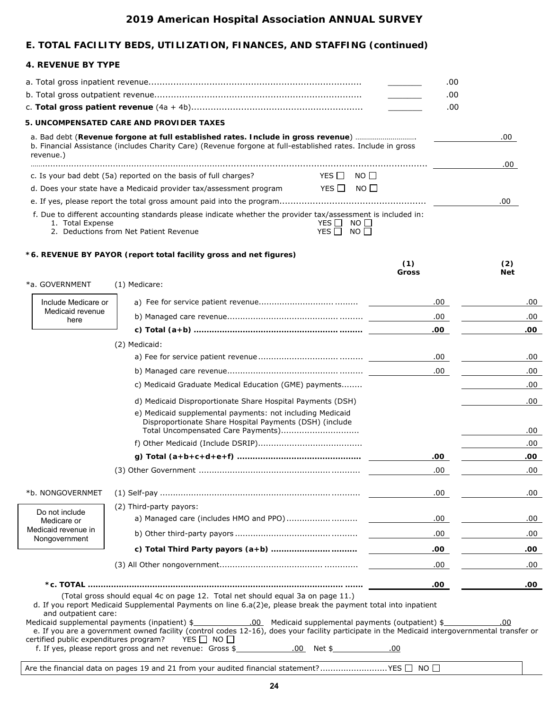# **E. TOTAL FACILITY BEDS, UTILIZATION, FINANCES, AND STAFFING (continued)**

# **4. REVENUE BY TYPE**

|                                                                | .00                                                                                                                                                                                                                                                                                                                                                                                                                                                                                                                                                                                        |              |                   |
|----------------------------------------------------------------|--------------------------------------------------------------------------------------------------------------------------------------------------------------------------------------------------------------------------------------------------------------------------------------------------------------------------------------------------------------------------------------------------------------------------------------------------------------------------------------------------------------------------------------------------------------------------------------------|--------------|-------------------|
|                                                                | .00                                                                                                                                                                                                                                                                                                                                                                                                                                                                                                                                                                                        |              |                   |
|                                                                | .00                                                                                                                                                                                                                                                                                                                                                                                                                                                                                                                                                                                        |              |                   |
|                                                                | 5. UNCOMPENSATED CARE AND PROVIDER TAXES                                                                                                                                                                                                                                                                                                                                                                                                                                                                                                                                                   |              |                   |
| revenue.)                                                      | a. Bad debt (Revenue forgone at full established rates. Include in gross revenue)<br>b. Financial Assistance (includes Charity Care) (Revenue forgone at full-established rates. Include in gross                                                                                                                                                                                                                                                                                                                                                                                          |              | .00<br>.00        |
|                                                                | YES $\Box$<br>c. Is your bad debt (5a) reported on the basis of full charges?                                                                                                                                                                                                                                                                                                                                                                                                                                                                                                              | $NO$ $\Box$  |                   |
|                                                                | YES $\Box$<br>d. Does your state have a Medicaid provider tax/assessment program                                                                                                                                                                                                                                                                                                                                                                                                                                                                                                           | $NO$ $\Box$  |                   |
|                                                                |                                                                                                                                                                                                                                                                                                                                                                                                                                                                                                                                                                                            |              | .00               |
| 1. Total Expense                                               | f. Due to different accounting standards please indicate whether the provider tax/assessment is included in:<br>YES LINO LI<br>YES $\Box$ NO $\Box$<br>2. Deductions from Net Patient Revenue                                                                                                                                                                                                                                                                                                                                                                                              |              |                   |
|                                                                | *6. REVENUE BY PAYOR (report total facility gross and net figures)                                                                                                                                                                                                                                                                                                                                                                                                                                                                                                                         | (1)<br>Gross | (2)<br><b>Net</b> |
| *a. GOVERNMENT                                                 | (1) Medicare:                                                                                                                                                                                                                                                                                                                                                                                                                                                                                                                                                                              |              |                   |
| Include Medicare or                                            |                                                                                                                                                                                                                                                                                                                                                                                                                                                                                                                                                                                            | $.00 \,$     | .00               |
| Medicaid revenue<br>here                                       |                                                                                                                                                                                                                                                                                                                                                                                                                                                                                                                                                                                            | .00.         | .00.              |
|                                                                |                                                                                                                                                                                                                                                                                                                                                                                                                                                                                                                                                                                            | .00          | .00               |
|                                                                | (2) Medicaid:                                                                                                                                                                                                                                                                                                                                                                                                                                                                                                                                                                              |              |                   |
|                                                                |                                                                                                                                                                                                                                                                                                                                                                                                                                                                                                                                                                                            | .00.         | .00               |
|                                                                |                                                                                                                                                                                                                                                                                                                                                                                                                                                                                                                                                                                            | .00          | .00               |
|                                                                | c) Medicaid Graduate Medical Education (GME) payments                                                                                                                                                                                                                                                                                                                                                                                                                                                                                                                                      |              | .00               |
|                                                                | d) Medicaid Disproportionate Share Hospital Payments (DSH)                                                                                                                                                                                                                                                                                                                                                                                                                                                                                                                                 |              | .00               |
|                                                                | e) Medicaid supplemental payments: not including Medicaid<br>Disproportionate Share Hospital Payments (DSH) (include<br>Total Uncompensated Care Payments)                                                                                                                                                                                                                                                                                                                                                                                                                                 |              | .00               |
|                                                                |                                                                                                                                                                                                                                                                                                                                                                                                                                                                                                                                                                                            |              | .00               |
|                                                                |                                                                                                                                                                                                                                                                                                                                                                                                                                                                                                                                                                                            | .00          | .00               |
|                                                                |                                                                                                                                                                                                                                                                                                                                                                                                                                                                                                                                                                                            | .00          | .00               |
| *b. NONGOVERNMET                                               |                                                                                                                                                                                                                                                                                                                                                                                                                                                                                                                                                                                            | .00          | .00               |
| Do not include                                                 | (2) Third-party payors:                                                                                                                                                                                                                                                                                                                                                                                                                                                                                                                                                                    | $.00\,$      | .00               |
| Medicare or<br>Medicaid revenue in<br>Nongovernment            |                                                                                                                                                                                                                                                                                                                                                                                                                                                                                                                                                                                            | .00          | .00               |
|                                                                |                                                                                                                                                                                                                                                                                                                                                                                                                                                                                                                                                                                            | .00          | .00               |
|                                                                |                                                                                                                                                                                                                                                                                                                                                                                                                                                                                                                                                                                            | .00          | .00               |
|                                                                |                                                                                                                                                                                                                                                                                                                                                                                                                                                                                                                                                                                            | .00          | .00               |
| and outpatient care:<br>certified public expenditures program? | (Total gross should equal 4c on page 12. Total net should equal 3a on page 11.)<br>d. If you report Medicaid Supplemental Payments on line 6.a(2)e, please break the payment total into inpatient<br>Medicaid supplemental payments (inpatient) $\frac{1}{2}$ .00 Medicaid supplemental payments (outpatient) $\frac{1}{2}$<br>e. If you are a government owned facility (control codes 12-16), does your facility participate in the Medicaid intergovernmental transfer or<br>YES $\Box$ NO $\Box$<br>f. If yes, please report gross and net revenue: Gross \$ _________________________ | .00.         | .00               |
|                                                                | Are the financial data on pages 19 and 21 from your audited financial statement?YES $\Box$ NO $\Box$                                                                                                                                                                                                                                                                                                                                                                                                                                                                                       |              |                   |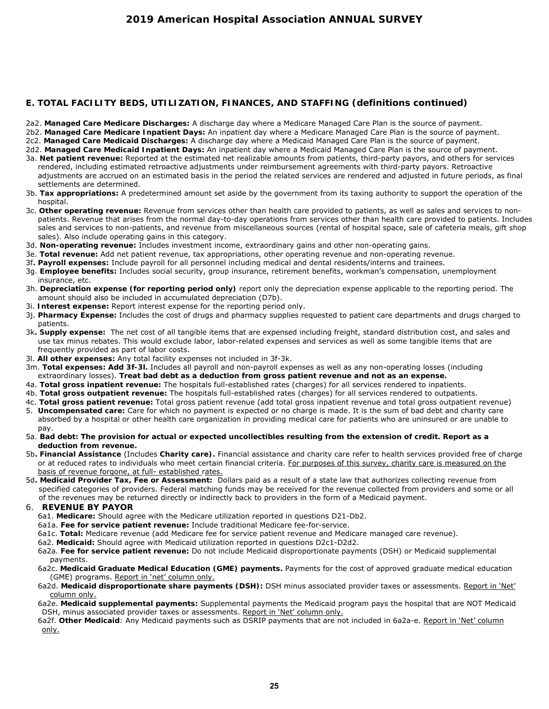### **E. TOTAL FACILITY BEDS, UTILIZATION, FINANCES, AND STAFFING (definitions continued)**

- 2a2. **Managed Care Medicare Discharges:** A discharge day where a Medicare Managed Care Plan is the source of payment.
- 2b2. **Managed Care Medicare Inpatient Days:** An inpatient day where a Medicare Managed Care Plan is the source of payment.
- 2c2. **Managed Care Medicaid Discharges:** A discharge day where a Medicaid Managed Care Plan is the source of payment.
- 2d2. **Managed Care Medicaid Inpatient Days:** An inpatient day where a Medicaid Managed Care Plan is the source of payment.
- 3a. **Net patient revenue:** Reported at the estimated net realizable amounts from patients, third-party payors, and others for services rendered, including estimated retroactive adjustments under reimbursement agreements with third-party payors. Retroactive adjustments are accrued on an estimated basis in the period the related services are rendered and adjusted in future periods, as final settlements are determined.
- 3b. **Tax appropriations:** A predetermined amount set aside by the government from its taxing authority to support the operation of the hospital.
- 3c. **Other operating revenue:** Revenue from services other than health care provided to patients, as well as sales and services to nonpatients. Revenue that arises from the normal day-to-day operations from services other than health care provided to patients. Includes sales and services to non-patients, and revenue from miscellaneous sources (rental of hospital space, sale of cafeteria meals, gift shop sales). Also include operating gains in this category.
- 3d. **Non-operating revenue:** Includes investment income, extraordinary gains and other non-operating gains.
- 3e. **Total revenue:** Add net patient revenue, tax appropriations, other operating revenue and non-operating revenue.
- 3f**. Payroll expenses:** Include payroll for all personnel including medical and dental residents/interns and trainees.
- 3g. **Employee benefits:** Includes social security, group insurance, retirement benefits, workman's compensation, unemployment insurance, etc.
- 3h. **Depreciation expense (for reporting period only)** report only the depreciation expense applicable to the reporting period. The amount should also be included in accumulated depreciation (D7b).
- 3i. **Interest expense:** Report interest expense for the reporting period only.
- 3j. **Pharmacy Expense:** Includes the cost of drugs and pharmacy supplies requested to patient care departments and drugs charged to patients.
- 3k**. Supply expense:** The net cost of all tangible items that are expensed including freight, standard distribution cost, and sales and use tax minus rebates. This would exclude labor, labor-related expenses and services as well as some tangible items that are frequently provided as part of labor costs.
- 3l. **All other expenses:** Any total facility expenses not included in 3f-3k.
- 3m. **Total expenses: Add 3f-3l.** Includes all payroll and non-payroll expenses as well as any non-operating losses (including extraordinary losses). **Treat bad debt as a deduction from gross patient revenue and not as an expense.**
- 4a. **Total gross inpatient revenue:** The hospitals full-established rates (charges) for all services rendered to inpatients.
- 4b. **Total gross outpatient revenue:** The hospitals full-established rates (charges) for all services rendered to outpatients.
- 4c. **Total gross patient revenue:** Total gross patient revenue (add total gross inpatient revenue and total gross outpatient revenue)
- 5. **Uncompensated care:** Care for which no payment is expected or no charge is made. It is the sum of bad debt and charity care absorbed by a hospital or other health care organization in providing medical care for patients who are uninsured or are unable to pay.
- 5a. **Bad debt: The provision for actual or expected uncollectibles resulting from the extension of credit. Report as a deduction from revenue.**
- 5b**. Financial Assistance** (Includes **Charity care).** Financial assistance and charity care refer to health services provided free of charge or at reduced rates to individuals who meet certain financial criteria. For purposes of this survey, charity care is measured on the basis of revenue forgone, at full- established rates.
- 5d**. Medicaid Provider Tax, Fee or Assessment:** Dollars paid as a result of a state law that authorizes collecting revenue from specified categories of providers. Federal matching funds may be received for the revenue collected from providers and some or all of the revenues may be returned directly or indirectly back to providers in the form of a Medicaid payment.

## 6. **REVENUE BY PAYOR**

6a1. **Medicare:** Should agree with the Medicare utilization reported in questions D21-Db2.

- 6a1a. **Fee for service patient revenue:** Include traditional Medicare fee-for-service.
- 6a1c. **Total:** Medicare revenue (add Medicare fee for service patient revenue and Medicare managed care revenue).
- 6a2. **Medicaid:** Should agree with Medicaid utilization reported in questions D2c1-D2d2.
- 6a2a. **Fee for service patient revenue:** Do not include Medicaid disproportionate payments (DSH) or Medicaid supplemental payments.
- 6a2c. **Medicaid Graduate Medical Education (GME) payments.** Payments for the cost of approved graduate medical education (GME) programs. Report in 'net' column only.
- 6a2d. **Medicaid disproportionate share payments (DSH):** DSH minus associated provider taxes or assessments. Report in 'Net' column only.

6a2e. **Medicaid supplemental payments:** Supplemental payments the Medicaid program pays the hospital that are NOT Medicaid DSH, minus associated provider taxes or assessments. Report in 'Net' column only.

6a2f. **Other Medicaid**: Any Medicaid payments such as DSRIP payments that are not included in 6a2a-e. Report in 'Net' column only.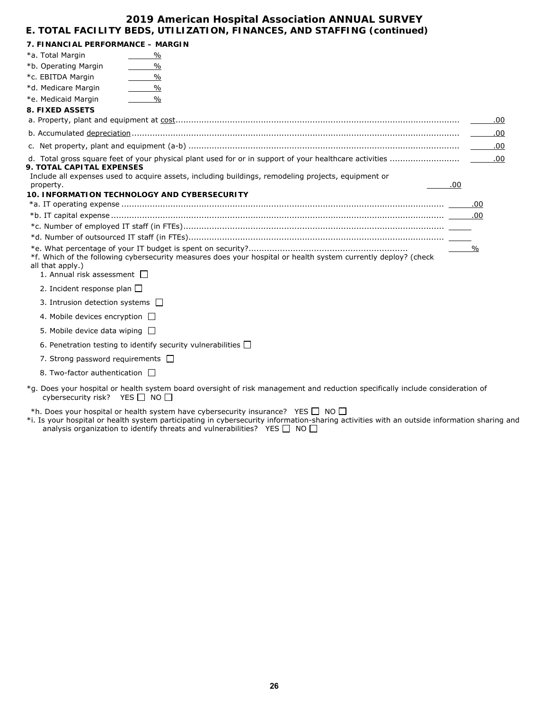### **2019 American Hospital Association ANNUAL SURVEY E. TOTAL FACILITY BEDS, UTILIZATION, FINANCES, AND STAFFING (continued)**

| 7. FINANCIAL PERFORMANCE – MARGIN |  |
|-----------------------------------|--|

| *a. Total Margin      | $\frac{0}{0}$ |
|-----------------------|---------------|
| *b. Operating Margin  | $\%$          |
| *c. EBITDA Margin     | %             |
| *d. Medicare Margin   | $\%$          |
| *e. Medicaid Margin   | $\frac{0}{0}$ |
| <b>8 FIXED ASSETS</b> |               |

| <b>8. FIXED ASSETS</b>                                                                                                                                                                               |               |     |
|------------------------------------------------------------------------------------------------------------------------------------------------------------------------------------------------------|---------------|-----|
|                                                                                                                                                                                                      |               | .00 |
|                                                                                                                                                                                                      |               | .00 |
|                                                                                                                                                                                                      |               | .00 |
| 9. TOTAL CAPITAL EXPENSES<br>Include all expenses used to acquire assets, including buildings, remodeling projects, equipment or<br>.00<br>property.<br>10. INFORMATION TECHNOLOGY AND CYBERSECURITY |               |     |
|                                                                                                                                                                                                      |               |     |
|                                                                                                                                                                                                      |               |     |
|                                                                                                                                                                                                      |               |     |
|                                                                                                                                                                                                      |               |     |
| *f. Which of the following cybersecurity measures does your hospital or health system currently deploy? (check<br>all that apply.)<br>1. Annual risk assessment $\Box$                               | $\frac{0}{0}$ |     |
| 2. Incident response plan $\Box$                                                                                                                                                                     |               |     |
| 3. Intrusion detection systems $\Box$                                                                                                                                                                |               |     |
| 4. Mobile devices encryption $\Box$                                                                                                                                                                  |               |     |
| 5. Mobile device data wiping $\Box$                                                                                                                                                                  |               |     |
| 6. Penetration testing to identify security vulnerabilities $\Box$                                                                                                                                   |               |     |
| 7. Strong password requirements $\Box$                                                                                                                                                               |               |     |
| 8. Two-factor authentication $\Box$                                                                                                                                                                  |               |     |
| *q. Does your hospital or health system board oversight of risk management and reduction specifically include consideration of<br>cybersecurity risk? YES $\Box$ NO $\Box$                           |               |     |

\*h. Does your hospital or health system have cybersecurity insurance? YES  $\Box$  NO

\*i. Is your hospital or health system participating in cybersecurity information-sharing activities with an outside information sharing and analysis organization to identify threats and vulnerabilities?  $\;$  YES  $\Box$  NO  $\;$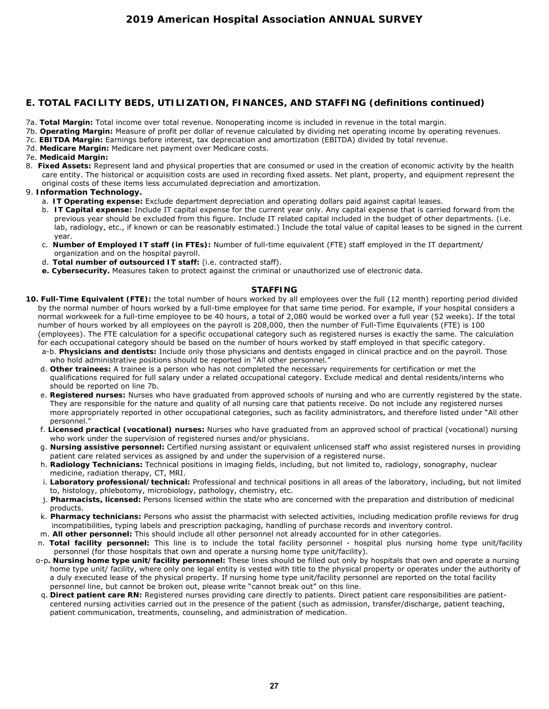## **E. TOTAL FACILITY BEDS, UTILIZATION, FINANCES, AND STAFFING (definitions continued)**

- 7a. **Total Margin:** Total income over total revenue. Nonoperating income is included in revenue in the total margin.
- 7b. **Operating Margin:** Measure of profit per dollar of revenue calculated by dividing net operating income by operating revenues.
- 7c. **EBITDA Margin:** Earnings before interest, tax depreciation and amortization (EBITDA) divided by total revenue.
- 7d. **Medicare Margin:** Medicare net payment over Medicare costs.

#### 7e. **Medicaid Margin:**

- 8. **Fixed Assets:** Represent land and physical properties that are consumed or used in the creation of economic activity by the health care entity. The historical or acquisition costs are used in recording fixed assets. Net plant, property, and equipment represent the original costs of these items less accumulated depreciation and amortization.
- 9. **Information Technology.** 
	- a. **IT Operating expense:** Exclude department depreciation and operating dollars paid against capital leases.
	- b. **IT Capital expense:** Include IT capital expense for the current year only. Any capital expense that is carried forward from the previous year should be excluded from this figure. Include IT related capital included in the budget of other departments. (i.e. lab, radiology, etc., if known or can be reasonably estimated.) Include the total value of capital leases to be signed in the current year.
	- c. **Number of Employed IT staff (in FTEs):** Number of full-time equivalent (FTE) staff employed in the IT department/ organization and on the hospital payroll.
	- d. **Total number of outsourced IT staff:** (i.e. contracted staff).
	- **e. Cybersecurity.** Measures taken to protect against the criminal or unauthorized use of electronic data.

### **STAFFING**

- **10. Full-Time Equivalent (FTE):** the total number of hours worked by all employees over the full (12 month) reporting period divided by the normal number of hours worked by a full-time employee for that same time period. For example, if your hospital considers a normal workweek for a full-time employee to be 40 hours, a total of 2,080 would be worked over a full year (52 weeks). If the total number of hours worked by all employees on the payroll is 208,000, then the number of Full-Time Equivalents (FTE) is 100 (employees). The FTE calculation for a specific occupational category such as registered nurses is exactly the same. The calculation for each occupational category should be based on the number of hours worked by staff employed in that specific category.
	- a-b. **Physicians and dentists:** Include only those physicians and dentists engaged in clinical practice and on the payroll. Those who hold administrative positions should be reported in "All other personnel."
	- d. **Other trainees:** A trainee is a person who has not completed the necessary requirements for certification or met the qualifications required for full salary under a related occupational category. Exclude medical and dental residents/interns who should be reported on line 7b.
	- e. **Registered nurses:** Nurses who have graduated from approved schools of nursing and who are currently registered by the state. They are responsible for the nature and quality of all nursing care that patients receive. Do not include any registered nurses more appropriately reported in other occupational categories, such as facility administrators, and therefore listed under "All other personnel."
	- f. **Licensed practical (vocational) nurses:** Nurses who have graduated from an approved school of practical (vocational) nursing who work under the supervision of registered nurses and/or physicians.
	- g. **Nursing assistive personnel:** Certified nursing assistant or equivalent unlicensed staff who assist registered nurses in providing patient care related services as assigned by and under the supervision of a registered nurse.
	- h. **Radiology Technicians:** Technical positions in imaging fields, including, but not limited to, radiology, sonography, nuclear medicine, radiation therapy, CT, MRI.
	- i. **Laboratory professional/technical:** Professional and technical positions in all areas of the laboratory, including, but not limited to, histology, phlebotomy, microbiology, pathology, chemistry, etc.
	- j. **Pharmacists, licensed:** Persons licensed within the state who are concerned with the preparation and distribution of medicinal products.
	- k. **Pharmacy technicians:** Persons who assist the pharmacist with selected activities, including medication profile reviews for drug incompatibilities, typing labels and prescription packaging, handling of purchase records and inventory control.
	- m. **All other personnel:** This should include all other personnel not already accounted for in other categories.
	- n. **Total facility personnel:** This line is to include the total facility personnel hospital plus nursing home type unit/facility personnel (for those hospitals that own and operate a nursing home type unit/facility).
	- o-p**. Nursing home type unit/facility personnel:** These lines should be filled out only by hospitals that own and operate a nursing home type unit/ facility, where only one legal entity is vested with title to the physical property or operates under the authority of a duly executed lease of the physical property. If nursing home type unit/facility personnel are reported on the total facility personnel line, but cannot be broken out, please write "cannot break out" on this line.
	- q. **Direct patient care RN:** Registered nurses providing care directly to patients. Direct patient care responsibilities are patientcentered nursing activities carried out in the presence of the patient (such as admission, transfer/discharge, patient teaching, patient communication, treatments, counseling, and administration of medication.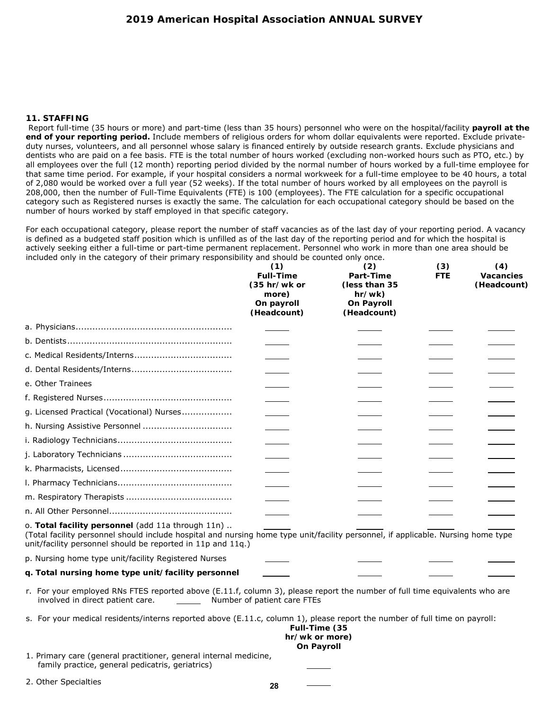#### **11. STAFFING**

Report full-time (35 hours or more) and part-time (less than 35 hours) personnel who were on the hospital/facility **payroll at the end of your reporting period.** Include members of religious orders for whom dollar equivalents were reported. Exclude privateduty nurses, volunteers, and all personnel whose salary is financed entirely by outside research grants. Exclude physicians and dentists who are paid on a fee basis. FTE is the total number of hours worked (excluding non-worked hours such as PTO, etc.) by all employees over the full (12 month) reporting period divided by the normal number of hours worked by a full-time employee for that same time period. For example, if your hospital considers a normal workweek for a full-time employee to be 40 hours, a total of 2,080 would be worked over a full year (52 weeks). If the total number of hours worked by all employees on the payroll is 208,000, then the number of Full-Time Equivalents (FTE) is 100 (employees). The FTE calculation for a specific occupational category such as Registered nurses is exactly the same. The calculation for each occupational category should be based on the number of hours worked by staff employed in that specific category.

For each occupational category, please report the number of staff vacancies as of the last day of your reporting period. A vacancy is defined as a budgeted staff position which is unfilled as of the last day of the reporting period and for which the hospital is actively seeking either a full-time or part-time permanent replacement. Personnel who work in more than one area should be included only in the category of their primary responsibility and should be counted only once.

|                                                                                                                                                                                                                                                       | (1)<br><b>Full-Time</b><br>(35 hr/wk or<br>more)<br>On payroll<br>(Headcount) | (2)<br>Part-Time<br>(less than 35<br>hr/wk)<br><b>On Payroll</b><br>(Headcount) | (3)<br><b>FTE</b> | (4)<br><b>Vacancies</b><br>(Headcount) |
|-------------------------------------------------------------------------------------------------------------------------------------------------------------------------------------------------------------------------------------------------------|-------------------------------------------------------------------------------|---------------------------------------------------------------------------------|-------------------|----------------------------------------|
|                                                                                                                                                                                                                                                       |                                                                               |                                                                                 |                   |                                        |
|                                                                                                                                                                                                                                                       |                                                                               |                                                                                 |                   |                                        |
|                                                                                                                                                                                                                                                       |                                                                               |                                                                                 |                   |                                        |
|                                                                                                                                                                                                                                                       |                                                                               |                                                                                 |                   |                                        |
| e. Other Trainees                                                                                                                                                                                                                                     |                                                                               |                                                                                 |                   |                                        |
|                                                                                                                                                                                                                                                       |                                                                               |                                                                                 |                   |                                        |
| g. Licensed Practical (Vocational) Nurses                                                                                                                                                                                                             |                                                                               |                                                                                 |                   |                                        |
|                                                                                                                                                                                                                                                       |                                                                               |                                                                                 |                   |                                        |
|                                                                                                                                                                                                                                                       |                                                                               |                                                                                 |                   |                                        |
|                                                                                                                                                                                                                                                       |                                                                               |                                                                                 |                   |                                        |
|                                                                                                                                                                                                                                                       |                                                                               |                                                                                 |                   |                                        |
|                                                                                                                                                                                                                                                       |                                                                               |                                                                                 |                   |                                        |
|                                                                                                                                                                                                                                                       |                                                                               |                                                                                 |                   |                                        |
|                                                                                                                                                                                                                                                       |                                                                               |                                                                                 |                   |                                        |
| o. Total facility personnel (add 11a through 11n)<br>(Total facility personnel should include hospital and nursing home type unit/facility personnel, if applicable. Nursing home type<br>unit/facility personnel should be reported in 11p and 11q.) |                                                                               |                                                                                 |                   |                                        |

p. Nursing home type unit/facility Registered Nurses

**q. Total nursing home type unit/facility personnel**

- r. For your employed RNs FTES reported above (E.11.f, column 3), please report the number of full time equivalents who are involved in direct patient care. \_\_\_\_\_\_\_\_\_\_ Number of patient care FTEs
- s. For your medical residents/interns reported above (E.11.c, column 1), please report the number of full time on payroll:

#### **Full-Time (35 hr/wk or more)**

#### **On Payroll**

1. Primary care (general practitioner, general internal medicine, family practice, general pedicatris, geriatrics)

2. Other Specialties

**28**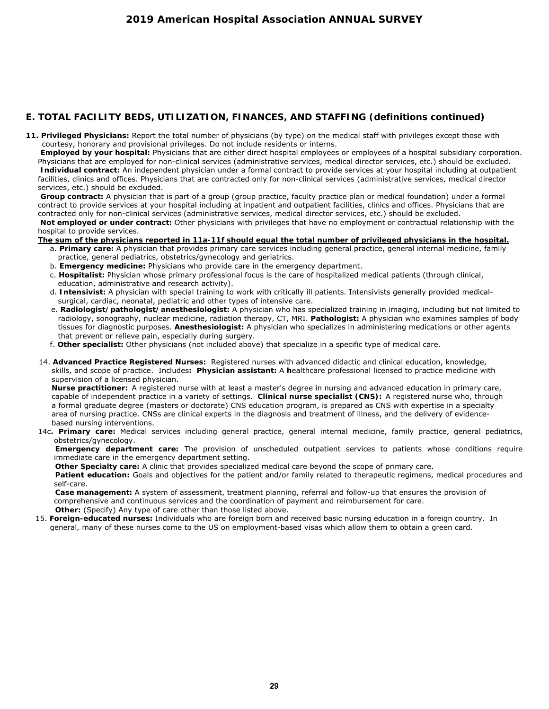# **E. TOTAL FACILITY BEDS, UTILIZATION, FINANCES, AND STAFFING (definitions continued)**

**11. Privileged Physicians:** Report the total number of physicians (by type) on the medical staff with privileges except those with courtesy, honorary and provisional privileges. Do not include residents or interns.

**Employed by your hospital:** Physicians that are either direct hospital employees or employees of a hospital subsidiary corporation. Physicians that are employed for non-clinical services (administrative services, medical director services, etc.) should be excluded. **Individual contract:** An independent physician under a formal contract to provide services at your hospital including at outpatient facilities, clinics and offices. Physicians that are contracted only for non-clinical services (administrative services, medical director services, etc.) should be excluded.

**Group contract:** A physician that is part of a group (group practice, faculty practice plan or medical foundation) under a formal contract to provide services at your hospital including at inpatient and outpatient facilities, clinics and offices. Physicians that are contracted only for non-clinical services (administrative services, medical director services, etc.) should be excluded. **Not employed or under contract:** Other physicians with privileges that have no employment or contractual relationship with the

#### hospital to provide services. *The sum of the physicians reported in 11a-11f should equal the total number of privileged physicians in the hospital.*

a. **Primary care:** A physician that provides primary care services including general practice, general internal medicine, family practice, general pediatrics, obstetrics/gynecology and geriatrics.

- b. **Emergency medicine:** Physicians who provide care in the emergency department.
- c. **Hospitalist:** Physician whose primary professional focus is the care of hospitalized medical patients (through clinical, education, administrative and research activity).
- d. **Intensivist:** A physician with special training to work with critically ill patients. Intensivists generally provided medicalsurgical, cardiac, neonatal, pediatric and other types of intensive care.
- e. **Radiologist/pathologist/anesthesiologist:** A physician who has specialized training in imaging, including but not limited to radiology, sonography, nuclear medicine, radiation therapy, CT, MRI. **Pathologist:** A physician who examines samples of body tissues for diagnostic purposes. **Anesthesiologist:** A physician who specializes in administering medications or other agents that prevent or relieve pain, especially during surgery.
- f. **Other specialist:** Other physicians (not included above) that specialize in a specific type of medical care.
- 14. **Advanced Practice Registered Nurses:** Registered nurses with advanced didactic and clinical education, knowledge, skills, and scope of practice. Includes**: Physician assistant:** A **h**ealthcare professional licensed to practice medicine with supervision of a licensed physician.

**Nurse practitioner:** A registered nurse with at least a master's degree in nursing and advanced education in primary care, capable of independent practice in a variety of settings. **Clinical nurse specialist (CNS):** A registered nurse who, through a formal graduate degree (masters or doctorate) CNS education program, is prepared as CNS with expertise in a specialty area of nursing practice. CNSs are clinical experts in the diagnosis and treatment of illness, and the delivery of evidencebased nursing interventions.

14c**. Primary care:** Medical services including general practice, general internal medicine, family practice, general pediatrics, obstetrics/gynecology.

 **Emergency department care:** The provision of unscheduled outpatient services to patients whose conditions require immediate care in the emergency department setting.

 **Other Specialty care:** A clinic that provides specialized medical care beyond the scope of primary care.

 **Patient education:** Goals and objectives for the patient and/or family related to therapeutic regimens, medical procedures and self-care.

 **Case management:** A system of assessment, treatment planning, referral and follow-up that ensures the provision of comprehensive and continuous services and the coordination of payment and reimbursement for care.

- **Other:** (Specify) Any type of care other than those listed above.
- 15. **Foreign-educated nurses:** Individuals who are foreign born and received basic nursing education in a foreign country. In general, many of these nurses come to the US on employment-based visas which allow them to obtain a green card.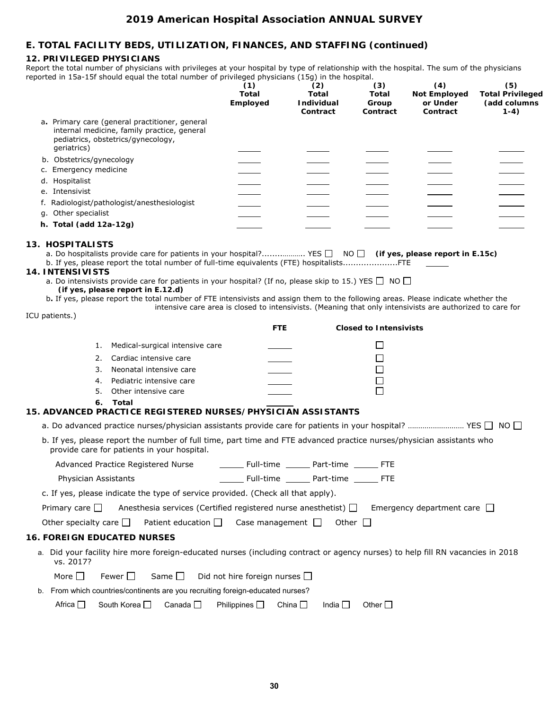## **E. TOTAL FACILITY BEDS, UTILIZATION, FINANCES, AND STAFFING (continued)**

### **12. PRIVILEGED PHYSICIANS**

Report the total number of physicians with privileges at your hospital by type of relationship with the hospital. The sum of the physicians reported in 15a-15f should equal the total number of privileged physicians (15g) in the hospital.

|                                                                                                                                                    | (1)<br><b>Total</b><br><b>Employed</b> | (2)<br>Total<br><b>Individual</b><br>Contract | (3)<br>Total<br>Group<br>Contract | (4)<br><b>Not Employed</b><br>or Under<br>Contract | (5)<br><b>Total Privileged</b><br>(add columns<br>$1-4)$ |
|----------------------------------------------------------------------------------------------------------------------------------------------------|----------------------------------------|-----------------------------------------------|-----------------------------------|----------------------------------------------------|----------------------------------------------------------|
| a. Primary care (general practitioner, general<br>internal medicine, family practice, general<br>pediatrics, obstetrics/gynecology,<br>qeriatrics) |                                        |                                               |                                   |                                                    |                                                          |
| b. Obstetrics/gynecology                                                                                                                           |                                        |                                               |                                   |                                                    |                                                          |
| c. Emergency medicine                                                                                                                              |                                        |                                               |                                   |                                                    |                                                          |
| d. Hospitalist                                                                                                                                     |                                        |                                               |                                   |                                                    |                                                          |
| e. Intensivist                                                                                                                                     |                                        |                                               |                                   |                                                    |                                                          |
| f. Radiologist/pathologist/anesthesiologist                                                                                                        |                                        |                                               |                                   |                                                    |                                                          |
| g. Other specialist                                                                                                                                |                                        |                                               |                                   |                                                    |                                                          |
| h. Total (add 12a-12g)                                                                                                                             |                                        |                                               |                                   |                                                    |                                                          |

#### **13. HOSPITALISTS**

a. Do hospitalists provide care for patients in your hospital?.................... YES  $\Box$  NO  $\Box$  (if yes, please report in E.15c)

b. If yes, please report the total number of full-time equivalents (FTE) hospitalists.....................FTE

#### **14. INTENSIVISTS**

- a. Do intensivists provide care for patients in your hospital? (If no, please skip to 15.) YES  $\Box$  NO  $\Box$ **(if yes, please report in E.12.d)**
- b**.** If yes, please report the total number of FTE intensivists and assign them to the following areas. Please indicate whether the intensive care area is closed to intensivists. (Meaning that only intensivists are authorized to care for

ICU patients.)

|    |                                                                                                                                                                                                              | <b>FTE</b>                                           |              | <b>Closed to Intensivists</b>                                                                        |
|----|--------------------------------------------------------------------------------------------------------------------------------------------------------------------------------------------------------------|------------------------------------------------------|--------------|------------------------------------------------------------------------------------------------------|
|    | Medical-surgical intensive care<br>1.                                                                                                                                                                        |                                                      |              |                                                                                                      |
|    | Cardiac intensive care<br>2.<br>Neonatal intensive care<br>3.<br>Pediatric intensive care<br>4.<br>Other intensive care<br>5.<br>Total<br>6.<br>15. ADVANCED PRACTICE REGISTERED NURSES/PHYSICIAN ASSISTANTS |                                                      |              |                                                                                                      |
|    |                                                                                                                                                                                                              |                                                      |              |                                                                                                      |
|    |                                                                                                                                                                                                              |                                                      |              |                                                                                                      |
|    | b. If yes, please report the number of full time, part time and FTE advanced practice nurses/physician assistants who<br>provide care for patients in your hospital.                                         |                                                      |              |                                                                                                      |
|    |                                                                                                                                                                                                              |                                                      |              |                                                                                                      |
|    | Physician Assistants                                                                                                                                                                                         | _________ Full-time _________ Part-time ________ FTE |              |                                                                                                      |
|    | c. If yes, please indicate the type of service provided. (Check all that apply).                                                                                                                             |                                                      |              |                                                                                                      |
|    | Primary care $\Box$                                                                                                                                                                                          |                                                      |              | Anesthesia services (Certified registered nurse anesthetist) $\Box$ Emergency department care $\Box$ |
|    | Other specialty care $\Box$ Patient education $\Box$ Case management $\Box$                                                                                                                                  |                                                      | Other $\Box$ |                                                                                                      |
|    | <b>16. FOREIGN EDUCATED NURSES</b>                                                                                                                                                                           |                                                      |              |                                                                                                      |
| a. | Did your facility hire more foreign-educated nurses (including contract or agency nurses) to help fill RN vacancies in 2018<br>vs. 2017?                                                                     |                                                      |              |                                                                                                      |
|    | More $\Box$<br>Fewer $\Box$                                                                                                                                                                                  | Same $\Box$ Did not hire foreign nurses $\Box$       |              |                                                                                                      |
|    | b. From which countries/continents are you recruiting foreign-educated nurses?                                                                                                                               |                                                      |              |                                                                                                      |
|    | Africa $\Box$<br>South Korea □<br>Canada $\Box$                                                                                                                                                              | Philippines $\Box$<br>China $\Box$                   | India I      | Other $\Box$                                                                                         |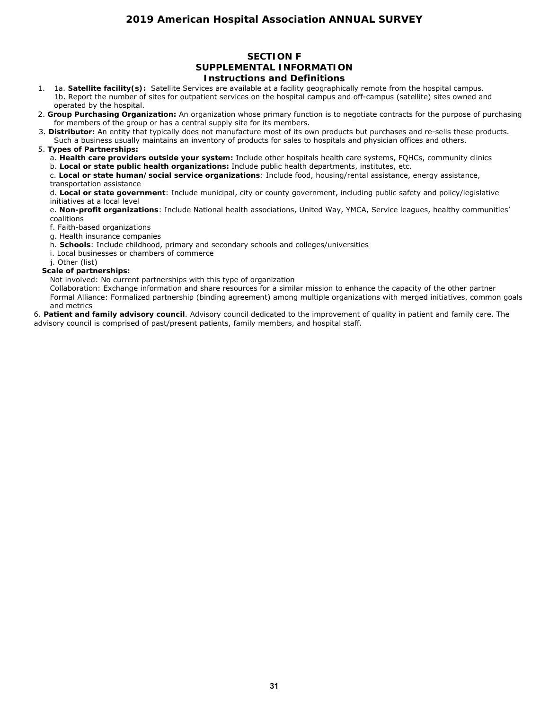# **SECTION F**

#### **SUPPLEMENTAL INFORMATION Instructions and Definitions**

- 1. 1a. **Satellite facility(s):** Satellite Services are available at a facility geographically remote from the hospital campus. 1b. Report the number of sites for outpatient services on the hospital campus and off-campus (satellite) sites owned and operated by the hospital.
- 2. **Group Purchasing Organization:** An organization whose primary function is to negotiate contracts for the purpose of purchasing for members of the group or has a central supply site for its members.
- 3. **Distributor:** An entity that typically does not manufacture most of its own products but purchases and re-sells these products. Such a business usually maintains an inventory of products for sales to hospitals and physician offices and others.

#### 5. **Types of Partnerships:**

a. **Health care providers outside your system:** Include other hospitals health care systems, FQHCs, community clinics

b. **Local or state public health organizations:** Include public health departments, institutes, etc.

c. **Local or state human/social service organizations**: Include food, housing/rental assistance, energy assistance, transportation assistance

d. **Local or state government**: Include municipal, city or county government, including public safety and policy/legislative initiatives at a local level

e. **Non-profit organizations**: Include National health associations, United Way, YMCA, Service leagues, healthy communities' coalitions

f. Faith-based organizations

- g. Health insurance companies
- h. **Schools**: Include childhood, primary and secondary schools and colleges/universities
- i. Local businesses or chambers of commerce

j. Other (list)

#### **Scale of partnerships:**

Not involved: No current partnerships with this type of organization

Collaboration: Exchange information and share resources for a similar mission to enhance the capacity of the other partner Formal Alliance: Formalized partnership (binding agreement) among multiple organizations with merged initiatives, common goals and metrics

6. **Patient and family advisory council**. Advisory council dedicated to the improvement of quality in patient and family care. The advisory council is comprised of past/present patients, family members, and hospital staff.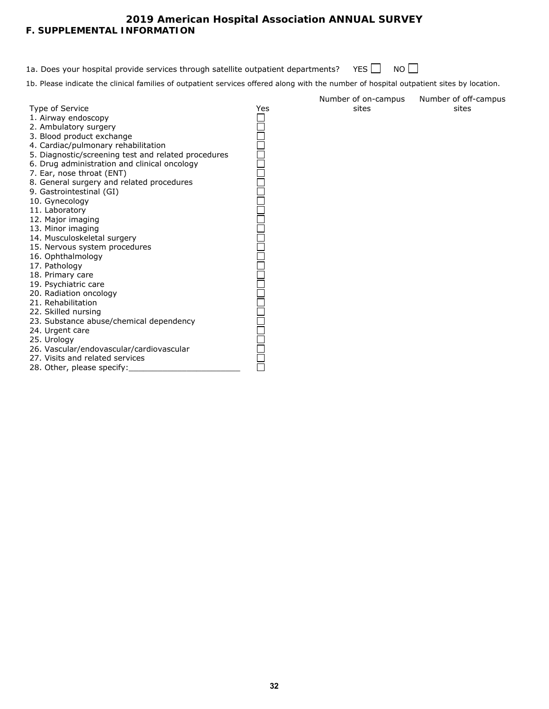# **2019 American Hospital Association ANNUAL SURVEY F. SUPPLEMENTAL INFORMATION**

1a. Does your hospital provide services through satellite outpatient departments? YES  $\Box$  NO  $\Box$ 

1b. Please indicate the clinical families of outpatient services offered along with the number of hospital outpatient sites by location.

|                                                     |     | Number of on-campus | Number of off-campus |
|-----------------------------------------------------|-----|---------------------|----------------------|
| Type of Service                                     | Yes | sites               | sites                |
| 1. Airway endoscopy                                 |     |                     |                      |
| 2. Ambulatory surgery                               |     |                     |                      |
| 3. Blood product exchange                           |     |                     |                      |
| 4. Cardiac/pulmonary rehabilitation                 |     |                     |                      |
| 5. Diagnostic/screening test and related procedures |     |                     |                      |
| 6. Drug administration and clinical oncology        |     |                     |                      |
| 7. Ear, nose throat (ENT)                           |     |                     |                      |
| 8. General surgery and related procedures           |     |                     |                      |
| 9. Gastrointestinal (GI)                            |     |                     |                      |
| 10. Gynecology                                      |     |                     |                      |
| 11. Laboratory                                      |     |                     |                      |
| 12. Major imaging                                   |     |                     |                      |
| 13. Minor imaging                                   |     |                     |                      |
| 14. Musculoskeletal surgery                         |     |                     |                      |
| 15. Nervous system procedures                       |     |                     |                      |
| 16. Ophthalmology                                   |     |                     |                      |
| 17. Pathology                                       |     |                     |                      |
| 18. Primary care                                    |     |                     |                      |
| 19. Psychiatric care                                |     |                     |                      |
| 20. Radiation oncology                              |     |                     |                      |
| 21. Rehabilitation                                  |     |                     |                      |
| 22. Skilled nursing                                 |     |                     |                      |
| 23. Substance abuse/chemical dependency             |     |                     |                      |
| 24. Urgent care                                     |     |                     |                      |
| 25. Urology                                         |     |                     |                      |
| 26. Vascular/endovascular/cardiovascular            |     |                     |                      |
| 27. Visits and related services                     |     |                     |                      |
| 28. Other, please specify:                          |     |                     |                      |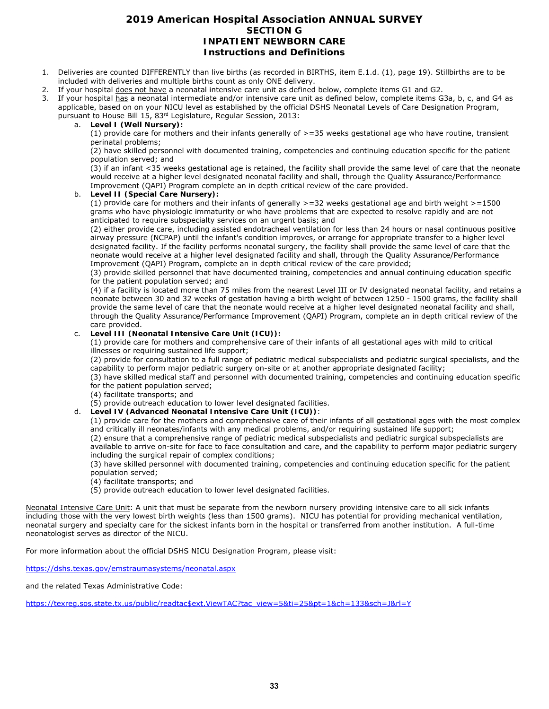## **2019 American Hospital Association ANNUAL SURVEY SECTION G INPATIENT NEWBORN CARE Instructions and Definitions**

- 1. Deliveries are counted DIFFERENTLY than live births (as recorded in BIRTHS, item E.1.d. (1), page 19). Stillbirths are to be included with deliveries and multiple births count as only ONE delivery.
- 2. If your hospital does not have a neonatal intensive care unit as defined below, complete items G1 and G2.
- 3. If your hospital has a neonatal intermediate and/or intensive care unit as defined below, complete items G3a, b, c, and G4 as applicable, based on on your NICU level as established by the official DSHS Neonatal Levels of Care Designation Program, pursuant to House Bill 15, 83rd Legislature, Regular Session, 2013:
	- a. **Level I (Well Nursery):**
		- (1) provide care for mothers and their infants generally of >=35 weeks gestational age who have routine, transient perinatal problems;

(2) have skilled personnel with documented training, competencies and continuing education specific for the patient population served; and

(3) if an infant <35 weeks gestational age is retained, the facility shall provide the same level of care that the neonate would receive at a higher level designated neonatal facility and shall, through the Quality Assurance/Performance Improvement (QAPI) Program complete an in depth critical review of the care provided.

#### b. **Level II (Special Care Nursery):**

(1) provide care for mothers and their infants of generally >=32 weeks gestational age and birth weight >=1500 grams who have physiologic immaturity or who have problems that are expected to resolve rapidly and are not anticipated to require subspecialty services on an urgent basis; and

(2) either provide care, including assisted endotracheal ventilation for less than 24 hours or nasal continuous positive airway pressure (NCPAP) until the infant's condition improves, or arrange for appropriate transfer to a higher level designated facility. If the facility performs neonatal surgery, the facility shall provide the same level of care that the neonate would receive at a higher level designated facility and shall, through the Quality Assurance/Performance Improvement (QAPI) Program, complete an in depth critical review of the care provided;

(3) provide skilled personnel that have documented training, competencies and annual continuing education specific for the patient population served; and

(4) if a facility is located more than 75 miles from the nearest Level III or IV designated neonatal facility, and retains a neonate between 30 and 32 weeks of gestation having a birth weight of between 1250 - 1500 grams, the facility shall provide the same level of care that the neonate would receive at a higher level designated neonatal facility and shall, through the Quality Assurance/Performance Improvement (QAPI) Program, complete an in depth critical review of the care provided.

#### c. **Level III (Neonatal Intensive Care Unit (ICU)):**

(1) provide care for mothers and comprehensive care of their infants of all gestational ages with mild to critical illnesses or requiring sustained life support;

(2) provide for consultation to a full range of pediatric medical subspecialists and pediatric surgical specialists, and the capability to perform major pediatric surgery on-site or at another appropriate designated facility;

(3) have skilled medical staff and personnel with documented training, competencies and continuing education specific for the patient population served;

(4) facilitate transports; and

(5) provide outreach education to lower level designated facilities.

d. **Level IV (Advanced Neonatal Intensive Care Unit (ICU))**:

(1) provide care for the mothers and comprehensive care of their infants of all gestational ages with the most complex and critically ill neonates/infants with any medical problems, and/or requiring sustained life support;

(2) ensure that a comprehensive range of pediatric medical subspecialists and pediatric surgical subspecialists are available to arrive on-site for face to face consultation and care, and the capability to perform major pediatric surgery including the surgical repair of complex conditions;

(3) have skilled personnel with documented training, competencies and continuing education specific for the patient population served;

- (4) facilitate transports; and
- (5) provide outreach education to lower level designated facilities.

Neonatal Intensive Care Unit: A unit that must be separate from the newborn nursery providing intensive care to all sick infants including those with the very lowest birth weights (less than 1500 grams). NICU has potential for providing mechanical ventilation, neonatal surgery and specialty care for the sickest infants born in the hospital or transferred from another institution. A full-time neonatologist serves as director of the NICU.

For more information about the official DSHS NICU Designation Program, please visit:

https://dshs.texas.gov/emstraumasystems/neonatal.aspx

and the related Texas Administrative Code:

https://texreg.sos.state.tx.us/public/readtac\$ext.ViewTAC?tac\_view=5&ti=25&pt=1&ch=133&sch=J&rl=Y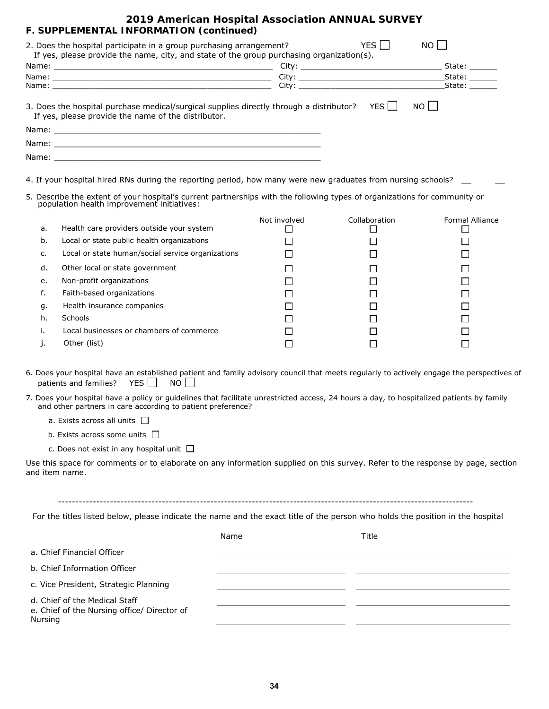|    | 2. Does the hospital participate in a group purchasing arrangement?<br>If yes, please provide the name, city, and state of the group purchasing organization(s).                                                                                                                                                                                                                                    |                   | YES $\Box$              | NO I                        |
|----|-----------------------------------------------------------------------------------------------------------------------------------------------------------------------------------------------------------------------------------------------------------------------------------------------------------------------------------------------------------------------------------------------------|-------------------|-------------------------|-----------------------------|
|    |                                                                                                                                                                                                                                                                                                                                                                                                     |                   |                         |                             |
|    |                                                                                                                                                                                                                                                                                                                                                                                                     |                   |                         |                             |
|    |                                                                                                                                                                                                                                                                                                                                                                                                     |                   |                         |                             |
|    | 3. Does the hospital purchase medical/surgical supplies directly through a distributor? YES $\Box$<br>If yes, please provide the name of the distributor.                                                                                                                                                                                                                                           |                   |                         | NO I I                      |
|    |                                                                                                                                                                                                                                                                                                                                                                                                     |                   |                         |                             |
|    |                                                                                                                                                                                                                                                                                                                                                                                                     |                   |                         |                             |
|    |                                                                                                                                                                                                                                                                                                                                                                                                     |                   |                         |                             |
|    | 4. If your hospital hired RNs during the reporting period, how many were new graduates from nursing schools? __<br>5. Describe the extent of your hospital's current partnerships with the following types of organizations for community or population health improvement initiatives:                                                                                                             |                   |                         |                             |
| a. | Health care providers outside your system                                                                                                                                                                                                                                                                                                                                                           | Not involved<br>П | Collaboration<br>$\Box$ | <b>Formal Alliance</b><br>П |
| b. | Local or state public health organizations                                                                                                                                                                                                                                                                                                                                                          | $\Box$            | П                       | $\Box$                      |
| c. | Local or state human/social service organizations                                                                                                                                                                                                                                                                                                                                                   | П                 |                         | H.                          |
| d. | Other local or state government                                                                                                                                                                                                                                                                                                                                                                     | $\Box$            |                         | $\Box$                      |
| е. | Non-profit organizations                                                                                                                                                                                                                                                                                                                                                                            | $\mathsf{L}$      |                         | $\mathsf{L}$                |
| f. | Faith-based organizations                                                                                                                                                                                                                                                                                                                                                                           | П                 |                         | $\mathsf{L}$                |
| g. | Health insurance companies                                                                                                                                                                                                                                                                                                                                                                          | П                 |                         | $\overline{\phantom{a}}$    |
| h. | Schools                                                                                                                                                                                                                                                                                                                                                                                             | $\Box$            |                         | П                           |
| i. | Local businesses or chambers of commerce                                                                                                                                                                                                                                                                                                                                                            | $\Box$            | $\Box$                  | $\mathsf{L}$                |
| j. | Other (list)                                                                                                                                                                                                                                                                                                                                                                                        | П                 |                         | П                           |
|    | 6. Does your hospital have an established patient and family advisory council that meets regularly to actively engage the perspectives of<br>YES $\Box$<br>NO<br>patients and families?<br>7. Does your hospital have a policy or guidelines that facilitate unrestricted access, 24 hours a day, to hospitalized patients by family<br>and other partners in care according to patient preference? |                   |                         |                             |

a. Exists across all units  $\Box$ 

b. Exists across some units  $\Box$ 

c. Does not exist in any hospital unit  $\Box$ 

Use this space for comments or to elaborate on any information supplied on this survey. Refer to the response by page, section and item name.

------------------------------------------------------------------------------------------------------------------------

For the titles listed below, please indicate the name and the exact title of the person who holds the position in the hospital

|                                                                                         | Name | Title |
|-----------------------------------------------------------------------------------------|------|-------|
| a. Chief Financial Officer                                                              |      |       |
| b. Chief Information Officer                                                            |      |       |
| c. Vice President, Strategic Planning                                                   |      |       |
| d. Chief of the Medical Staff<br>e. Chief of the Nursing office/ Director of<br>Nursing |      |       |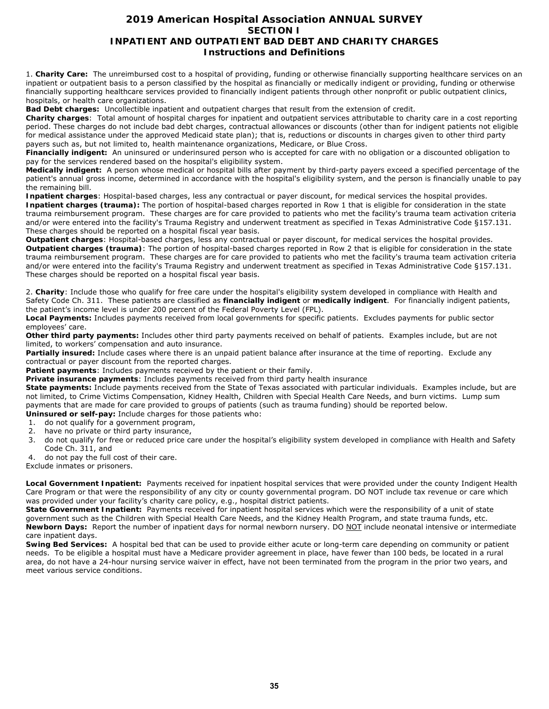# **2019 American Hospital Association ANNUAL SURVEY SECTION I INPATIENT AND OUTPATIENT BAD DEBT AND CHARITY CHARGES Instructions and Definitions**

1. **Charity Care:** The unreimbursed cost to a hospital of providing, funding or otherwise financially supporting healthcare services on an inpatient or outpatient basis to a person classified by the hospital as financially or medically indigent or providing, funding or otherwise financially supporting healthcare services provided to financially indigent patients through other nonprofit or public outpatient clinics, hospitals, or health care organizations.

**Bad Debt charges:** Uncollectible inpatient and outpatient charges that result from the extension of credit.

**Charity charges**: Total amount of hospital charges for inpatient and outpatient services attributable to charity care in a cost reporting period. These charges do not include bad debt charges, contractual allowances or discounts (other than for indigent patients not eligible for medical assistance under the approved Medicaid state plan); that is, reductions or discounts in charges given to other third party payers such as, but not limited to, health maintenance organizations, Medicare, or Blue Cross.

**Financially indigent:** An uninsured or underinsured person who is accepted for care with no obligation or a discounted obligation to pay for the services rendered based on the hospital's eligibility system.

**Medically indigent:** A person whose medical or hospital bills after payment by third-party payers exceed a specified percentage of the patient's annual gross income, determined in accordance with the hospital's eligibility system, and the person is financially unable to pay the remaining bill.

**Inpatient charges**: Hospital-based charges, less any contractual or payer discount, for medical services the hospital provides. **Inpatient charges (trauma):** The portion of hospital-based charges reported in Row 1 that is eligible for consideration in the state trauma reimbursement program. These charges are for care provided to patients who met the facility's trauma team activation criteria and/or were entered into the facility's Trauma Registry and underwent treatment as specified in Texas Administrative Code §157.131. These charges should be reported on a hospital fiscal year basis.

**Outpatient charges**: Hospital-based charges, less any contractual or payer discount, for medical services the hospital provides. **Outpatient charges (trauma)**: The portion of hospital-based charges reported in Row 2 that is eligible for consideration in the state trauma reimbursement program. These charges are for care provided to patients who met the facility's trauma team activation criteria and/or were entered into the facility's Trauma Registry and underwent treatment as specified in Texas Administrative Code §157.131. These charges should be reported on a hospital fiscal year basis.

2. **Charity**: Include those who qualify for free care under the hospital's eligibility system developed in compliance with Health and Safety Code Ch. 311. These patients are classified as **financially indigent** or **medically indigent**. For financially indigent patients, the patient's income level is under 200 percent of the Federal Poverty Level (FPL).

**Local Payments:** Includes payments received from local governments for specific patients. Excludes payments for public sector employees' care.

**Other third party payments:** Includes other third party payments received on behalf of patients. Examples include, but are not limited, to workers' compensation and auto insurance.

**Partially insured:** Include cases where there is an unpaid patient balance after insurance at the time of reporting. Exclude any contractual or payer discount from the reported charges.

**Patient payments**: Includes payments received by the patient or their family.

**Private insurance payments**: Includes payments received from third party health insurance

**State payments:** Include payments received from the State of Texas associated with particular individuals. Examples include, but are not limited, to Crime Victims Compensation, Kidney Health, Children with Special Health Care Needs, and burn victims. Lump sum payments that are made for care provided to groups of patients (such as trauma funding) should be reported below.

**Uninsured or self-pay:** Include charges for those patients who:

- 1. do not qualify for a government program,
- 2. have no private or third party insurance,
- 3. do not qualify for free or reduced price care under the hospital's eligibility system developed in compliance with Health and Safety Code Ch. 311, and

4. do not pay the full cost of their care.

Exclude inmates or prisoners.

**Local Government Inpatient:** Payments received for inpatient hospital services that were provided under the county Indigent Health Care Program or that were the responsibility of any city or county governmental program. DO NOT include tax revenue or care which was provided under your facility's charity care policy, e.g., hospital district patients.

**State Government Inpatient:** Payments received for inpatient hospital services which were the responsibility of a unit of state government such as the Children with Special Health Care Needs, and the Kidney Health Program, and state trauma funds, etc. **Newborn Days:** Report the number of inpatient days for normal newborn nursery. DO NOT include neonatal intensive or intermediate care inpatient days.

**Swing Bed Services:** A hospital bed that can be used to provide either acute or long-term care depending on community or patient needs. To be eligible a hospital must have a Medicare provider agreement in place, have fewer than 100 beds, be located in a rural area, do not have a 24-hour nursing service waiver in effect, have not been terminated from the program in the prior two years, and meet various service conditions.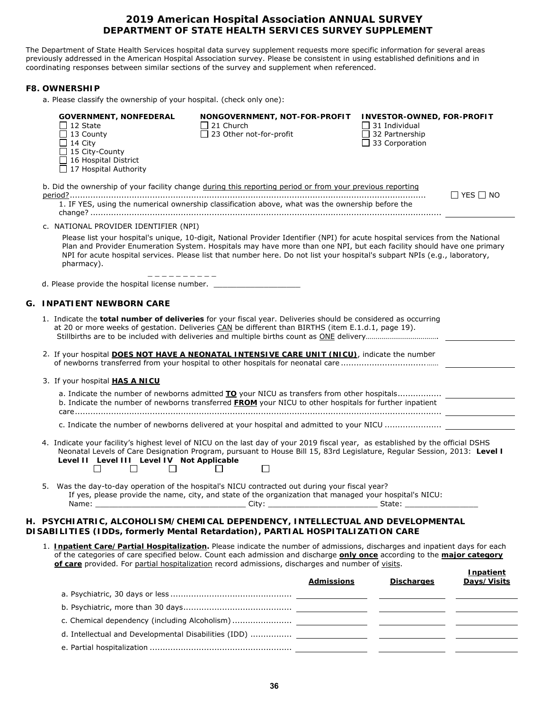### **2019 American Hospital Association ANNUAL SURVEY DEPARTMENT OF STATE HEALTH SERVICES SURVEY SUPPLEMENT**

The Department of State Health Services hospital data survey supplement requests more specific information for several areas previously addressed in the American Hospital Association survey. Please be consistent in using established definitions and in coordinating responses between similar sections of the survey and supplement when referenced.

### **F8. OWNERSHIP**

a. Please classify the ownership of your hospital. (check only one):

| <b>GOVERNMENT, NONFEDERAL</b><br>$\Box$ 12 State<br>$\Box$ 13 County<br>$\Box$ 14 City<br>□ 15 City-County<br>$\Box$ 16 Hospital District<br>17 Hospital Authority | NONGOVERNMENT, NOT-FOR-PROFIT INVESTOR-OWNED, FOR-PROFIT<br>$\Box$ 21 Church<br>23 Other not-for-profit                                                                                                                                                                                                                                                                               | $\Box$ 31 Individual<br>$\Box$ 32 Partnership<br>$\Box$ 33 Corporation |
|--------------------------------------------------------------------------------------------------------------------------------------------------------------------|---------------------------------------------------------------------------------------------------------------------------------------------------------------------------------------------------------------------------------------------------------------------------------------------------------------------------------------------------------------------------------------|------------------------------------------------------------------------|
|                                                                                                                                                                    | b. Did the ownership of your facility change during this reporting period or from your previous reporting<br>1. IF YES, using the numerical ownership classification above, what was the ownership before the                                                                                                                                                                         | $\Box$ YES $\Box$ NO                                                   |
| c. NATIONAL PROVIDER IDENTIFIER (NPI)<br>pharmacy).                                                                                                                | Please list your hospital's unique, 10-digit, National Provider Identifier (NPI) for acute hospital services from the National<br>Plan and Provider Enumeration System. Hospitals may have more than one NPI, but each facility should have one primary<br>NPI for acute hospital services. Please list that number here. Do not list your hospital's subpart NPIs (e.g., laboratory, |                                                                        |
| d. Please provide the hospital license number. _________________________________                                                                                   |                                                                                                                                                                                                                                                                                                                                                                                       |                                                                        |
| <b>G. INPATIENT NEWBORN CARE</b>                                                                                                                                   |                                                                                                                                                                                                                                                                                                                                                                                       |                                                                        |
|                                                                                                                                                                    | 1. Indicate the total number of deliveries for your fiscal year. Deliveries should be considered as occurring<br>at 20 or more weeks of gestation. Deliveries CAN be different than BIRTHS (item E.1.d.1, page 19).                                                                                                                                                                   |                                                                        |
|                                                                                                                                                                    | 2. If your hospital DOES NOT HAVE A NEONATAL INTENSIVE CARE UNIT (NICU), indicate the number                                                                                                                                                                                                                                                                                          |                                                                        |
| 3. If your hospital <b>HAS A NICU</b>                                                                                                                              |                                                                                                                                                                                                                                                                                                                                                                                       |                                                                        |
|                                                                                                                                                                    | a. Indicate the number of newborns admitted TO your NICU as transfers from other hospitals<br>b. Indicate the number of newborns transferred <b>FROM</b> your NICU to other hospitals for further inpatient                                                                                                                                                                           |                                                                        |
|                                                                                                                                                                    | c. Indicate the number of newborns delivered at your hospital and admitted to your NICU                                                                                                                                                                                                                                                                                               |                                                                        |
| Level II Level III Level IV Not Applicable<br>⊔<br>$\Box$<br>$\Box$                                                                                                | 4. Indicate your facility's highest level of NICU on the last day of your 2019 fiscal year, as established by the official DSHS<br>Neonatal Levels of Care Designation Program, pursuant to House Bill 15, 83rd Legislature, Regular Session, 2013: Level I<br>$\Box$<br>$\Box$                                                                                                       |                                                                        |
| 5.                                                                                                                                                                 | Was the day-to-day operation of the hospital's NICU contracted out during your fiscal year?<br>If yes, please provide the name, city, and state of the organization that managed your hospital's NICU:                                                                                                                                                                                |                                                                        |
|                                                                                                                                                                    |                                                                                                                                                                                                                                                                                                                                                                                       |                                                                        |

#### **H. PSYCHIATRIC, ALCOHOLISM/CHEMICAL DEPENDENCY, INTELLECTUAL AND DEVELOPMENTAL DISABILITIES (IDDs, formerly Mental Retardation), PARTIAL HOSPITALIZATION CARE**

1. **Inpatient Care/Partial Hospitalization.** Please indicate the number of admissions, discharges and inpatient days for each of the categories of care specified below. Count each admission and discharge **only once** according to the **major category of care** provided. For partial hospitalization record admissions, discharges and number of visits. **Inpatient** 

| <b>Admissions</b> | <b>Discharges</b> | Days/Visits |
|-------------------|-------------------|-------------|
|                   |                   |             |
|                   |                   |             |
|                   |                   |             |
|                   |                   |             |
|                   |                   |             |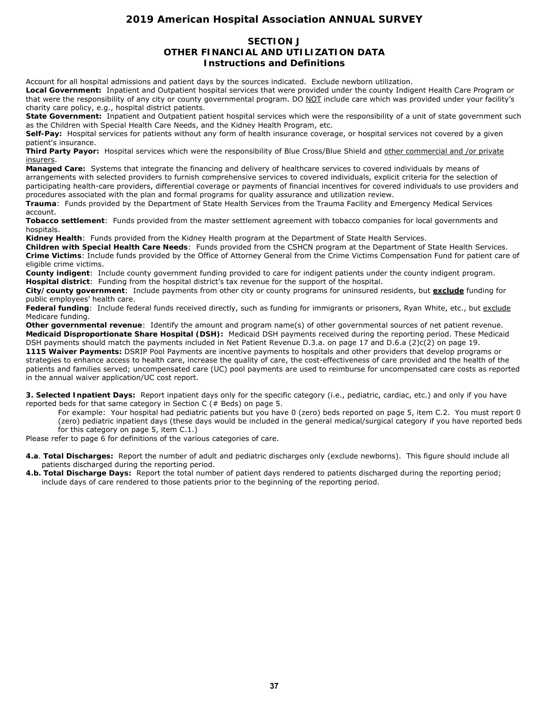### **SECTION J OTHER FINANCIAL AND UTILIZATION DATA Instructions and Definitions**

Account for all hospital admissions and patient days by the sources indicated. Exclude newborn utilization. **Local Government:** Inpatient and Outpatient hospital services that were provided under the county Indigent Health Care Program or that were the responsibility of any city or county governmental program. DO NOT include care which was provided under your facility's charity care policy, e.g., hospital district patients.

**State Government:** Inpatient and Outpatient patient hospital services which were the responsibility of a unit of state government such as the Children with Special Health Care Needs, and the Kidney Health Program, etc.

**Self-Pay:** Hospital services for patients without any form of health insurance coverage, or hospital services not covered by a given patient's insurance.

**Third Party Payor:** Hospital services which were the responsibility of Blue Cross/Blue Shield and other commercial and /or private insurers.

**Managed Care:** Systems that integrate the financing and delivery of healthcare services to covered individuals by means of arrangements with selected providers to furnish comprehensive services to covered individuals, explicit criteria for the selection of participating health-care providers, differential coverage or payments of financial incentives for covered individuals to use providers and procedures associated with the plan and formal programs for quality assurance and utilization review.

**Trauma**: Funds provided by the Department of State Health Services from the Trauma Facility and Emergency Medical Services account.

**Tobacco settlement**: Funds provided from the master settlement agreement with tobacco companies for local governments and hospitals.

**Kidney Health**: Funds provided from the Kidney Health program at the Department of State Health Services.

**Children with Special Health Care Needs**: Funds provided from the CSHCN program at the Department of State Health Services. **Crime Victims**: Include funds provided by the Office of Attorney General from the Crime Victims Compensation Fund for patient care of eligible crime victims.

**County indigent**: Include county government funding provided to care for indigent patients under the county indigent program. **Hospital district**: Funding from the hospital district's tax revenue for the support of the hospital.

**City/county government**: Include payments from other city or county programs for uninsured residents, but **exclude** funding for public employees' health care.

Federal funding: Include federal funds received directly, such as funding for immigrants or prisoners, Ryan White, etc., but exclude Medicare funding.

**Other governmental revenue**: Identify the amount and program name(s) of other governmental sources of net patient revenue. **Medicaid Disproportionate Share Hospital (DSH):** Medicaid DSH payments received during the reporting period. These Medicaid DSH payments should match the payments included in Net Patient Revenue D.3.a. on page 17 and D.6.a (2)c(2) on page 19.

**1115 Waiver Payments:** DSRIP Pool Payments are incentive payments to hospitals and other providers that develop programs or strategies to enhance access to health care, increase the quality of care, the cost-effectiveness of care provided and the health of the patients and families served; uncompensated care (UC) pool payments are used to reimburse for uncompensated care costs as reported in the annual waiver application/UC cost report.

**3. Selected Inpatient Days:** Report inpatient days only for the specific category (i.e., pediatric, cardiac, etc.) and only if you have reported beds for that same category in Section C (# Beds) on page 5.

For example: Your hospital had pediatric patients but you have 0 (zero) beds reported on page 5, item C.2. You must report 0 (zero) pediatric inpatient days (these days would be included in the general medical/surgical category if you have reported beds for this category on page 5, item C.1.)

Please refer to page 6 for definitions of the various categories of care.

- **4.a**. **Total Discharges:** Report the number of adult and pediatric discharges only (exclude newborns). This figure should include all patients discharged during the reporting period.
- **4.b. Total Discharge Days:** Report the total number of patient days rendered to patients discharged during the reporting period; include days of care rendered to those patients prior to the beginning of the reporting period.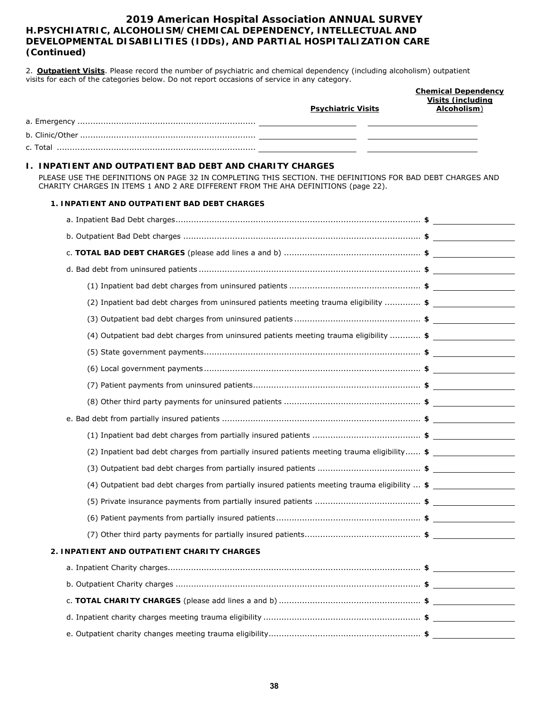### **2019 American Hospital Association ANNUAL SURVEY H. PSYCHIATRIC, ALCOHOLISM/CHEMICAL DEPENDENCY, INTELLECTUAL AND DEVELOPMENTAL DISABILITIES (IDDs), AND PARTIAL HOSPITALIZATION CARE (Continued)**

2. **Outpatient Visits**. Please record the number of psychiatric and chemical dependency (including alcoholism) outpatient visits for each of the categories below. Do not report occasions of service in any category.

|                                                                                                                                                                        | <b>Psychiatric Visits</b> | <b>Chemical Dependency</b><br>Visits (including<br>Alcoholism) |
|------------------------------------------------------------------------------------------------------------------------------------------------------------------------|---------------------------|----------------------------------------------------------------|
|                                                                                                                                                                        |                           |                                                                |
|                                                                                                                                                                        |                           |                                                                |
|                                                                                                                                                                        |                           |                                                                |
| L. INPATIENT AND OUTPATIENT BAD DEBT AND CHARITY CHARGES<br>PLEASE USE THE DEFINITIONS ON PAGE 32 IN COMPLETING THIS SECTION. THE DEFINITIONS FOR BAD DEBT CHARGES AND |                           |                                                                |
| CHARITY CHARGES IN ITEMS 1 AND 2 ARE DIFFERENT FROM THE AHA DEFINITIONS (page 22).                                                                                     |                           |                                                                |
| <b>1. INPATIENT AND OUTPATIENT BAD DEBT CHARGES</b>                                                                                                                    |                           |                                                                |
|                                                                                                                                                                        |                           |                                                                |

| (2) Inpatient bad debt charges from uninsured patients meeting trauma eligibility  \$          |
|------------------------------------------------------------------------------------------------|
|                                                                                                |
| (4) Outpatient bad debt charges from uninsured patients meeting trauma eligibility  \$         |
|                                                                                                |
|                                                                                                |
|                                                                                                |
|                                                                                                |
|                                                                                                |
|                                                                                                |
| (2) Inpatient bad debt charges from partially insured patients meeting trauma eligibility \$   |
|                                                                                                |
| (4) Outpatient bad debt charges from partially insured patients meeting trauma eligibility  \$ |
|                                                                                                |
|                                                                                                |
|                                                                                                |
|                                                                                                |
|                                                                                                |
|                                                                                                |
|                                                                                                |
|                                                                                                |
|                                                                                                |
|                                                                                                |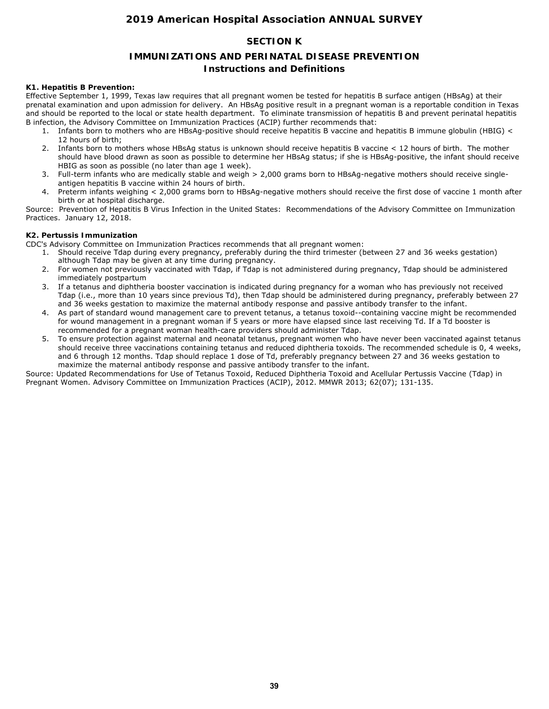## **SECTION K**

### **IMMUNIZATIONS AND PERINATAL DISEASE PREVENTION Instructions and Definitions**

#### **K1. Hepatitis B Prevention:**

Effective September 1, 1999, Texas law requires that all pregnant women be tested for hepatitis B surface antigen (HBsAg) at their prenatal examination and upon admission for delivery. An HBsAg positive result in a pregnant woman is a reportable condition in Texas and should be reported to the local or state health department. To eliminate transmission of hepatitis B and prevent perinatal hepatitis B infection, the Advisory Committee on Immunization Practices (ACIP) further recommends that:

- 1. Infants born to mothers who are HBsAg-positive should receive hepatitis B vaccine and hepatitis B immune globulin (HBIG) < 12 hours of birth;
- 2. Infants born to mothers whose HBsAg status is unknown should receive hepatitis B vaccine < 12 hours of birth. The mother should have blood drawn as soon as possible to determine her HBsAg status; if she is HBsAg-positive, the infant should receive HBIG as soon as possible (no later than age 1 week).
- 3. Full-term infants who are medically stable and weigh > 2,000 grams born to HBsAg-negative mothers should receive singleantigen hepatitis B vaccine within 24 hours of birth.
- 4. Preterm infants weighing < 2,000 grams born to HBsAg-negative mothers should receive the first dose of vaccine 1 month after birth or at hospital discharge.

Source: Prevention of Hepatitis B Virus Infection in the United States: Recommendations of the Advisory Committee on Immunization Practices. January 12, 2018.

#### **K2. Pertussis Immunization**

CDC's Advisory Committee on Immunization Practices recommends that all pregnant women:

- 1. Should receive Tdap during every pregnancy, preferably during the third trimester (between 27 and 36 weeks gestation) although Tdap may be given at any time during pregnancy.
- 2. For women not previously vaccinated with Tdap, if Tdap is not administered during pregnancy, Tdap should be administered immediately postpartum
- 3. If a tetanus and diphtheria booster vaccination is indicated during pregnancy for a woman who has previously not received Tdap (i.e., more than 10 years since previous Td), then Tdap should be administered during pregnancy, preferably between 27 and 36 weeks gestation to maximize the maternal antibody response and passive antibody transfer to the infant.
- 4. As part of standard wound management care to prevent tetanus, a tetanus toxoid--containing vaccine might be recommended for wound management in a pregnant woman if 5 years or more have elapsed since last receiving Td. If a Td booster is recommended for a pregnant woman health-care providers should administer Tdap.
- 5. To ensure protection against maternal and neonatal tetanus, pregnant women who have never been vaccinated against tetanus should receive three vaccinations containing tetanus and reduced diphtheria toxoids. The recommended schedule is 0, 4 weeks, and 6 through 12 months. Tdap should replace 1 dose of Td, preferably pregnancy between 27 and 36 weeks gestation to maximize the maternal antibody response and passive antibody transfer to the infant.

Source: Updated Recommendations for Use of Tetanus Toxoid, Reduced Diphtheria Toxoid and Acellular Pertussis Vaccine (Tdap) in Pregnant Women. Advisory Committee on Immunization Practices (ACIP), 2012. *MMWR* 2013; 62(07); 131-135.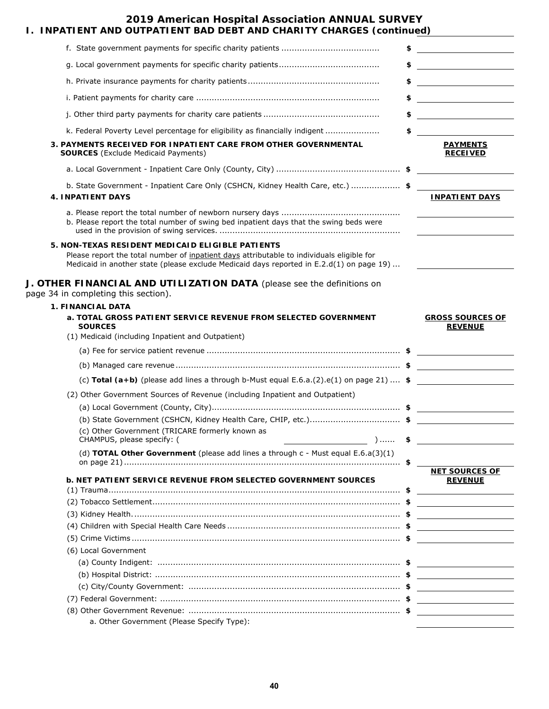### **2019 American Hospital Association ANNUAL SURVEY I. INPATIENT AND OUTPATIENT BAD DEBT AND CHARITY CHARGES (continued)**

| T. INPATIENT AND OUTPATIENT BAD DEBT AND CHARITY CHARGES (continued)                                                                                                                                                                      |                                                                                                                      |
|-------------------------------------------------------------------------------------------------------------------------------------------------------------------------------------------------------------------------------------------|----------------------------------------------------------------------------------------------------------------------|
| \$                                                                                                                                                                                                                                        | <u> 1989 - Jan Stein Stein Stein Stein Stein Stein Stein Stein Stein Stein Stein Stein Stein Stein Stein Stein S</u> |
| \$                                                                                                                                                                                                                                        |                                                                                                                      |
| \$                                                                                                                                                                                                                                        |                                                                                                                      |
| \$                                                                                                                                                                                                                                        |                                                                                                                      |
|                                                                                                                                                                                                                                           |                                                                                                                      |
| k. Federal Poverty Level percentage for eligibility as financially indigent                                                                                                                                                               |                                                                                                                      |
| 3. PAYMENTS RECEIVED FOR INPATIENT CARE FROM OTHER GOVERNMENTAL<br><b>SOURCES</b> (Exclude Medicaid Payments)                                                                                                                             | <b>PAYMENTS</b><br><b>RECEIVED</b>                                                                                   |
|                                                                                                                                                                                                                                           |                                                                                                                      |
| b. State Government - Inpatient Care Only (CSHCN, Kidney Health Care, etc.)  \$<br><b>4. INPATIENT DAYS</b>                                                                                                                               | <b>INPATIENT DAYS</b>                                                                                                |
| b. Please report the total number of swing bed inpatient days that the swing beds were                                                                                                                                                    |                                                                                                                      |
| 5. NON-TEXAS RESIDENT MEDICAID ELIGIBLE PATIENTS<br>Please report the total number of inpatient days attributable to individuals eligible for<br>Medicaid in another state (please exclude Medicaid days reported in E.2.d(1) on page 19) |                                                                                                                      |
| J. OTHER FINANCIAL AND UTILIZATION DATA (please see the definitions on<br>page 34 in completing this section).                                                                                                                            |                                                                                                                      |
| 1. FINANCIAL DATA                                                                                                                                                                                                                         |                                                                                                                      |
| a. TOTAL GROSS PATIENT SERVICE REVENUE FROM SELECTED GOVERNMENT<br><b>SOURCES</b><br>(1) Medicaid (including Inpatient and Outpatient)                                                                                                    | <b>GROSS SOURCES OF</b><br><b>REVENUE</b>                                                                            |
|                                                                                                                                                                                                                                           |                                                                                                                      |
|                                                                                                                                                                                                                                           |                                                                                                                      |
|                                                                                                                                                                                                                                           |                                                                                                                      |
| (c) Total $(a+b)$ (please add lines a through b-Must equal E.6.a.(2).e(1) on page 21)  \$                                                                                                                                                 |                                                                                                                      |
| (2) Other Government Sources of Revenue (including Inpatient and Outpatient)                                                                                                                                                              |                                                                                                                      |
|                                                                                                                                                                                                                                           |                                                                                                                      |
| (c) Other Government (TRICARE formerly known as<br>CHAMPUS, please specify: (<br>\$<br>) $\dots$                                                                                                                                          |                                                                                                                      |
| (d) TOTAL Other Government (please add lines a through c - Must equal E.6.a(3)(1)                                                                                                                                                         |                                                                                                                      |
| <b>b. NET PATIENT SERVICE REVENUE FROM SELECTED GOVERNMENT SOURCES</b>                                                                                                                                                                    | <b>NET SOURCES OF</b><br><b>REVENUE</b>                                                                              |
|                                                                                                                                                                                                                                           |                                                                                                                      |
|                                                                                                                                                                                                                                           |                                                                                                                      |
|                                                                                                                                                                                                                                           |                                                                                                                      |
|                                                                                                                                                                                                                                           |                                                                                                                      |
|                                                                                                                                                                                                                                           |                                                                                                                      |
| (6) Local Government                                                                                                                                                                                                                      |                                                                                                                      |
|                                                                                                                                                                                                                                           | <u> 1980 - Andrea Albert III, martin am Britânic (b. 1951)</u>                                                       |
|                                                                                                                                                                                                                                           |                                                                                                                      |
|                                                                                                                                                                                                                                           |                                                                                                                      |
|                                                                                                                                                                                                                                           |                                                                                                                      |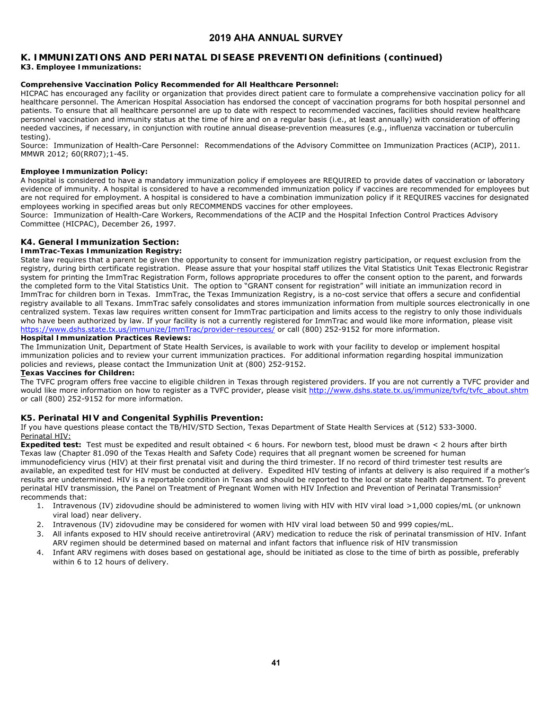#### **K. IMMUNIZATIONS AND PERINATAL DISEASE PREVENTION definitions (continued) K3. Employee Immunizations:**

#### **Comprehensive Vaccination Policy Recommended for All Healthcare Personnel:**

HICPAC has encouraged any facility or organization that provides direct patient care to formulate a comprehensive vaccination policy for all healthcare personnel. The American Hospital Association has endorsed the concept of vaccination programs for both hospital personnel and patients. To ensure that all healthcare personnel are up to date with respect to recommended vaccines, facilities should review healthcare personnel vaccination and immunity status at the time of hire and on a regular basis (i.e., at least annually) with consideration of offering needed vaccines, if necessary, in conjunction with routine annual disease-prevention measures (e.g., influenza vaccination or tuberculin testing).

Source: Immunization of Health-Care Personnel: Recommendations of the Advisory Committee on Immunization Practices (ACIP), 2011. *MMWR* 2012; 60(RR07);1-45.

#### **Employee Immunization Policy:**

A hospital is considered to have a mandatory immunization policy if employees are REQUIRED to provide dates of vaccination or laboratory evidence of immunity. A hospital is considered to have a recommended immunization policy if vaccines are recommended for employees but are not required for employment. A hospital is considered to have a combination immunization policy if it REQUIRES vaccines for designated employees working in specified areas but only RECOMMENDS vaccines for other employees.

Source: Immunization of Health-Care Workers, Recommendations of the ACIP and the Hospital Infection Control Practices Advisory Committee (HICPAC), December 26, 1997.

#### **K4. General Immunization Section:**

### **ImmTrac-Texas Immunization Registry:**

State law requires that a parent be given the opportunity to consent for immunization registry participation, or request exclusion from the registry, during birth certificate registration. Please assure that your hospital staff utilizes the Vital Statistics Unit Texas Electronic Registrar system for printing the ImmTrac Registration Form, follows appropriate procedures to offer the consent option to the parent, and forwards the completed form to the Vital Statistics Unit. The option to "GRANT consent for registration" will initiate an immunization record in ImmTrac for children born in Texas. ImmTrac, the Texas Immunization Registry, is a no-cost service that offers a secure and confidential registry available to all Texans. ImmTrac safely consolidates and stores immunization information from multiple sources electronically in one centralized system. Texas law requires written consent for ImmTrac participation and limits access to the registry to only those individuals who have been authorized by law. If your facility is not a currently registered for ImmTrac and would like more information, please visit https://www.dshs.state.tx.us/immunize/ImmTrac/provider-resources/ or call (800) 252-9152 for more information.

#### **Hospital Immunization Practices Reviews:**

The Immunization Unit, Department of State Health Services, is available to work with your facility to develop or implement hospital immunization policies and to review your current immunization practices. For additional information regarding hospital immunization policies and reviews, please contact the Immunization Unit at (800) 252-9152.

#### **Texas Vaccines for Children:**

The TVFC program offers free vaccine to eligible children in Texas through registered providers. If you are not currently a TVFC provider and would like more information on how to register as a TVFC provider, please visit http://www.dshs.state.tx.us/immunize/tvfc/tvfc\_about.shtm or call (800) 252-9152 for more information.

#### **K5. Perinatal HIV and Congenital Syphilis Prevention:**

If you have questions please contact the TB/HIV/STD Section, Texas Department of State Health Services at (512) 533-3000. Perinatal HIV:

**Expedited test:** Test must be expedited and result obtained < 6 hours. For newborn test, blood must be drawn < 2 hours after birth Texas law (Chapter 81.090 of the Texas Health and Safety Code) requires that all pregnant women be screened for human immunodeficiency virus (HIV) at their first prenatal visit and during the third trimester. If no record of third trimester test results are available, an expedited test for HIV must be conducted at delivery. Expedited HIV testing of infants at delivery is also required if a mother's results are undetermined. HIV is a reportable condition in Texas and should be reported to the local or state health department. To prevent perinatal HIV transmission, the Panel on Treatment of Pregnant Women with HIV Infection and Prevention of Perinatal Transmission<sup>2</sup> recommends that:

- 1. Intravenous (IV) zidovudine should be administered to women living with HIV with HIV viral load >1,000 copies/mL (or unknown viral load) near delivery.
- 2. Intravenous (IV) zidovudine may be considered for women with HIV viral load between 50 and 999 copies/mL.
- 3. All infants exposed to HIV should receive antiretroviral (ARV) medication to reduce the risk of perinatal transmission of HIV. Infant ARV regimen should be determined based on maternal and infant factors that influence risk of HIV transmission
- 4. Infant ARV regimens with doses based on gestational age, should be initiated as close to the time of birth as possible, preferably within 6 to 12 hours of delivery.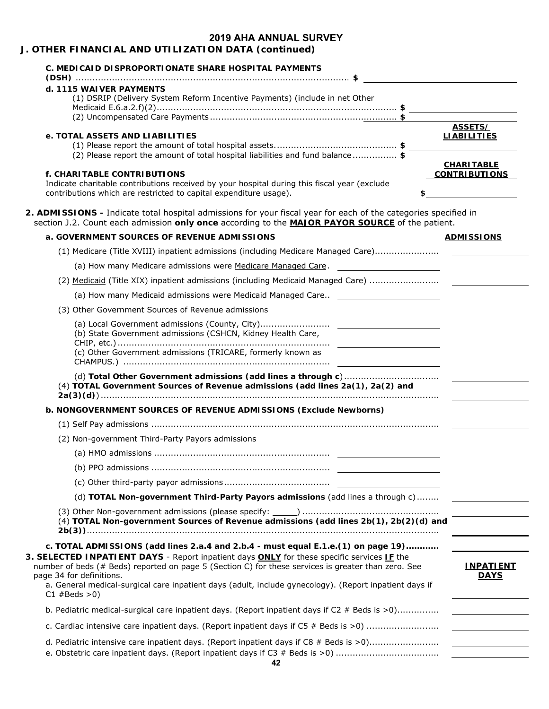### **2019 AHA ANNUAL SURVEY J. OTHER FINANCIAL AND UTILIZATION DATA (continued) C. MEDICAID DISPROPORTIONATE SHARE HOSPITAL PAYMENTS (DSH)** .................................................................................................. **\$ d. 1115 WAIVER PAYMENTS** (1) DSRIP (Delivery System Reform Incentive Payments) (include in net Other Medicaid E.6.a.2.f)(2) ...................................................................................... **\$**  (2) Uncompensated Care Payments ................................................................... **\$ e. TOTAL ASSETS AND LIABILITIES ASSETS/ LIABILITIES** (1) Please report the amount of total hospital assets. ........................................... **\$**  (2) Please report the amount of total hospital liabilities and fund balance ................ **\$ f. CHARITABLE CONTRIBUTIONS CHARITABLE CONTRIBUTIONS**  Indicate charitable contributions received by your hospital during this fiscal year (exclude contributions which are restricted to capital expenditure usage). **\$ 2. ADMISSIONS -** Indicate total hospital admissions for your fiscal year for each of the categories specified in section J.2. Count each admission **only once** according to the **MAJOR PAYOR SOURCE** of the patient. **a. GOVERNMENT SOURCES OF REVENUE ADMISSIONS ADMISSIONS**  (1) Medicare (Title XVIII) inpatient admissions (including Medicare Managed Care)....................... (a) How many Medicare admissions were Medicare Managed Care . (2) Medicaid (Title XIX) inpatient admissions (including Medicaid Managed Care) .......................... (a) How many Medicaid admissions were Medicaid Managed Care..

(3) Other Government Sources of Revenue admissions

| (a) Local Government admissions (County, City)<br>(b) State Government admissions (CSHCN, Kidney Health Care, |  |
|---------------------------------------------------------------------------------------------------------------|--|
| (c) Other Government admissions (TRICARE, formerly known as                                                   |  |

| $(4)$ TOTAL Government Sources of Revenue admissions (add lines 2a(1), 2a(2) and |
|----------------------------------------------------------------------------------|
|                                                                                  |

|  | <b>b. NONGOVERNMENT SOURCES OF REVENUE ADMISSIONS (Exclude Newborns)</b> |  |
|--|--------------------------------------------------------------------------|--|

| (2) Non-government Third-Party Payors admissions |
|--------------------------------------------------|

(d) **TOTAL Non-government Third-Party Payors admissions** (add lines a through c) ........

| (4) TOTAL Non-government Sources of Revenue admissions (add lines $2b(1)$ , $2b(2)(d)$ and |
|--------------------------------------------------------------------------------------------|
|                                                                                            |

| c. TOTAL ADMISSIONS (add lines 2.a.4 and 2.b.4 - must equal E.1.e. (1) on page 19)                     |
|--------------------------------------------------------------------------------------------------------|
| 3. SELECTED INPATIENT DAYS - Report inpatient days <b>ONLY</b> for these specific services IF the      |
| number of beds (# Beds) reported on page 5 (Section C) for these services is greater than zero. See    |
| page 34 for definitions.                                                                               |
| a. General medical-surgical care inpatient days (adult, include gynecology). (Report inpatient days if |
| $C1 \# Beds > 0$                                                                                       |

| b. Pediatric medical-surgical care inpatient days. (Report inpatient days if C2 # Beds is >0) |  |
|-----------------------------------------------------------------------------------------------|--|
| c. Cardiac intensive care inpatient days. (Report inpatient days if C5 # Beds is >0)          |  |
| d. Pediatric intensive care inpatient days. (Report inpatient days if C8 # Beds is >0)        |  |
|                                                                                               |  |

**INPATIENT DAYS** 

e. Obstetric care inpatient days. (Report inpatient days if C3 # Beds is >0) .................................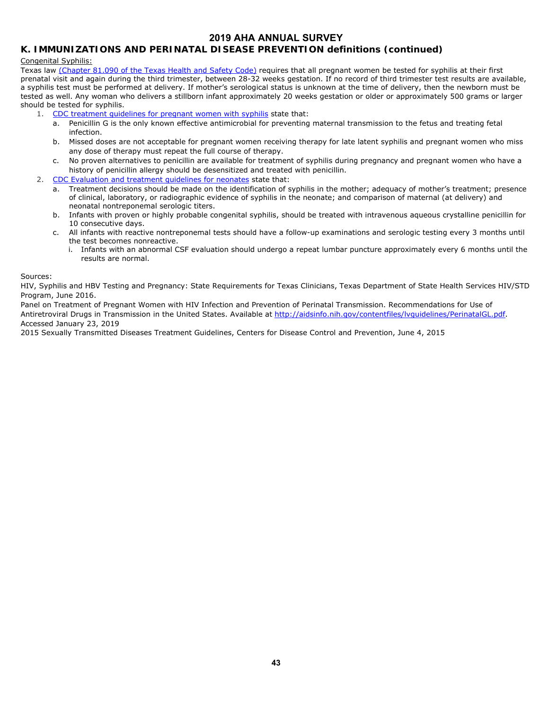# **K. IMMUNIZATIONS AND PERINATAL DISEASE PREVENTION definitions (continued)**

Congenital Syphilis:

Texas law (Chapter 81.090 of the Texas Health and Safety Code) requires that all pregnant women be tested for syphilis at their first prenatal visit and again during the third trimester, between 28-32 weeks gestation. If no record of third trimester test results are available, a syphilis test must be performed at delivery. If mother's serological status is unknown at the time of delivery, then the newborn must be tested as well. Any woman who delivers a stillborn infant approximately 20 weeks gestation or older or approximately 500 grams or larger should be tested for syphilis.

1. CDC treatment guidelines for pregnant women with syphilis state that:

- a. Penicillin G is the only known effective antimicrobial for preventing maternal transmission to the fetus and treating fetal infection.
- b. Missed doses are not acceptable for pregnant women receiving therapy for late latent syphilis and pregnant women who miss any dose of therapy must repeat the full course of therapy.
- c. No proven alternatives to penicillin are available for treatment of syphilis during pregnancy and pregnant women who have a history of penicillin allergy should be desensitized and treated with penicillin.
- 2. CDC Evaluation and treatment guidelines for neonates state that:
	- a. Treatment decisions should be made on the identification of syphilis in the mother; adequacy of mother's treatment; presence of clinical, laboratory, or radiographic evidence of syphilis in the neonate; and comparison of maternal (at delivery) and neonatal nontreponemal serologic titers.
	- b. Infants with proven or highly probable congenital syphilis, should be treated with intravenous aqueous crystalline penicillin for 10 consecutive days.
	- c. All infants with reactive nontreponemal tests should have a follow-up examinations and serologic testing every 3 months until the test becomes nonreactive.
		- i. Infants with an abnormal CSF evaluation should undergo a repeat lumbar puncture approximately every 6 months until the results are normal.

Sources:

HIV, Syphilis and HBV Testing and Pregnancy: State Requirements for Texas Clinicians, Texas Department of State Health Services HIV/STD Program, June 2016.

Panel on Treatment of Pregnant Women with HIV Infection and Prevention of Perinatal Transmission. Recommendations for Use of Antiretroviral Drugs in Transmission in the United States. Available at http://aidsinfo.nih.gov/contentfiles/lvguidelines/PerinatalGL.pdf. Accessed January 23, 2019

2015 Sexually Transmitted Diseases Treatment Guidelines, Centers for Disease Control and Prevention, June 4, 2015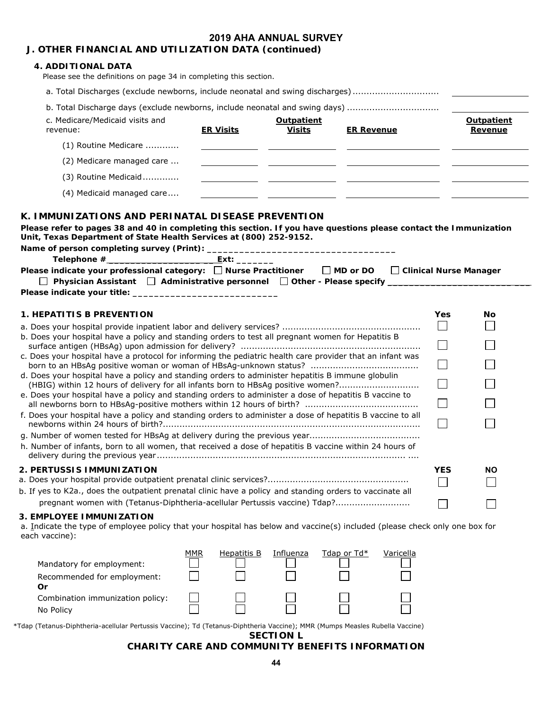# **J. OTHER FINANCIAL AND UTILIZATION DATA (continued)**

#### **4. ADDITIONAL DATA**

Please see the definitions on page 34 in completing this section.

|  |  |  |  | a. Total Discharges (exclude newborns, include neonatal and swing discharges) |  |
|--|--|--|--|-------------------------------------------------------------------------------|--|
|--|--|--|--|-------------------------------------------------------------------------------|--|

|  |  | b. Total Discharge days (exclude newborns, include neonatal and swing days) |
|--|--|-----------------------------------------------------------------------------|
|  |  |                                                                             |
|  |  |                                                                             |

| c. Medicare/Medicaid visits and                                                                                                                                                         |                  | <b>Outpatient</b> |                   |                             | <b>Outpatient</b> |
|-----------------------------------------------------------------------------------------------------------------------------------------------------------------------------------------|------------------|-------------------|-------------------|-----------------------------|-------------------|
| revenue:                                                                                                                                                                                | <b>ER Visits</b> | <b>Visits</b>     | <b>ER Revenue</b> |                             | Revenue           |
| (1) Routine Medicare                                                                                                                                                                    |                  |                   |                   |                             |                   |
| (2) Medicare managed care                                                                                                                                                               |                  |                   |                   |                             |                   |
| (3) Routine Medicaid                                                                                                                                                                    |                  |                   |                   |                             |                   |
| (4) Medicaid managed care                                                                                                                                                               |                  |                   |                   |                             |                   |
| K. IMMUNIZATIONS AND PERINATAL DISEASE PREVENTION                                                                                                                                       |                  |                   |                   |                             |                   |
| Please refer to pages 38 and 40 in completing this section. If you have questions please contact the Immunization<br>Unit, Texas Department of State Health Services at (800) 252-9152. |                  |                   |                   |                             |                   |
|                                                                                                                                                                                         |                  |                   |                   |                             |                   |
|                                                                                                                                                                                         |                  |                   |                   |                             |                   |
| Please indicate your professional category: □ Nurse Practitioner □ MD or DO □ Clinical Nurse Manager                                                                                    |                  |                   |                   |                             |                   |
| □ Physician Assistant □ Administrative personnel □ Other - Please specify _________________________                                                                                     |                  |                   |                   |                             |                   |
|                                                                                                                                                                                         |                  |                   |                   |                             |                   |
| 1. HEPATITIS B PREVENTION                                                                                                                                                               |                  |                   |                   | Yes                         | No                |
|                                                                                                                                                                                         |                  |                   |                   | $\overline{\phantom{a}}$    |                   |
| b. Does your hospital have a policy and standing orders to test all pregnant women for Hepatitis B                                                                                      |                  |                   |                   | П                           |                   |
| c. Does your hospital have a protocol for informing the pediatric health care provider that an infant was                                                                               |                  |                   |                   | $\mathsf{L}$                |                   |
| d. Does your hospital have a policy and standing orders to administer hepatitis B immune globulin<br>(HBIG) within 12 hours of delivery for all infants born to HBsAg positive women?   |                  |                   |                   |                             |                   |
| e. Does your hospital have a policy and standing orders to administer a dose of hepatitis B vaccine to                                                                                  |                  |                   |                   |                             |                   |
|                                                                                                                                                                                         |                  |                   |                   |                             |                   |
| f. Does your hospital have a policy and standing orders to administer a dose of hepatitis B vaccine to all                                                                              |                  |                   |                   | $\sim$                      |                   |
|                                                                                                                                                                                         |                  |                   |                   |                             |                   |
| h. Number of infants, born to all women, that received a dose of hepatitis B vaccine within 24 hours of                                                                                 |                  |                   |                   |                             |                   |
| 2. PERTUSSIS IMMUNIZATION                                                                                                                                                               |                  |                   |                   | <b>YES</b>                  | ΝO                |
| b. If yes to K2a., does the outpatient prenatal clinic have a policy and standing orders to vaccinate all                                                                               |                  |                   |                   | $\mathcal{L}_{\mathcal{A}}$ |                   |
| pregnant women with (Tetanus-Diphtheria-acellular Pertussis vaccine) Tdap?                                                                                                              |                  |                   |                   |                             |                   |
|                                                                                                                                                                                         |                  |                   |                   |                             |                   |

#### **3. EMPLOYEE IMMUNIZATION**

a. Indicate the type of employee policy that your hospital has below and vaccine(s) included (please check only one box for each vaccine):

| Mandatory for employment:<br>Recommended for employment: | <b>MMR</b> | Hepatitis B | Influenza | Tdap or Td* | Varicella |
|----------------------------------------------------------|------------|-------------|-----------|-------------|-----------|
| Or<br>Combination immunization policy:<br>No Policy      |            |             |           |             |           |

\*Tdap (Tetanus-Diphtheria-acellular Pertussis Vaccine); Td (Tetanus-Diphtheria Vaccine); MMR (Mumps Measles Rubella Vaccine)

**SECTION L** 

#### **CHARITY CARE AND COMMUNITY BENEFITS INFORMATION**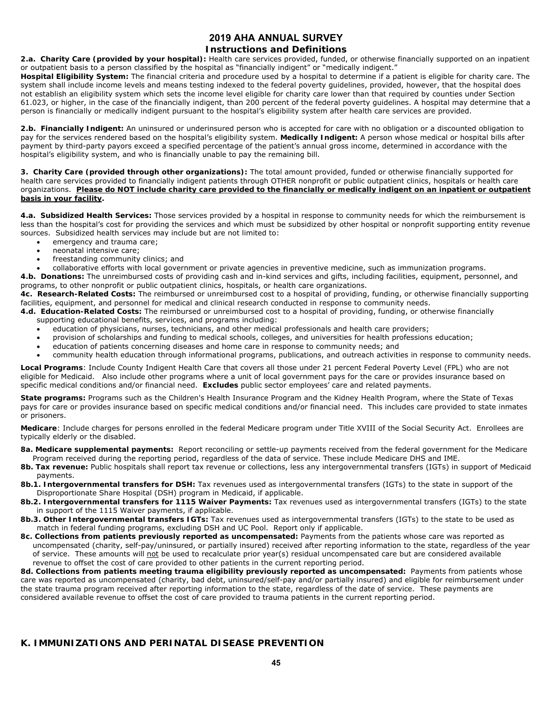## **Instructions and Definitions**

**2.a. Charity Care (provided by your hospital):** Health care services provided, funded, or otherwise financially supported on an inpatient or outpatient basis to a person classified by the hospital as "financially indigent" or "medically indigent."

**Hospital Eligibility System:** The financial criteria and procedure used by a hospital to determine if a patient is eligible for charity care. The system shall include income levels and means testing indexed to the federal poverty guidelines, provided, however, that the hospital does not establish an eligibility system which sets the income level eligible for charity care lower than that required by counties under Section 61.023, or higher, in the case of the financially indigent, than 200 percent of the federal poverty guidelines. A hospital may determine that a person is financially or medically indigent pursuant to the hospital's eligibility system after health care services are provided.

**2.b. Financially Indigent:** An uninsured or underinsured person who is accepted for care with no obligation or a discounted obligation to pay for the services rendered based on the hospital's eligibility system. **Medically Indigent:** A person whose medical or hospital bills after payment by third-party payors exceed a specified percentage of the patient's annual gross income, determined in accordance with the hospital's eligibility system, and who is financially unable to pay the remaining bill.

**3. Charity Care (provided through other organizations):** The total amount provided, funded or otherwise financially supported for health care services provided to financially indigent patients through OTHER nonprofit or public outpatient clinics, hospitals or health care organizations. **Please do NOT include charity care provided to the financially or medically indigent on an inpatient or outpatient basis in your facility.**

**4.a. Subsidized Health Services:** Those services provided by a hospital in response to community needs for which the reimbursement is less than the hospital's cost for providing the services and which must be subsidized by other hospital or nonprofit supporting entity revenue sources. Subsidized health services may include but are not limited to:

- emergency and trauma care;
- neonatal intensive care;
- freestanding community clinics; and
- collaborative efforts with local government or private agencies in preventive medicine, such as immunization programs.

**4.b. Donations:** The unreimbursed costs of providing cash and in-kind services and gifts, including facilities, equipment, personnel, and programs, to other nonprofit or public outpatient clinics, hospitals, or health care organizations.

**4c. Research-Related Costs:** The reimbursed or unreimbursed cost to a hospital of providing, funding, or otherwise financially supporting facilities, equipment, and personnel for medical and clinical research conducted in response to community needs.

**4.d. Education-Related Costs:** The reimbursed or unreimbursed cost to a hospital of providing, funding, or otherwise financially supporting educational benefits, services, and programs including:

- education of physicians, nurses, technicians, and other medical professionals and health care providers;
- provision of scholarships and funding to medical schools, colleges, and universities for health professions education;
- education of patients concerning diseases and home care in response to community needs; and
- community health education through informational programs, publications, and outreach activities in response to community needs.

**Local Programs**: Include County Indigent Health Care that covers all those under 21 percent Federal Poverty Level (FPL) who are not eligible for Medicaid. Also include other programs where a unit of local government pays for the care or provides insurance based on specific medical conditions and/or financial need. **Excludes** public sector employees' care and related payments.

**State programs:** Programs such as the Children's Health Insurance Program and the Kidney Health Program, where the State of Texas pays for care or provides insurance based on specific medical conditions and/or financial need. This includes care provided to state inmates or prisoners.

**Medicare**: Include charges for persons enrolled in the federal Medicare program under Title XVIII of the Social Security Act. Enrollees are typically elderly or the disabled.

- **8a. Medicare supplemental payments:** Report reconciling or settle-up payments received from the federal government for the Medicare Program received during the reporting period, regardless of the data of service. These include Medicare DHS and IME.
- **8b. Tax revenue:** Public hospitals shall report tax revenue or collections, less any intergovernmental transfers (IGTs) in support of Medicaid payments.
- **8b.1. Intergovernmental transfers for DSH:** Tax revenues used as intergovernmental transfers (IGTs) to the state in support of the Disproportionate Share Hospital (DSH) program in Medicaid, if applicable.
- **8b.2. Intergovernmental transfers for 1115 Waiver Payments:** Tax revenues used as intergovernmental transfers (IGTs) to the state in support of the 1115 Waiver payments, if applicable.
- **8b.3. Other Intergovernmental transfers IGTs:** Tax revenues used as intergovernmental transfers (IGTs) to the state to be used as match in federal funding programs, excluding DSH and UC Pool. Report only if applicable.
- **8c. Collections from patients previously reported as uncompensated:** Payments from the patients whose care was reported as uncompensated (charity, self-pay/uninsured, or partially insured) received after reporting information to the state, regardless of the year of service. These amounts will not be used to recalculate prior year(s) residual uncompensated care but are considered available revenue to offset the cost of care provided to other patients in the current reporting period.

**8d. Collections from patients meeting trauma eligibility previously reported as uncompensated:** Payments from patients whose care was reported as uncompensated (charity, bad debt, uninsured/self-pay and/or partially insured) and eligible for reimbursement under the state trauma program received after reporting information to the state, regardless of the date of service. These payments are considered available revenue to offset the cost of care provided to trauma patients in the current reporting period.

## **K. IMMUNIZATIONS AND PERINATAL DISEASE PREVENTION**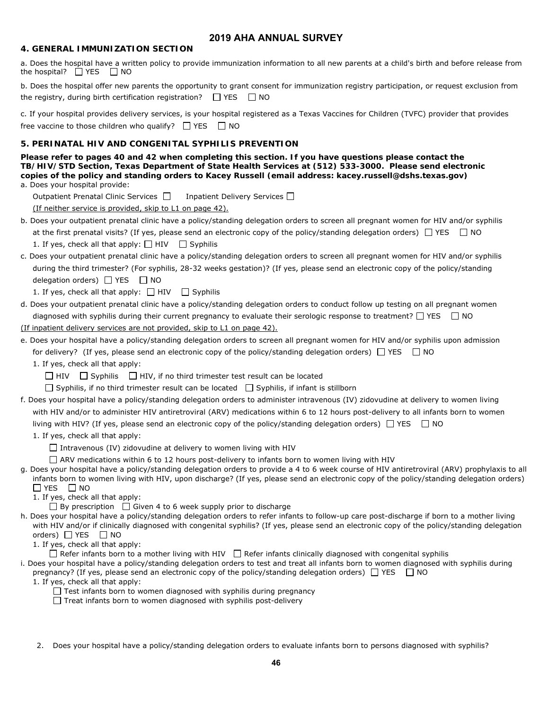#### **4. GENERAL IMMUNIZATION SECTION**

a. Does the hospital have a written policy to provide immunization information to all new parents at a child's birth and before release from the hospital?  $\Box$  YES  $\Box$  NO

b. Does the hospital offer new parents the opportunity to grant consent for immunization registry participation, or request exclusion from the registry, during birth certification registration?  $\Box$  YES  $\Box$  NO

c. If your hospital provides delivery services, is your hospital registered as a Texas Vaccines for Children (TVFC) provider that provides free vaccine to those children who qualify?  $\Box$  YES  $\Box$  NO

### **5. PERINATAL HIV AND CONGENITAL SYPHILIS PREVENTION**

**Please refer to pages 40 and 42 when completing this section. If you have questions please contact the TB/HIV/STD Section, Texas Department of State Health Services at (512) 533-3000. Please send electronic copies of the policy and standing orders to Kacey Russell (email address: kacey.russell@dshs.texas.gov)**  a. Does your hospital provide:

Outpatient Prenatal Clinic Services  $\Box$  Inpatient Delivery Services  $\Box$ 

(If neither service is provided, skip to L1 on page 42).

b. Does your outpatient prenatal clinic have a policy/standing delegation orders to screen all pregnant women for HIV and/or syphilis at the first prenatal visits? (If yes, please send an electronic copy of the policy/standing delegation orders)  $\Box$  YES  $\Box$  NO

1. If yes, check all that apply:  $\Box$  HIV  $\Box$  Syphilis

- c. Does your outpatient prenatal clinic have a policy/standing delegation orders to screen all pregnant women for HIV and/or syphilis during the third trimester? (For syphilis, 28-32 weeks gestation)? (If yes, please send an electronic copy of the policy/standing delegation orders) □ YES □ NO
	- 1. If yes, check all that apply:  $\Box$  HIV  $\Box$  Syphilis
- d. Does your outpatient prenatal clinic have a policy/standing delegation orders to conduct follow up testing on all pregnant women diagnosed with syphilis during their current pregnancy to evaluate their serologic response to treatment?  $\Box$  YES  $\Box$  NO
- (If inpatient delivery services are not provided, skip to L1 on page 42).
- e. Does your hospital have a policy/standing delegation orders to screen all pregnant women for HIV and/or syphilis upon admission for delivery? (If yes, please send an electronic copy of the policy/standing delegation orders)  $\Box$  YES  $\Box$  NO

1. If yes, check all that apply:

 $\Box$  HIV  $\Box$  Syphilis  $\Box$  HIV, if no third trimester test result can be located

 $\Box$  Syphilis, if no third trimester result can be located  $\Box$  Syphilis, if infant is stillborn

f. Does your hospital have a policy/standing delegation orders to administer intravenous (IV) zidovudine at delivery to women living with HIV and/or to administer HIV antiretroviral (ARV) medications within 6 to 12 hours post-delivery to all infants born to women living with HIV? (If yes, please send an electronic copy of the policy/standing delegation orders)  $\Box$  YES  $\Box$  NO

1. If yes, check all that apply:

 $\Box$  Intravenous (IV) zidovudine at delivery to women living with HIV

 $\Box$  ARV medications within 6 to 12 hours post-delivery to infants born to women living with HIV

- g. Does your hospital have a policy/standing delegation orders to provide a 4 to 6 week course of HIV antiretroviral (ARV) prophylaxis to all infants born to women living with HIV, upon discharge? (If yes, please send an electronic copy of the policy/standing delegation orders)  $\Box$  YES  $\Box$  NO
	- 1. If yes, check all that apply:
		- $\Box$  By prescription  $\Box$  Given 4 to 6 week supply prior to discharge
- h. Does your hospital have a policy/standing delegation orders to refer infants to follow-up care post-discharge if born to a mother living with HIV and/or if clinically diagnosed with congenital syphilis? (If yes, please send an electronic copy of the policy/standing delegation orders)  $\Box$  YES  $\Box$  NO

1. If yes, check all that apply:

 $\Box$  Refer infants born to a mother living with HIV  $\Box$  Refer infants clinically diagnosed with congenital syphilis

i. Does your hospital have a policy/standing delegation orders to test and treat all infants born to women diagnosed with syphilis during pregnancy? (If yes, please send an electronic copy of the policy/standing delegation orders)  $\Box$  YES  $\Box$  NO

1. If yes, check all that apply:

 $\Box$  Test infants born to women diagnosed with syphilis during pregnancy

 $\Box$  Treat infants born to women diagnosed with syphilis post-delivery

2. Does your hospital have a policy/standing delegation orders to evaluate infants born to persons diagnosed with syphilis?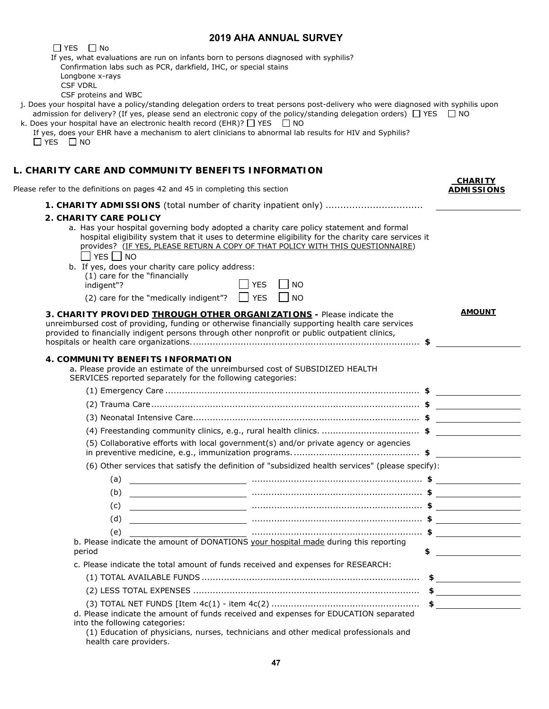$\Box$  YES  $\Box$  No

| If yes, what evaluations are run on infants born to persons diagnosed with syphilis? |
|--------------------------------------------------------------------------------------|
| Confirmation labs such as PCR, darkfield, IHC, or special stains                     |
| Longbone x-rays                                                                      |
| <b>CSF VDRL</b>                                                                      |
| CSF proteins and WBC                                                                 |
|                                                                                      |

- j. Does your hospital have a policy/standing delegation orders to treat persons post-delivery who were diagnosed with syphilis upon admission for delivery? (If yes, please send an electronic copy of the policy/standing delegation orders)  $\Box$  YES  $\Box$  NO
- k. Does your hospital have an electronic health record (EHR)?  $\Box$  YES  $\Box$  NO

| If yes, does your EHR have a mechanism to alert clinicians to abnormal lab results for HIV and Syphilis? |  |
|----------------------------------------------------------------------------------------------------------|--|
| $\Box$ YES $\Box$ NO                                                                                     |  |

# **L. CHARITY CARE AND COMMUNITY BENEFITS INFORMATION**

| 2. CHARITY CARE POLICY                                                                                                                                                                                                                                                                                                                                              |               |
|---------------------------------------------------------------------------------------------------------------------------------------------------------------------------------------------------------------------------------------------------------------------------------------------------------------------------------------------------------------------|---------------|
| a. Has your hospital governing body adopted a charity care policy statement and formal<br>hospital eligibility system that it uses to determine eligibility for the charity care services it<br>provides? (IF YES, PLEASE RETURN A COPY OF THAT POLICY WITH THIS OUESTIONNAIRE)<br>$\sqsupset$ YES $\sqcap$ NO<br>b. If yes, does your charity care policy address: |               |
| (1) care for the "financially<br><b>YES</b><br><b>NO</b><br>indigent"?                                                                                                                                                                                                                                                                                              |               |
| <b>YES</b><br>(2) care for the "medically indigent"? $\Box$<br><b>NO</b>                                                                                                                                                                                                                                                                                            |               |
| 3. CHARITY PROVIDED THROUGH OTHER ORGANIZATIONS - Please indicate the<br>unreimbursed cost of providing, funding or otherwise financially supporting health care services<br>provided to financially indigent persons through other nonprofit or public outpatient clinics,                                                                                         | <b>AMOUNT</b> |
| <b>4. COMMUNITY BENEFITS INFORMATION</b><br>a. Please provide an estimate of the unreimbursed cost of SUBSIDIZED HEALTH<br>SERVICES reported separately for the following categories:                                                                                                                                                                               |               |
|                                                                                                                                                                                                                                                                                                                                                                     |               |
|                                                                                                                                                                                                                                                                                                                                                                     |               |
|                                                                                                                                                                                                                                                                                                                                                                     |               |
| (4) Freestanding community clinics, e.g., rural health clinics. \$                                                                                                                                                                                                                                                                                                  |               |
| (5) Collaborative efforts with local government(s) and/or private agency or agencies                                                                                                                                                                                                                                                                                |               |
| (6) Other services that satisfy the definition of "subsidized health services" (please specify):                                                                                                                                                                                                                                                                    |               |
| (a)                                                                                                                                                                                                                                                                                                                                                                 |               |
| (b)                                                                                                                                                                                                                                                                                                                                                                 |               |
| (c)                                                                                                                                                                                                                                                                                                                                                                 |               |
| (d)                                                                                                                                                                                                                                                                                                                                                                 |               |
| (e)                                                                                                                                                                                                                                                                                                                                                                 |               |
| b. Please indicate the amount of DONATIONS your hospital made during this reporting<br>period<br>\$                                                                                                                                                                                                                                                                 |               |
| c. Please indicate the total amount of funds received and expenses for RESEARCH:                                                                                                                                                                                                                                                                                    |               |
|                                                                                                                                                                                                                                                                                                                                                                     |               |
|                                                                                                                                                                                                                                                                                                                                                                     |               |
|                                                                                                                                                                                                                                                                                                                                                                     |               |

(1) *Education of physicians, nurses, technicians and other medical professionals and health care providers.*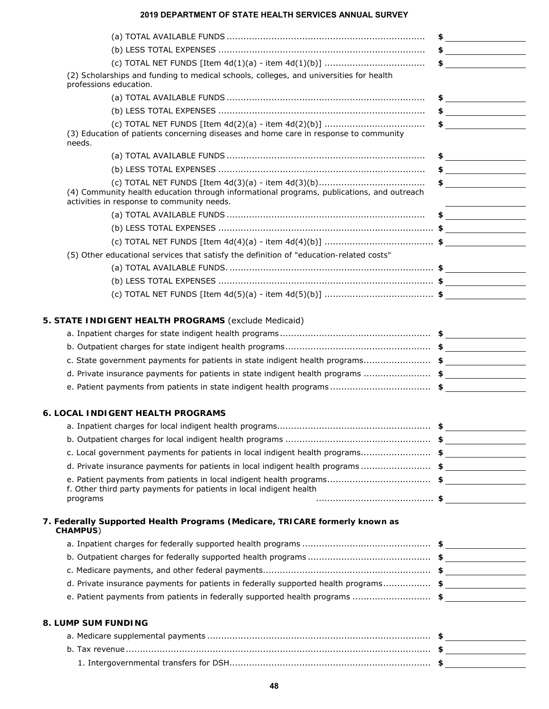### **2019 DEPARTMENT OF STATE HEALTH SERVICES ANNUAL SURVEY**

|                                                                                                                                         | $\frac{1}{\sqrt{2}}$                                                                                                                                                                                                                                                                                                                                                                                                 |
|-----------------------------------------------------------------------------------------------------------------------------------------|----------------------------------------------------------------------------------------------------------------------------------------------------------------------------------------------------------------------------------------------------------------------------------------------------------------------------------------------------------------------------------------------------------------------|
|                                                                                                                                         | $\frac{1}{2}$                                                                                                                                                                                                                                                                                                                                                                                                        |
| (2) Scholarships and funding to medical schools, colleges, and universities for health<br>professions education.                        |                                                                                                                                                                                                                                                                                                                                                                                                                      |
|                                                                                                                                         | $\frac{1}{2}$                                                                                                                                                                                                                                                                                                                                                                                                        |
|                                                                                                                                         | $\frac{1}{\sqrt{1-\frac{1}{2}}\sqrt{1-\frac{1}{2}}\sqrt{1-\frac{1}{2}}\sqrt{1-\frac{1}{2}}\sqrt{1-\frac{1}{2}}\sqrt{1-\frac{1}{2}}\sqrt{1-\frac{1}{2}}\sqrt{1-\frac{1}{2}}\sqrt{1-\frac{1}{2}}\sqrt{1-\frac{1}{2}}\sqrt{1-\frac{1}{2}}\sqrt{1-\frac{1}{2}}\sqrt{1-\frac{1}{2}}\sqrt{1-\frac{1}{2}}\sqrt{1-\frac{1}{2}}\sqrt{1-\frac{1}{2}}\sqrt{1-\frac{1}{2}}\sqrt{1-\frac{1}{2}}\sqrt{1-\frac{1}{2}}\sqrt{1-\frac$ |
| (3) Education of patients concerning diseases and home care in response to community<br>needs.                                          | $\frac{1}{2}$                                                                                                                                                                                                                                                                                                                                                                                                        |
|                                                                                                                                         | $\frac{1}{2}$                                                                                                                                                                                                                                                                                                                                                                                                        |
|                                                                                                                                         | $\frac{1}{2}$                                                                                                                                                                                                                                                                                                                                                                                                        |
| (4) Community health education through informational programs, publications, and outreach<br>activities in response to community needs. |                                                                                                                                                                                                                                                                                                                                                                                                                      |
|                                                                                                                                         |                                                                                                                                                                                                                                                                                                                                                                                                                      |
|                                                                                                                                         |                                                                                                                                                                                                                                                                                                                                                                                                                      |
|                                                                                                                                         |                                                                                                                                                                                                                                                                                                                                                                                                                      |
| (5) Other educational services that satisfy the definition of "education-related costs"                                                 |                                                                                                                                                                                                                                                                                                                                                                                                                      |
|                                                                                                                                         |                                                                                                                                                                                                                                                                                                                                                                                                                      |
|                                                                                                                                         |                                                                                                                                                                                                                                                                                                                                                                                                                      |
|                                                                                                                                         |                                                                                                                                                                                                                                                                                                                                                                                                                      |
| 5. STATE INDIGENT HEALTH PROGRAMS (exclude Medicaid)                                                                                    |                                                                                                                                                                                                                                                                                                                                                                                                                      |
|                                                                                                                                         |                                                                                                                                                                                                                                                                                                                                                                                                                      |
|                                                                                                                                         |                                                                                                                                                                                                                                                                                                                                                                                                                      |
| c. State government payments for patients in state indigent health programs \$                                                          |                                                                                                                                                                                                                                                                                                                                                                                                                      |
| d. Private insurance payments for patients in state indigent health programs  \$                                                        |                                                                                                                                                                                                                                                                                                                                                                                                                      |
|                                                                                                                                         |                                                                                                                                                                                                                                                                                                                                                                                                                      |
| 6. LOCAL INDIGENT HEALTH PROGRAMS                                                                                                       |                                                                                                                                                                                                                                                                                                                                                                                                                      |
|                                                                                                                                         |                                                                                                                                                                                                                                                                                                                                                                                                                      |
|                                                                                                                                         |                                                                                                                                                                                                                                                                                                                                                                                                                      |
| c. Local government payments for patients in local indigent health programs \$                                                          |                                                                                                                                                                                                                                                                                                                                                                                                                      |
| d. Private insurance payments for patients in local indigent health programs \$                                                         |                                                                                                                                                                                                                                                                                                                                                                                                                      |
|                                                                                                                                         |                                                                                                                                                                                                                                                                                                                                                                                                                      |
| f. Other third party payments for patients in local indigent health<br>programs                                                         |                                                                                                                                                                                                                                                                                                                                                                                                                      |
| 7. Federally Supported Health Programs (Medicare, TRICARE formerly known as<br><b>CHAMPUS)</b>                                          |                                                                                                                                                                                                                                                                                                                                                                                                                      |
|                                                                                                                                         |                                                                                                                                                                                                                                                                                                                                                                                                                      |
|                                                                                                                                         |                                                                                                                                                                                                                                                                                                                                                                                                                      |
|                                                                                                                                         |                                                                                                                                                                                                                                                                                                                                                                                                                      |
| d. Private insurance payments for patients in federally supported health programs \$                                                    |                                                                                                                                                                                                                                                                                                                                                                                                                      |
| e. Patient payments from patients in federally supported health programs  \$                                                            |                                                                                                                                                                                                                                                                                                                                                                                                                      |
| 8. LUMP SUM FUNDING                                                                                                                     |                                                                                                                                                                                                                                                                                                                                                                                                                      |
|                                                                                                                                         |                                                                                                                                                                                                                                                                                                                                                                                                                      |
|                                                                                                                                         |                                                                                                                                                                                                                                                                                                                                                                                                                      |
|                                                                                                                                         |                                                                                                                                                                                                                                                                                                                                                                                                                      |
|                                                                                                                                         |                                                                                                                                                                                                                                                                                                                                                                                                                      |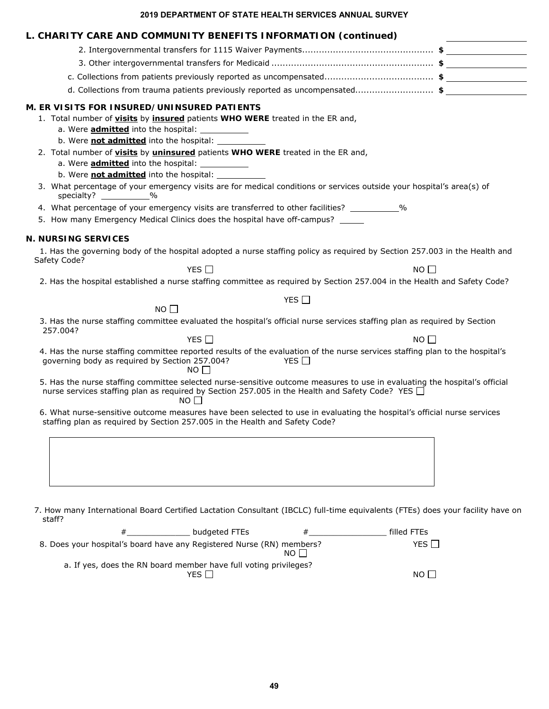|  | 2019 DEPARTMENT OF STATE HEALTH SERVICES ANNUAL SURVEY |
|--|--------------------------------------------------------|
|  |                                                        |

| L. CHARITY CARE AND COMMUNITY BENEFITS INFORMATION (continued) |  |  |
|----------------------------------------------------------------|--|--|
|                                                                |  |  |

d. Collections from trauma patients previously reported as uncompensated ............................ **\$** 

### **M. ER VISITS FOR INSURED/UNINSURED PATIENTS**

1. Total number of **visits** by **insured** patients **WHO WERE** treated in the ER and,

- a. Were **admitted** into the hospital:
- b. Were **not admitted** into the hospital:
- 2. Total number of **visits** by **uninsured** patients **WHO WERE** treated in the ER and,
	- a. Were **admitted** into the hospital:
	- b. Were **not admitted** into the hospital:
- 3. What percentage of your emergency visits are for medical conditions or services outside your hospital's area(s) of specialty? \_\_\_\_\_\_\_\_\_\_\_%
- 4. What percentage of your emergency visits are transferred to other facilities? \_\_\_\_\_\_\_\_\_\_%
- 5. How many Emergency Medical Clinics does the hospital have off-campus?

### **N. NURSING SERVICES**

|              | 1. Has the governing body of the hospital adopted a nurse staffing policy as required by Section 257.003 in the Health and |  |
|--------------|----------------------------------------------------------------------------------------------------------------------------|--|
| Safety Code? |                                                                                                                            |  |

- $YES \Box$
- 2. Has the hospital established a nurse staffing committee as required by Section 257.004 in the Health and Safety Code?

YES  $\Box$ 

# $NO<sub>1</sub>$

3. Has the nurse staffing committee evaluated the hospital's official nurse services staffing plan as required by Section 257.004?

 $YES \Box$ 

4. Has the nurse staffing committee reported results of the evaluation of the nurse services staffing plan to the hospital's governing body as required by Section 257.004?  $YES \Box$ NO  $\square$ 

5. Has the nurse staffing committee selected nurse-sensitive outcome measures to use in evaluating the hospital's official nurse services staffing plan as required by Section 257.005 in the Health and Safety Code? YES  $\Box$  $NO$  $\Pi$ 

| 6. What nurse-sensitive outcome measures have been selected to use in evaluating the hospital's official nurse services |  |  |  |  |  |
|-------------------------------------------------------------------------------------------------------------------------|--|--|--|--|--|
| staffing plan as required by Section 257.005 in the Health and Safety Code?                                             |  |  |  |  |  |

|        | 7. How many International Board Certified Lactation Consultant (IBCLC) full-time equivalents (FTEs) does your facility have on |  |  |  |  |  |
|--------|--------------------------------------------------------------------------------------------------------------------------------|--|--|--|--|--|
| staff? |                                                                                                                                |  |  |  |  |  |

|                                                                       | budgeted FTEs    |      | filled FTEs |
|-----------------------------------------------------------------------|------------------|------|-------------|
| 8. Does your hospital's board have any Registered Nurse (RN) members? |                  |      | YFS.        |
|                                                                       |                  | NO I |             |
| a. If yes, does the RN board member have full voting privileges?      |                  |      |             |
|                                                                       | YFS <sup>1</sup> |      | NO.         |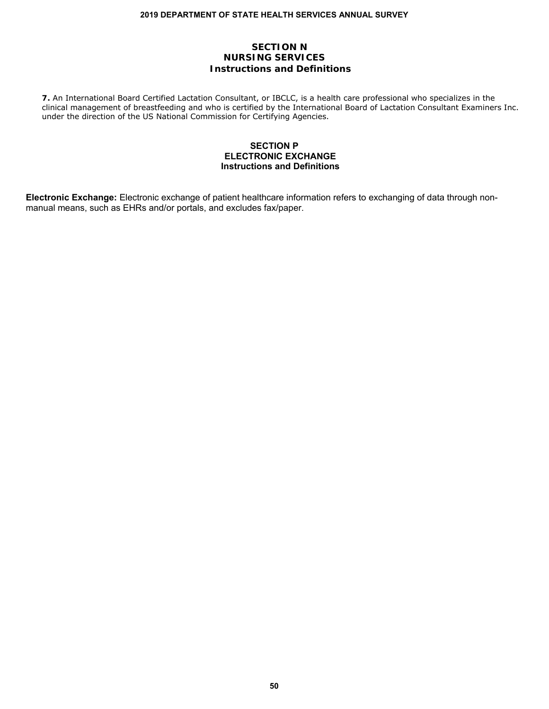### **SECTION N NURSING SERVICES Instructions and Definitions**

**7.** An International Board Certified Lactation Consultant, or IBCLC, is a health care professional who specializes in the clinical management of breastfeeding and who is certified by the International Board of Lactation Consultant Examiners Inc. under the direction of the US National Commission for Certifying Agencies.

### **SECTION P ELECTRONIC EXCHANGE Instructions and Definitions**

**Electronic Exchange:** Electronic exchange of patient healthcare information refers to exchanging of data through nonmanual means, such as EHRs and/or portals, and excludes fax/paper.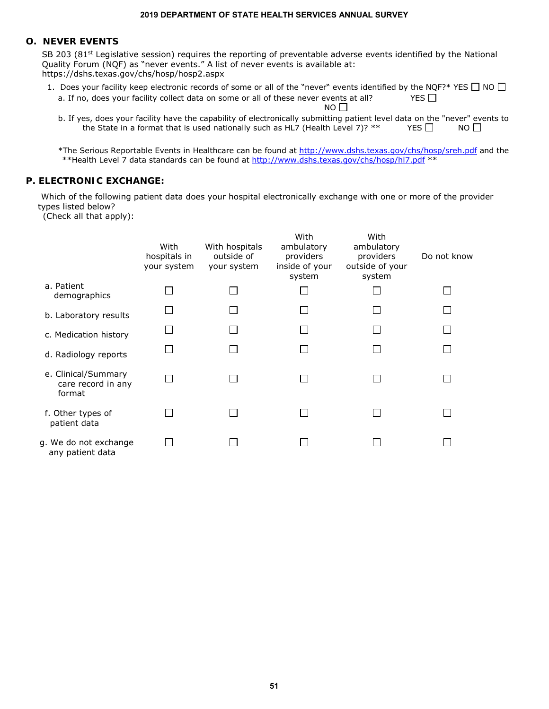#### **2019 DEPARTMENT OF STATE HEALTH SERVICES ANNUAL SURVEY**

### **O. NEVER EVENTS**

SB 203 (81<sup>st</sup> Legislative session) requires the reporting of preventable adverse events identified by the National Quality Forum (NQF) as "never events." A list of never events is available at: https://dshs.texas.gov/chs/hosp/hosp2.aspx

- 1. Does your facility keep electronic records of some or all of the "never" events identified by the NQF?\* YES  $\square$  NO  $\square$ a. If no, does your facility collect data on some or all of these never events at all?  $YES \Box$ 
	- $NO<sub>1</sub>$
	- b. If yes, does your facility have the capability of electronically submitting patient level data on the "never" events to the State in a format that is used nationally such as HL7 (Health Level 7)? \*\* YES  $\Box$  NO  $\Box$ the State in a format that is used nationally such as HL7 (Health Level 7)? \*\*

\*The Serious Reportable Events in Healthcare can be found at http://www.dshs.texas.gov/chs/hosp/sreh.pdf and the \*\*Health Level 7 data standards can be found at http://www.dshs.texas.gov/chs/hosp/hl7.pdf \*\*

### **P. ELECTRONIC EXCHANGE:**

Which of the following patient data does your hospital electronically exchange with one or more of the provider types listed below?

(Check all that apply):

|                                                     | With<br>hospitals in<br>your system | With hospitals<br>outside of<br>your system | With<br>ambulatory<br>providers<br>inside of your<br>system | With<br>ambulatory<br>providers<br>outside of your<br>system | Do not know  |
|-----------------------------------------------------|-------------------------------------|---------------------------------------------|-------------------------------------------------------------|--------------------------------------------------------------|--------------|
| a. Patient<br>demographics                          |                                     |                                             |                                                             |                                                              | $\mathbf{I}$ |
| b. Laboratory results                               |                                     |                                             |                                                             |                                                              | $\mathbf{I}$ |
| c. Medication history                               |                                     |                                             |                                                             |                                                              | <b>I</b>     |
| d. Radiology reports                                |                                     |                                             |                                                             |                                                              |              |
| e. Clinical/Summary<br>care record in any<br>format |                                     |                                             |                                                             |                                                              |              |
| f. Other types of<br>patient data                   |                                     |                                             |                                                             |                                                              | $\mathsf{L}$ |
| g. We do not exchange<br>any patient data           |                                     |                                             |                                                             |                                                              |              |